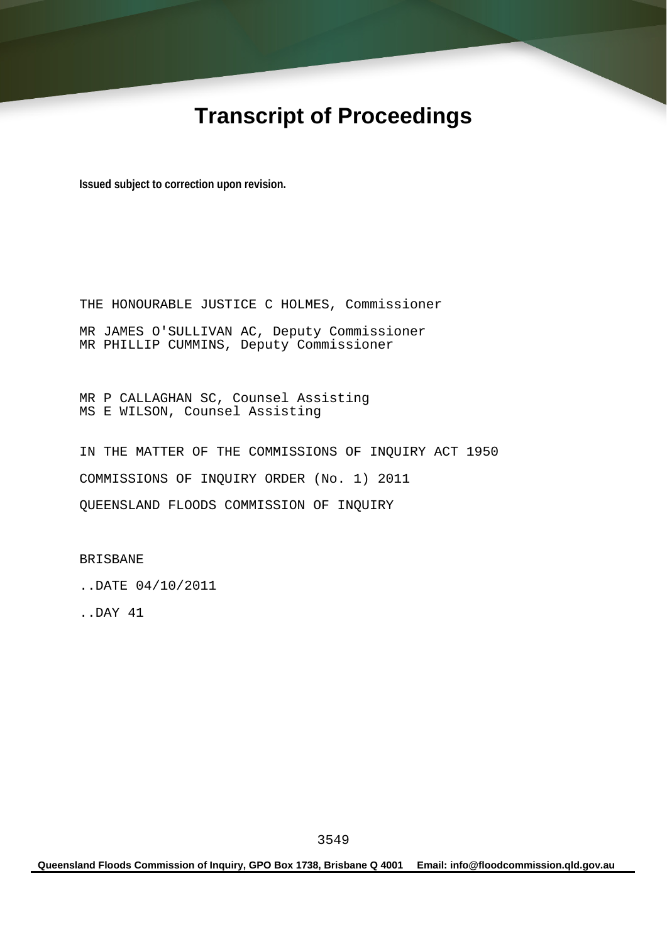# **Transcript of Proceedings**

**Issued subject to correction upon revision.** 

THE HONOURABLE JUSTICE C HOLMES, Commissioner MR JAMES O'SULLIVAN AC, Deputy Commissioner MR PHILLIP CUMMINS, Deputy Commissioner

MR P CALLAGHAN SC, Counsel Assisting MS E WILSON, Counsel Assisting

IN THE MATTER OF THE COMMISSIONS OF INQUIRY ACT 1950 COMMISSIONS OF INQUIRY ORDER (No. 1) 2011 QUEENSLAND FLOODS COMMISSION OF INQUIRY

BRISBANE

..DATE 04/10/2011

..DAY 41

**Queensland Floods Commission of Inquiry, GPO Box 1738, Brisbane Q 4001 Email: info@floodcommission.qld.gov.au**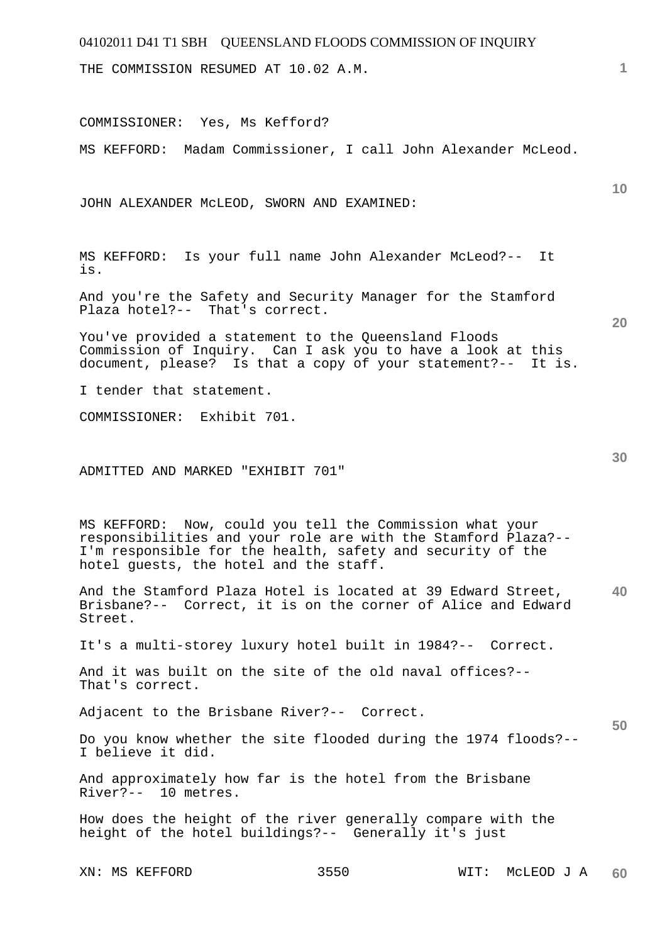THE COMMISSION RESUMED AT 10.02 A.M.

COMMISSIONER: Yes, Ms Kefford?

MS KEFFORD: Madam Commissioner, I call John Alexander McLeod.

JOHN ALEXANDER McLEOD, SWORN AND EXAMINED:

MS KEFFORD: Is your full name John Alexander McLeod?-- It is.

And you're the Safety and Security Manager for the Stamford Plaza hotel?-- That's correct.

You've provided a statement to the Queensland Floods Commission of Inquiry. Can I ask you to have a look at this document, please? Is that a copy of your statement?-- It is.

I tender that statement.

COMMISSIONER: Exhibit 701.

ADMITTED AND MARKED "EXHIBIT 701"

MS KEFFORD: Now, could you tell the Commission what your responsibilities and your role are with the Stamford Plaza?-- I'm responsible for the health, safety and security of the hotel guests, the hotel and the staff.

**40**  And the Stamford Plaza Hotel is located at 39 Edward Street, Brisbane?-- Correct, it is on the corner of Alice and Edward Street.

It's a multi-storey luxury hotel built in 1984?-- Correct.

And it was built on the site of the old naval offices?-- That's correct.

Adjacent to the Brisbane River?-- Correct.

Do you know whether the site flooded during the 1974 floods?-- I believe it did.

And approximately how far is the hotel from the Brisbane River?-- 10 metres.

How does the height of the river generally compare with the height of the hotel buildings?-- Generally it's just

**20** 

**50** 

**10**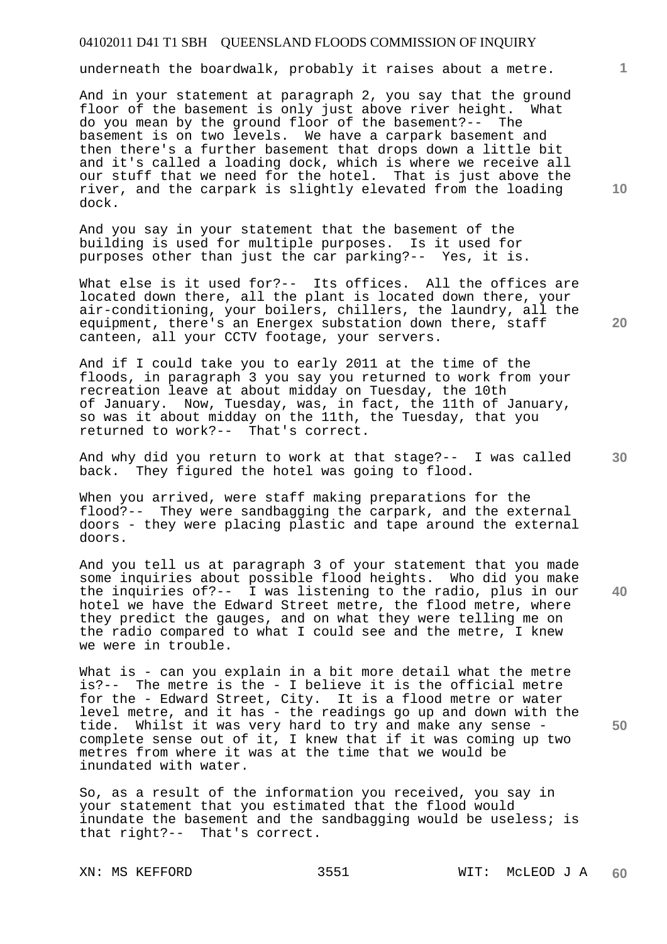underneath the boardwalk, probably it raises about a metre.

And in your statement at paragraph 2, you say that the ground floor of the basement is only just above river height. What do you mean by the ground floor of the basement?-- The basement is on two levels. We have a carpark basement and then there's a further basement that drops down a little bit and it's called a loading dock, which is where we receive all our stuff that we need for the hotel. That is just above the river, and the carpark is slightly elevated from the loading dock.

And you say in your statement that the basement of the building is used for multiple purposes. Is it used for purposes other than just the car parking?-- Yes, it is.

What else is it used for ?-- Its offices. All the offices are located down there, all the plant is located down there, your air-conditioning, your boilers, chillers, the laundry, all the equipment, there's an Energex substation down there, staff canteen, all your CCTV footage, your servers.

And if I could take you to early 2011 at the time of the floods, in paragraph 3 you say you returned to work from your recreation leave at about midday on Tuesday, the 10th of January. Now, Tuesday, was, in fact, the 11th of January, so was it about midday on the 11th, the Tuesday, that you returned to work?-- That's correct.

And why did you return to work at that stage?-- I was called back. They figured the hotel was going to flood.

When you arrived, were staff making preparations for the flood?-- They were sandbagging the carpark, and the external doors - they were placing plastic and tape around the external doors.

And you tell us at paragraph 3 of your statement that you made some inquiries about possible flood heights. Who did you make the inquiries of?-- I was listening to the radio, plus in our hotel we have the Edward Street metre, the flood metre, where they predict the gauges, and on what they were telling me on the radio compared to what I could see and the metre, I knew we were in trouble.

What is - can you explain in a bit more detail what the metre is?-- The metre is the - I believe it is the official metre for the - Edward Street, City. It is a flood metre or water level metre, and it has - the readings go up and down with the tide. Whilst it was very hard to try and make any sense complete sense out of it, I knew that if it was coming up two metres from where it was at the time that we would be inundated with water.

So, as a result of the information you received, you say in your statement that you estimated that the flood would inundate the basement and the sandbagging would be useless; is that right?-- That's correct.

**10** 

**1**

**30** 

**40** 

**50**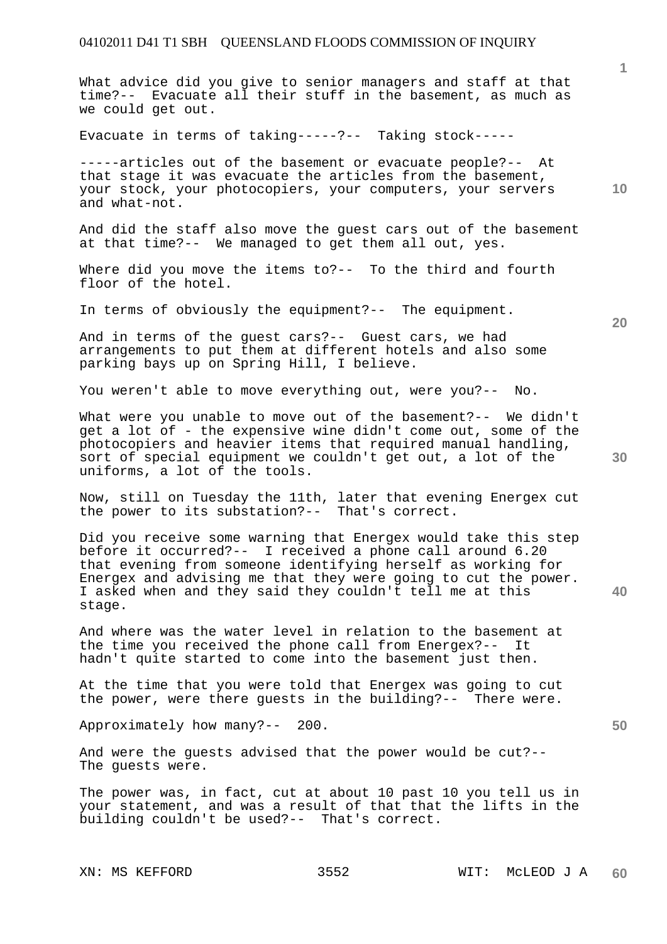What advice did you give to senior managers and staff at that time?-- Evacuate all their stuff in the basement, as much as we could get out.

Evacuate in terms of taking-----?-- Taking stock-----

-----articles out of the basement or evacuate people?-- At that stage it was evacuate the articles from the basement, your stock, your photocopiers, your computers, your servers and what-not.

And did the staff also move the guest cars out of the basement at that time?-- We managed to get them all out, yes.

Where did you move the items to?-- To the third and fourth floor of the hotel.

In terms of obviously the equipment?-- The equipment.

And in terms of the guest cars?-- Guest cars, we had arrangements to put them at different hotels and also some parking bays up on Spring Hill, I believe.

You weren't able to move everything out, were you?-- No.

What were you unable to move out of the basement?-- We didn't get a lot of - the expensive wine didn't come out, some of the photocopiers and heavier items that required manual handling, sort of special equipment we couldn't get out, a lot of the uniforms, a lot of the tools.

Now, still on Tuesday the 11th, later that evening Energex cut the power to its substation?-- That's correct.

Did you receive some warning that Energex would take this step before it occurred?-- I received a phone call around 6.20 that evening from someone identifying herself as working for Energex and advising me that they were going to cut the power. I asked when and they said they couldn't tell me at this stage.

And where was the water level in relation to the basement at the time you received the phone call from Energex?-- It hadn't quite started to come into the basement just then.

At the time that you were told that Energex was going to cut the power, were there guests in the building?-- There were.

Approximately how many?-- 200.

And were the guests advised that the power would be cut?-- The guests were.

The power was, in fact, cut at about 10 past 10 you tell us in your statement, and was a result of that that the lifts in the building couldn't be used?-- That's correct.

**10** 

**1**

**40**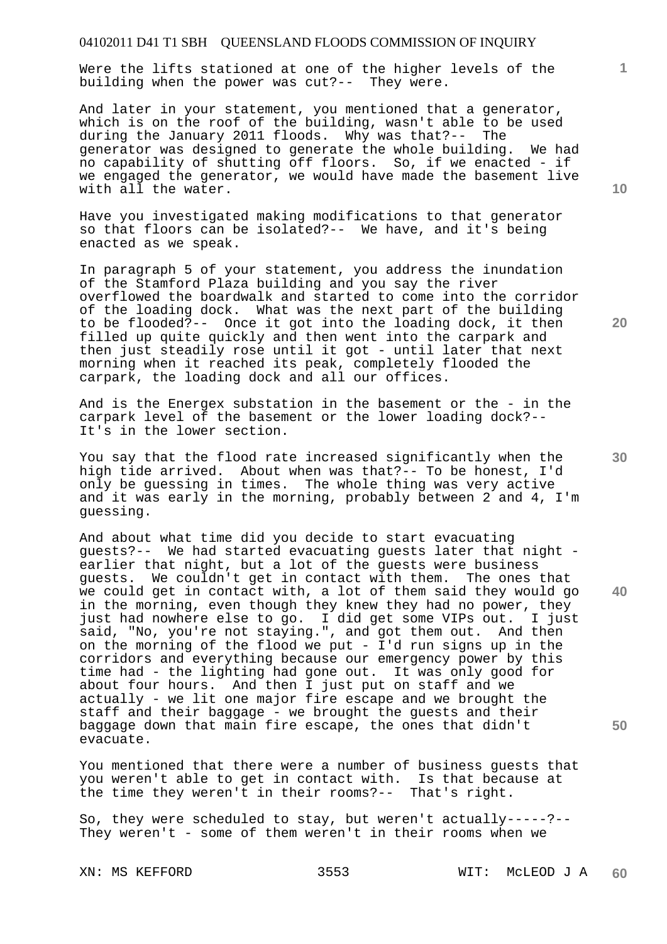Were the lifts stationed at one of the higher levels of the building when the power was cut?-- They were.

And later in your statement, you mentioned that a generator, which is on the roof of the building, wasn't able to be used during the January 2011 floods. Why was that?-- The generator was designed to generate the whole building. We had no capability of shutting off floors. So, if we enacted - if we engaged the generator, we would have made the basement live with all the water.

Have you investigated making modifications to that generator so that floors can be isolated?-- We have, and it's being enacted as we speak.

In paragraph 5 of your statement, you address the inundation of the Stamford Plaza building and you say the river overflowed the boardwalk and started to come into the corridor of the loading dock. What was the next part of the building to be flooded?-- Once it got into the loading dock, it then filled up quite quickly and then went into the carpark and then just steadily rose until it got - until later that next morning when it reached its peak, completely flooded the carpark, the loading dock and all our offices.

And is the Energex substation in the basement or the - in the carpark level of the basement or the lower loading dock?-- It's in the lower section.

You say that the flood rate increased significantly when the high tide arrived. About when was that?-- To be honest, I'd only be guessing in times. The whole thing was very active and it was early in the morning, probably between 2 and 4, I'm guessing.

And about what time did you decide to start evacuating guests?-- We had started evacuating guests later that night earlier that night, but a lot of the guests were business guests. We couldn't get in contact with them. The ones that we could get in contact with, a lot of them said they would go in the morning, even though they knew they had no power, they just had nowhere else to go. I did get some VIPs out. I just said, "No, you're not staying.", and got them out. And then on the morning of the flood we put - I'd run signs up in the corridors and everything because our emergency power by this time had - the lighting had gone out. It was only good for about four hours. And then I just put on staff and we actually - we lit one major fire escape and we brought the staff and their baggage - we brought the guests and their baggage down that main fire escape, the ones that didn't evacuate.

You mentioned that there were a number of business guests that you weren't able to get in contact with. Is that because at the time they weren't in their rooms?-- That's right.

So, they were scheduled to stay, but weren't actually-----?-- They weren't - some of them weren't in their rooms when we

**10** 

**1**

**30** 

**40** 

**50**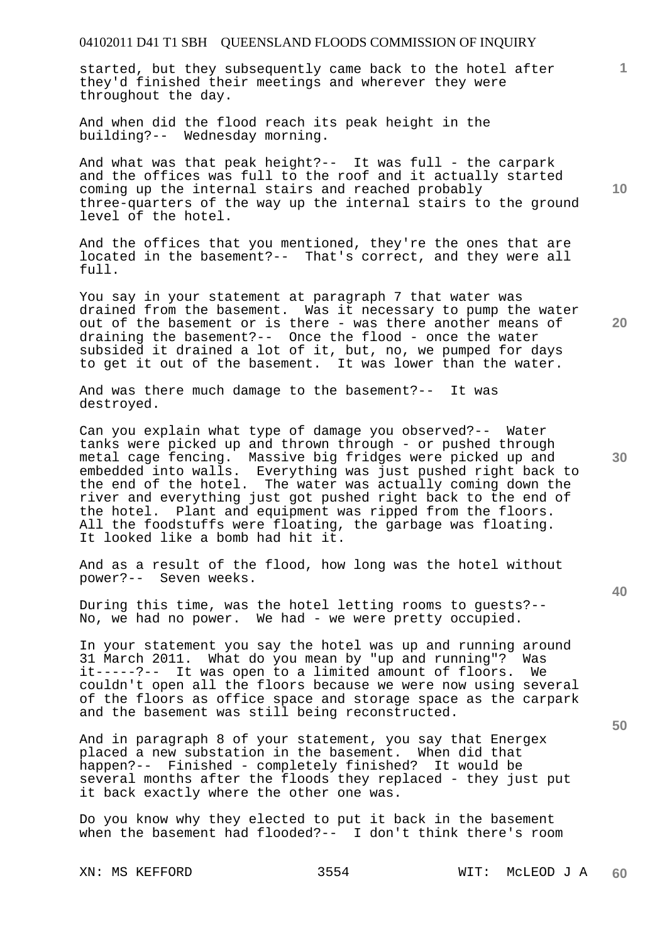started, but they subsequently came back to the hotel after they'd finished their meetings and wherever they were throughout the day.

And when did the flood reach its peak height in the building?-- Wednesday morning.

And what was that peak height?-- It was full - the carpark and the offices was full to the roof and it actually started coming up the internal stairs and reached probably three-quarters of the way up the internal stairs to the ground level of the hotel.

And the offices that you mentioned, they're the ones that are located in the basement?-- That's correct, and they were all full.

You say in your statement at paragraph 7 that water was drained from the basement. Was it necessary to pump the water out of the basement or is there - was there another means of draining the basement?-- Once the flood - once the water subsided it drained a lot of it, but, no, we pumped for days to get it out of the basement. It was lower than the water.

And was there much damage to the basement?-- It was destroyed.

Can you explain what type of damage you observed?-- Water tanks were picked up and thrown through - or pushed through metal cage fencing. Massive big fridges were picked up and embedded into walls. Everything was just pushed right back to the end of the hotel. The water was actually coming down the river and everything just got pushed right back to the end of the hotel. Plant and equipment was ripped from the floors. All the foodstuffs were floating, the garbage was floating. It looked like a bomb had hit it.

And as a result of the flood, how long was the hotel without power?-- Seven weeks.

During this time, was the hotel letting rooms to guests?-- No, we had no power. We had - we were pretty occupied.

In your statement you say the hotel was up and running around 31 March 2011. What do you mean by "up and running"? Was it-----?-- It was open to a limited amount of floors. We couldn't open all the floors because we were now using several of the floors as office space and storage space as the carpark and the basement was still being reconstructed.

And in paragraph 8 of your statement, you say that Energex placed a new substation in the basement. When did that happen?-- Finished - completely finished? It would be several months after the floods they replaced - they just put it back exactly where the other one was.

Do you know why they elected to put it back in the basement when the basement had flooded?-- I don't think there's room

**10** 

**1**

**20** 

**30** 

**40**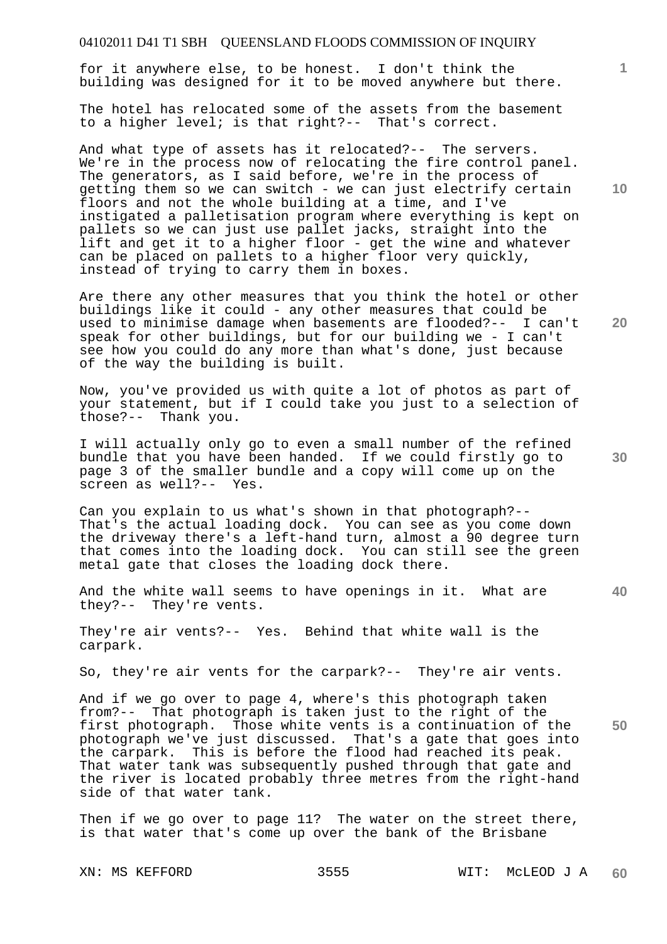for it anywhere else, to be honest. I don't think the building was designed for it to be moved anywhere but there.

The hotel has relocated some of the assets from the basement to a higher level; is that right?-- That's correct.

And what type of assets has it relocated?-- The servers. We're in the process now of relocating the fire control panel. The generators, as I said before, we're in the process of getting them so we can switch - we can just electrify certain floors and not the whole building at a time, and I've instigated a palletisation program where everything is kept on pallets so we can just use pallet jacks, straight into the lift and get it to a higher floor - get the wine and whatever can be placed on pallets to a higher floor very quickly, instead of trying to carry them in boxes.

Are there any other measures that you think the hotel or other buildings like it could - any other measures that could be used to minimise damage when basements are flooded?-- I can't speak for other buildings, but for our building we - I can't see how you could do any more than what's done, just because of the way the building is built.

Now, you've provided us with quite a lot of photos as part of your statement, but if I could take you just to a selection of those?-- Thank you.

I will actually only go to even a small number of the refined bundle that you have been handed. If we could firstly go to page 3 of the smaller bundle and a copy will come up on the screen as well?-- Yes.

Can you explain to us what's shown in that photograph?-- That's the actual loading dock. You can see as you come down the driveway there's a left-hand turn, almost a 90 degree turn that comes into the loading dock. You can still see the green metal gate that closes the loading dock there.

And the white wall seems to have openings in it. What are they?-- They're vents.

They're air vents?-- Yes. Behind that white wall is the carpark.

So, they're air vents for the carpark?-- They're air vents.

And if we go over to page 4, where's this photograph taken from?-- That photograph is taken just to the right of the first photograph. Those white vents is a continuation of the photograph we've just discussed. That's a gate that goes into the carpark. This is before the flood had reached its peak. That water tank was subsequently pushed through that gate and the river is located probably three metres from the right-hand side of that water tank.

Then if we go over to page 11? The water on the street there, is that water that's come up over the bank of the Brisbane

XN: MS KEFFORD 3555 WIT: MCLEOD J A **60** 

**10** 

**1**

**20** 

**40**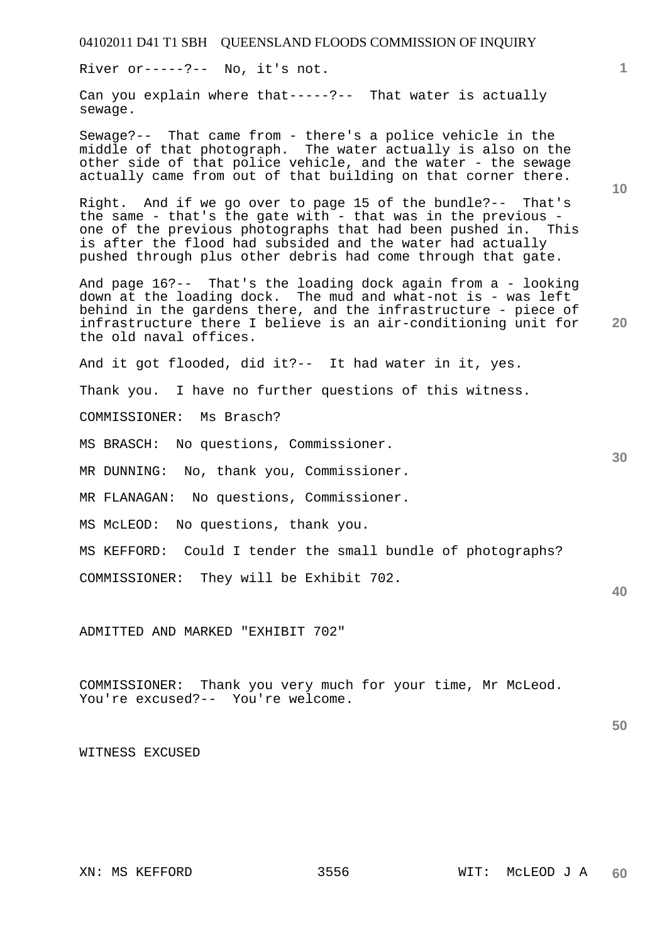River or-----?-- No, it's not.

Can you explain where that-----?-- That water is actually sewage.

Sewage?-- That came from - there's a police vehicle in the middle of that photograph. The water actually is also on the other side of that police vehicle, and the water - the sewage actually came from out of that building on that corner there.

Right. And if we go over to page 15 of the bundle?-- That's the same - that's the gate with - that was in the previous one of the previous photographs that had been pushed in. This is after the flood had subsided and the water had actually pushed through plus other debris had come through that gate.

And page 16?-- That's the loading dock again from a - looking down at the loading dock. The mud and what-not is - was left behind in the gardens there, and the infrastructure - piece of infrastructure there I believe is an air-conditioning unit for the old naval offices.

And it got flooded, did it?-- It had water in it, yes.

Thank you. I have no further questions of this witness.

COMMISSIONER: Ms Brasch?

MS BRASCH: No questions, Commissioner.

MR DUNNING: No, thank you, Commissioner.

MR FLANAGAN: No questions, Commissioner.

MS McLEOD: No questions, thank you.

MS KEFFORD: Could I tender the small bundle of photographs?

COMMISSIONER: They will be Exhibit 702.

ADMITTED AND MARKED "EXHIBIT 702"

COMMISSIONER: Thank you very much for your time, Mr McLeod. You're excused?-- You're welcome.

**50** 

WITNESS EXCUSED

**10** 

**1**

**30** 

**40**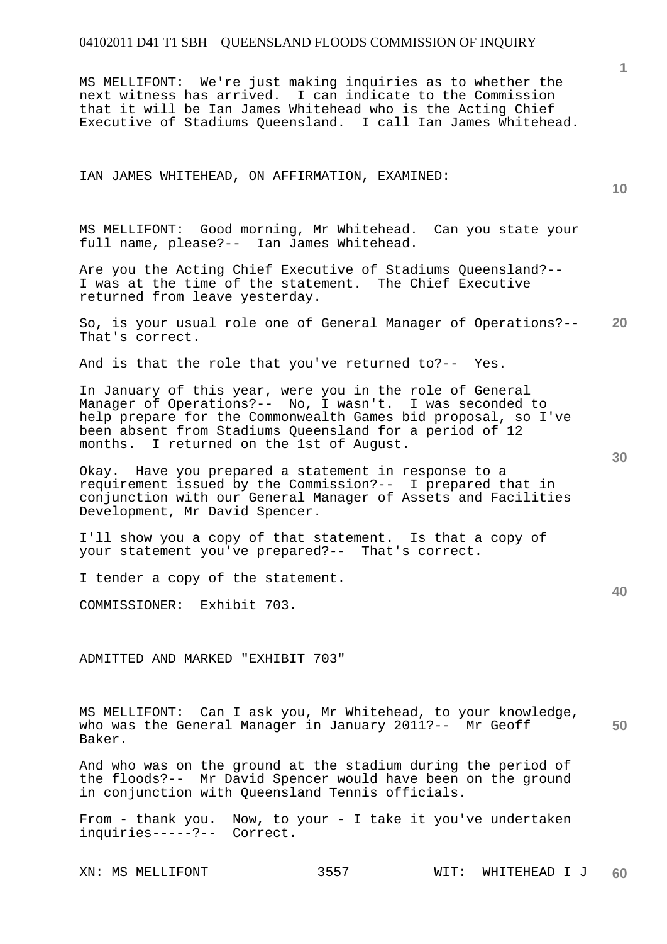MS MELLIFONT: We're just making inquiries as to whether the next witness has arrived. I can indicate to the Commission that it will be Ian James Whitehead who is the Acting Chief Executive of Stadiums Queensland. I call Ian James Whitehead.

#### IAN JAMES WHITEHEAD, ON AFFIRMATION, EXAMINED:

**10** 

**1**

MS MELLIFONT: Good morning, Mr Whitehead. Can you state your full name, please?-- Ian James Whitehead.

Are you the Acting Chief Executive of Stadiums Queensland?-- I was at the time of the statement. The Chief Executive returned from leave yesterday.

**20**  So, is your usual role one of General Manager of Operations?-- That's correct.

And is that the role that you've returned to?-- Yes.

In January of this year, were you in the role of General Manager of Operations?-- No, I wasn't. I was seconded to help prepare for the Commonwealth Games bid proposal, so I've been absent from Stadiums Queensland for a period of 12 months. I returned on the 1st of August.

Okay. Have you prepared a statement in response to a requirement issued by the Commission?-- I prepared that in conjunction with our General Manager of Assets and Facilities Development, Mr David Spencer.

I'll show you a copy of that statement. Is that a copy of your statement you've prepared?-- That's correct.

I tender a copy of the statement.

COMMISSIONER: Exhibit 703.

ADMITTED AND MARKED "EXHIBIT 703"

**50**  MS MELLIFONT: Can I ask you, Mr Whitehead, to your knowledge, who was the General Manager in January 2011?-- Mr Geoff Baker.

And who was on the ground at the stadium during the period of the floods?-- Mr David Spencer would have been on the ground in conjunction with Queensland Tennis officials.

From - thank you. Now, to your - I take it you've undertaken inquiries-----?-- Correct.

**30**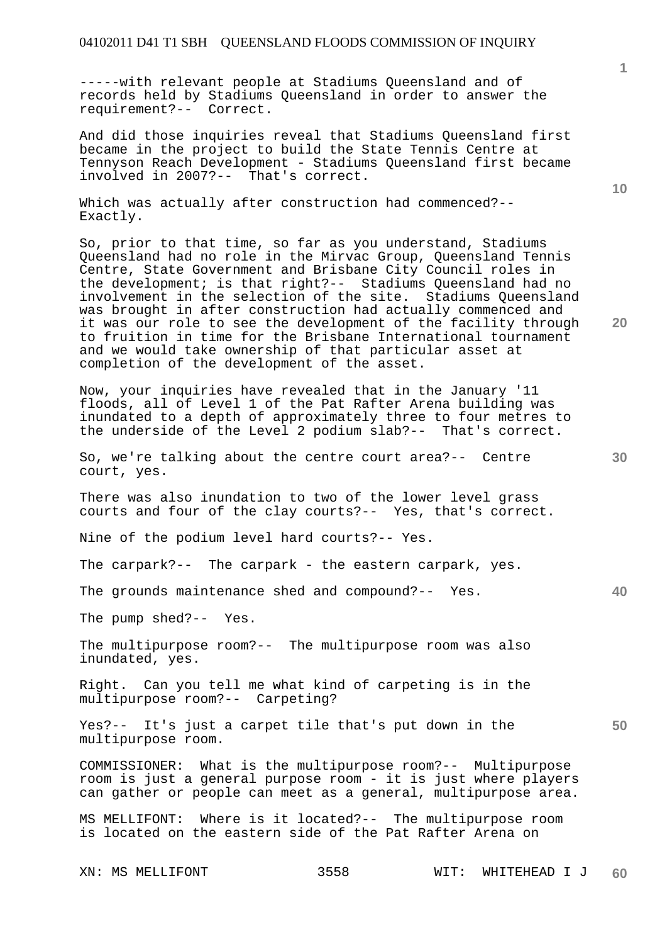-----with relevant people at Stadiums Queensland and of records held by Stadiums Queensland in order to answer the requirement?-- Correct.

And did those inquiries reveal that Stadiums Queensland first became in the project to build the State Tennis Centre at Tennyson Reach Development - Stadiums Queensland first became involved in 2007?-- That's correct.

Which was actually after construction had commenced?-- Exactly.

So, prior to that time, so far as you understand, Stadiums Queensland had no role in the Mirvac Group, Queensland Tennis Centre, State Government and Brisbane City Council roles in the development; is that right?-- Stadiums Queensland had no involvement in the selection of the site. Stadiums Queensland was brought in after construction had actually commenced and it was our role to see the development of the facility through to fruition in time for the Brisbane International tournament and we would take ownership of that particular asset at completion of the development of the asset.

Now, your inquiries have revealed that in the January '11 floods, all of Level 1 of the Pat Rafter Arena building was inundated to a depth of approximately three to four metres to the underside of the Level 2 podium slab?-- That's correct.

So, we're talking about the centre court area?-- Centre court, yes.

There was also inundation to two of the lower level grass courts and four of the clay courts?-- Yes, that's correct.

Nine of the podium level hard courts?-- Yes.

The carpark?-- The carpark - the eastern carpark, yes.

The grounds maintenance shed and compound?-- Yes.

The pump shed?-- Yes.

The multipurpose room?-- The multipurpose room was also inundated, yes.

Right. Can you tell me what kind of carpeting is in the multipurpose room?-- Carpeting?

Yes?-- It's just a carpet tile that's put down in the multipurpose room.

COMMISSIONER: What is the multipurpose room?-- Multipurpose room is just a general purpose room - it is just where players can gather or people can meet as a general, multipurpose area.

MS MELLIFONT: Where is it located?-- The multipurpose room is located on the eastern side of the Pat Rafter Arena on

**10** 

**1**

**20** 

**40**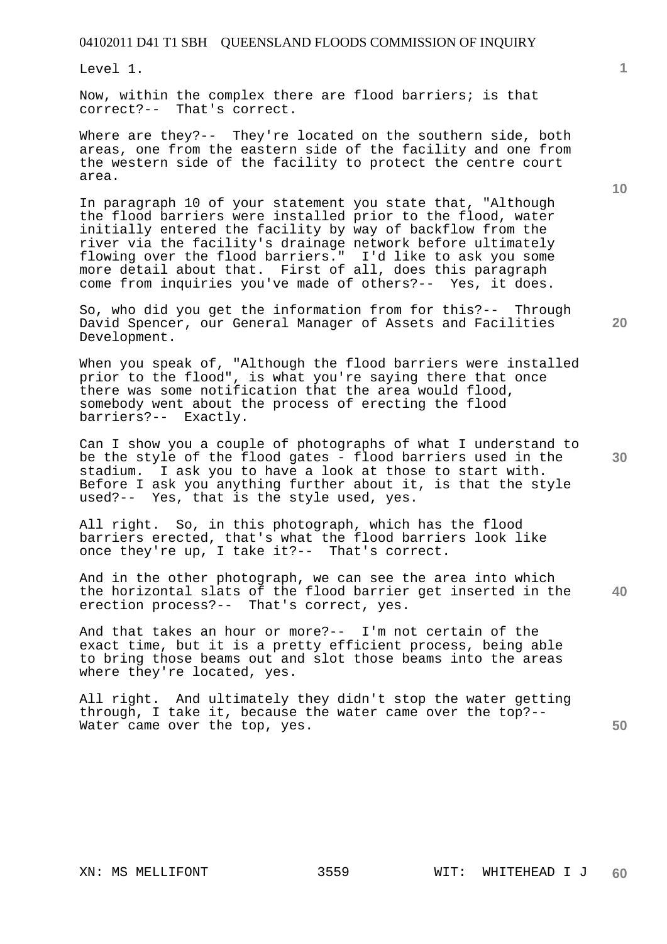Level 1.

Now, within the complex there are flood barriers; is that correct?-- That's correct.

Where are they?-- They're located on the southern side, both areas, one from the eastern side of the facility and one from the western side of the facility to protect the centre court area.

In paragraph 10 of your statement you state that, "Although the flood barriers were installed prior to the flood, water initially entered the facility by way of backflow from the river via the facility's drainage network before ultimately flowing over the flood barriers." I'd like to ask you some more detail about that. First of all, does this paragraph come from inquiries you've made of others?-- Yes, it does.

So, who did you get the information from for this?-- Through David Spencer, our General Manager of Assets and Facilities Development.

When you speak of, "Although the flood barriers were installed prior to the flood", is what you're saying there that once there was some notification that the area would flood, somebody went about the process of erecting the flood barriers?-- Exactly.

Can I show you a couple of photographs of what I understand to be the style of the flood gates - flood barriers used in the stadium. I ask you to have a look at those to start with. Before I ask you anything further about it, is that the style used?-- Yes, that is the style used, yes.

All right. So, in this photograph, which has the flood barriers erected, that's what the flood barriers look like once they're up, I take it?-- That's correct. once they're up, I take  $it? --$ 

**40**  And in the other photograph, we can see the area into which the horizontal slats of the flood barrier get inserted in the erection process?-- That's correct, yes.

And that takes an hour or more?-- I'm not certain of the exact time, but it is a pretty efficient process, being able to bring those beams out and slot those beams into the areas where they're located, yes.

All right. And ultimately they didn't stop the water getting through, I take it, because the water came over the top?-- Water came over the top, yes.

**1**

**20** 

**50**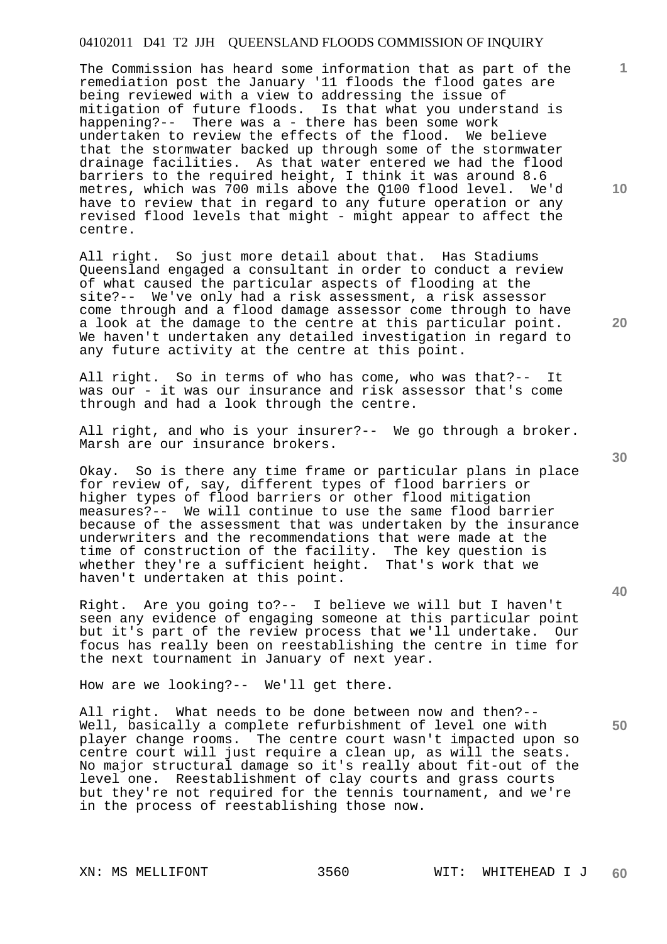The Commission has heard some information that as part of the remediation post the January '11 floods the flood gates are being reviewed with a view to addressing the issue of mitigation of future floods. Is that what you understand is happening?-- There was a - there has been some work undertaken to review the effects of the flood. We believe that the stormwater backed up through some of the stormwater drainage facilities. As that water entered we had the flood barriers to the required height, I think it was around 8.6 metres, which was 700 mils above the Q100 flood level. We'd have to review that in regard to any future operation or any revised flood levels that might - might appear to affect the centre.

All right. So just more detail about that. Has Stadiums Queensland engaged a consultant in order to conduct a review of what caused the particular aspects of flooding at the site?-- We've only had a risk assessment, a risk assessor come through and a flood damage assessor come through to have a look at the damage to the centre at this particular point. We haven't undertaken any detailed investigation in regard to any future activity at the centre at this point.

All right. So in terms of who has come, who was that?-- It was our - it was our insurance and risk assessor that's come through and had a look through the centre.

All right, and who is your insurer?-- We go through a broker. Marsh are our insurance brokers.

Okay. So is there any time frame or particular plans in place for review of, say, different types of flood barriers or higher types of flood barriers or other flood mitigation measures?-- We will continue to use the same flood barrier because of the assessment that was undertaken by the insurance underwriters and the recommendations that were made at the time of construction of the facility. The key question is whether they're a sufficient height. That's work that we haven't undertaken at this point.

Right. Are you going to?-- I believe we will but I haven't seen any evidence of engaging someone at this particular point but it's part of the review process that we'll undertake. Our focus has really been on reestablishing the centre in time for the next tournament in January of next year.

How are we looking?-- We'll get there.

All right. What needs to be done between now and then?-- Well, basically a complete refurbishment of level one with player change rooms. The centre court wasn't impacted upon so centre court will just require a clean up, as will the seats. No major structural damage so it's really about fit-out of the level one. Reestablishment of clay courts and grass courts but they're not required for the tennis tournament, and we're in the process of reestablishing those now.

**40** 

**20** 

**1**

**10**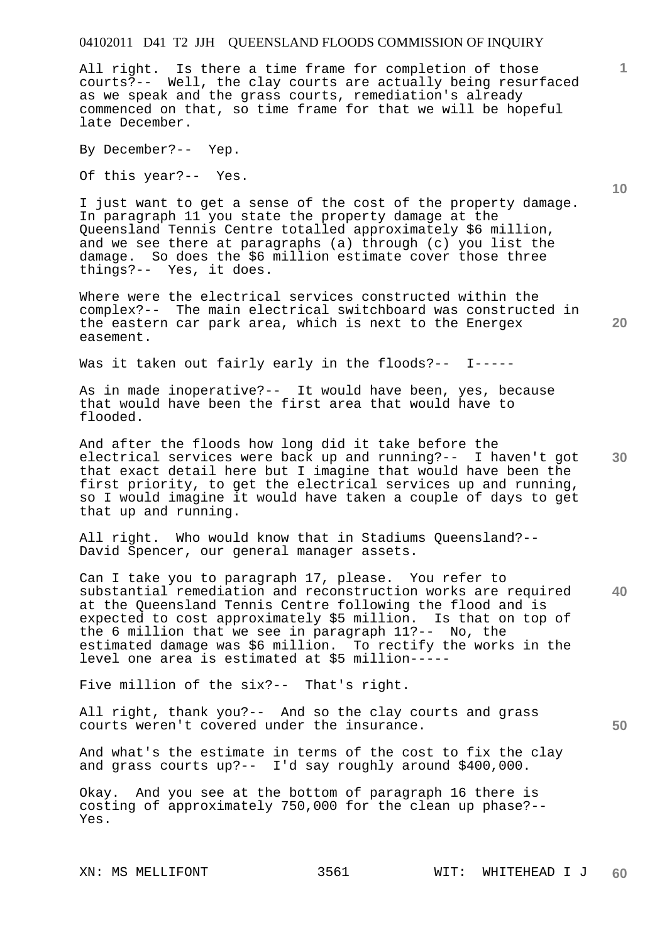All right. Is there a time frame for completion of those courts?-- Well, the clay courts are actually being resurfaced as we speak and the grass courts, remediation's already commenced on that, so time frame for that we will be hopeful late December.

By December?-- Yep.

Of this year?-- Yes.

I just want to get a sense of the cost of the property damage. In paragraph 11 you state the property damage at the Queensland Tennis Centre totalled approximately \$6 million, and we see there at paragraphs (a) through (c) you list the damage. So does the \$6 million estimate cover those three things?-- Yes, it does.

Where were the electrical services constructed within the complex?-- The main electrical switchboard was constructed in the eastern car park area, which is next to the Energex easement.

Was it taken out fairly early in the floods?-- I-----

As in made inoperative?-- It would have been, yes, because that would have been the first area that would have to flooded.

**30**  And after the floods how long did it take before the electrical services were back up and running?-- I haven't got that exact detail here but I imagine that would have been the first priority, to get the electrical services up and running, so I would imagine it would have taken a couple of days to get that up and running.

All right. Who would know that in Stadiums Queensland?-- David Spencer, our general manager assets.

**40**  Can I take you to paragraph 17, please. You refer to substantial remediation and reconstruction works are required at the Queensland Tennis Centre following the flood and is expected to cost approximately \$5 million. Is that on top of the 6 million that we see in paragraph 11?-- No, the estimated damage was \$6 million. To rectify the works in the level one area is estimated at \$5 million-----

Five million of the six?-- That's right.

All right, thank you?-- And so the clay courts and grass courts weren't covered under the insurance.

And what's the estimate in terms of the cost to fix the clay and grass courts up?-- I'd say roughly around \$400,000.

Okay. And you see at the bottom of paragraph 16 there is costing of approximately 750,000 for the clean up phase?-- Yes.

**10** 

**20** 

**1**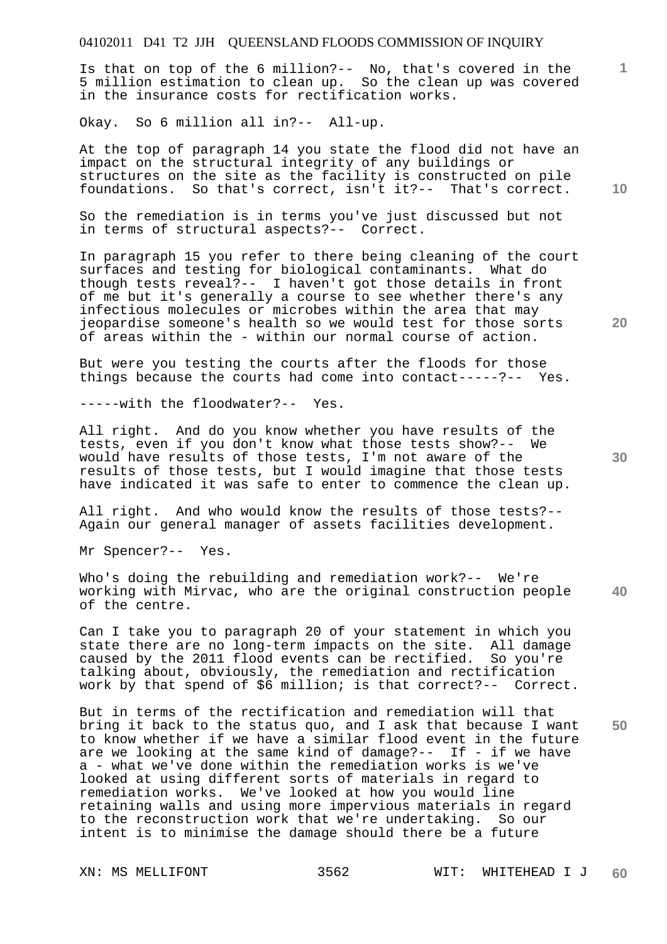Is that on top of the 6 million?-- No, that's covered in the 5 million estimation to clean up. So the clean up was covered in the insurance costs for rectification works.

Okay. So 6 million all in?-- All-up.

At the top of paragraph 14 you state the flood did not have an impact on the structural integrity of any buildings or structures on the site as the facility is constructed on pile foundations. So that's correct, isn't it?-- That's correct.

So the remediation is in terms you've just discussed but not in terms of structural aspects?-- Correct.

In paragraph 15 you refer to there being cleaning of the court surfaces and testing for biological contaminants. What do though tests reveal?-- I haven't got those details in front of me but it's generally a course to see whether there's any infectious molecules or microbes within the area that may jeopardise someone's health so we would test for those sorts of areas within the - within our normal course of action.

But were you testing the courts after the floods for those things because the courts had come into contact-----?-- Yes.

-----with the floodwater?-- Yes.

All right. And do you know whether you have results of the tests, even if you don't know what those tests show?-- We would have results of those tests, I'm not aware of the results of those tests, but I would imagine that those tests have indicated it was safe to enter to commence the clean up.

All right. And who would know the results of those tests?-- Again our general manager of assets facilities development.

Mr Spencer?-- Yes.

Who's doing the rebuilding and remediation work?-- We're working with Mirvac, who are the original construction people of the centre.

Can I take you to paragraph 20 of your statement in which you state there are no long-term impacts on the site. All damage caused by the 2011 flood events can be rectified. So you're talking about, obviously, the remediation and rectification work by that spend of \$6 million; is that correct?-- Correct.

But in terms of the rectification and remediation will that bring it back to the status quo, and I ask that because I want to know whether if we have a similar flood event in the future are we looking at the same kind of damage?-- If - if we have a - what we've done within the remediation works is we've looked at using different sorts of materials in regard to remediation works. We've looked at how you would line retaining walls and using more impervious materials in regard to the reconstruction work that we're undertaking. So our intent is to minimise the damage should there be a future

**10** 

**1**

**30** 

**20**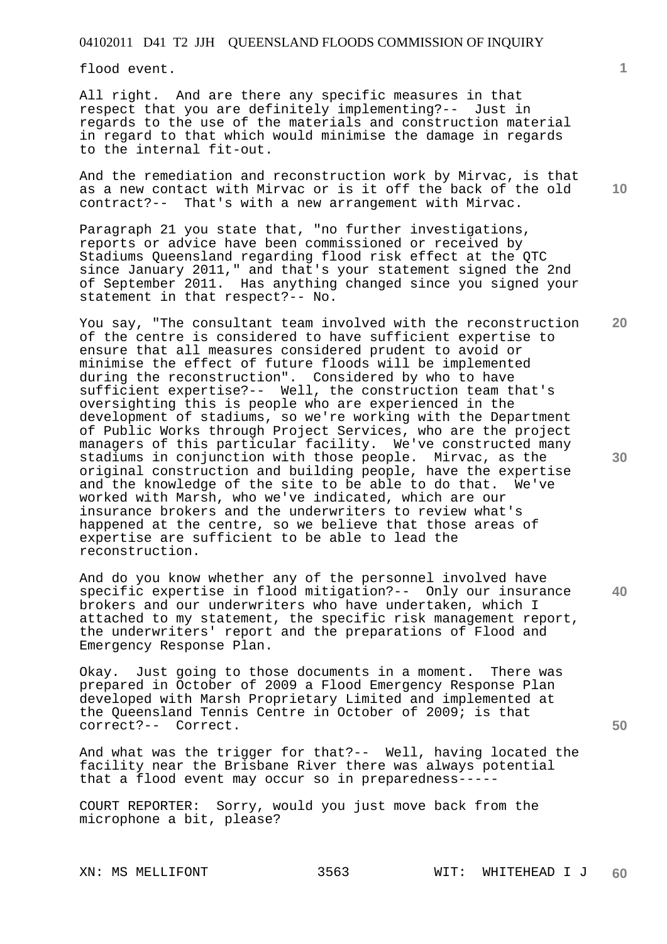flood event.

All right. And are there any specific measures in that respect that you are definitely implementing?-- Just in regards to the use of the materials and construction material in regard to that which would minimise the damage in regards to the internal fit-out.

And the remediation and reconstruction work by Mirvac, is that as a new contact with Mirvac or is it off the back of the old contract?-- That's with a new arrangement with Mirvac.

Paragraph 21 you state that, "no further investigations, reports or advice have been commissioned or received by Stadiums Queensland regarding flood risk effect at the QTC since January 2011," and that's your statement signed the 2nd of September 2011. Has anything changed since you signed your statement in that respect?-- No.

You say, "The consultant team involved with the reconstruction of the centre is considered to have sufficient expertise to ensure that all measures considered prudent to avoid or minimise the effect of future floods will be implemented during the reconstruction". Considered by who to have sufficient expertise?-- Well, the construction team that's oversighting this is people who are experienced in the development of stadiums, so we're working with the Department of Public Works through Project Services, who are the project managers of this particular facility. We've constructed many stadiums in conjunction with those people. Mirvac, as the original construction and building people, have the expertise<br>and the knowledge of the site to be able to do that. We've and the knowledge of the site to be able to do that. worked with Marsh, who we've indicated, which are our insurance brokers and the underwriters to review what's happened at the centre, so we believe that those areas of expertise are sufficient to be able to lead the reconstruction.

**40**  And do you know whether any of the personnel involved have specific expertise in flood mitigation?-- Only our insurance brokers and our underwriters who have undertaken, which I attached to my statement, the specific risk management report, the underwriters' report and the preparations of Flood and Emergency Response Plan.

Okay. Just going to those documents in a moment. There was prepared in October of 2009 a Flood Emergency Response Plan developed with Marsh Proprietary Limited and implemented at the Queensland Tennis Centre in October of 2009; is that correct?-- Correct.

And what was the trigger for that?-- Well, having located the facility near the Brisbane River there was always potential that a flood event may occur so in preparedness-----

COURT REPORTER: Sorry, would you just move back from the microphone a bit, please?

**10** 

**20** 

**30**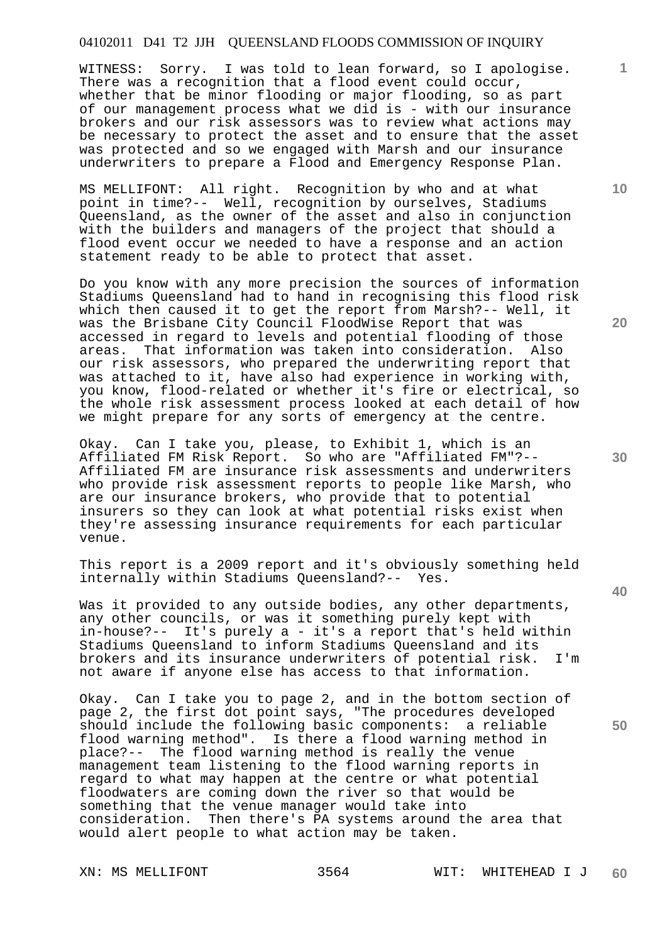WITNESS: Sorry. I was told to lean forward, so I apologise. There was a recognition that a flood event could occur, whether that be minor flooding or major flooding, so as part of our management process what we did is - with our insurance brokers and our risk assessors was to review what actions may be necessary to protect the asset and to ensure that the asset was protected and so we engaged with Marsh and our insurance underwriters to prepare a Flood and Emergency Response Plan.

MS MELLIFONT: All right. Recognition by who and at what point in time?-- Well, recognition by ourselves, Stadiums Queensland, as the owner of the asset and also in conjunction with the builders and managers of the project that should a flood event occur we needed to have a response and an action statement ready to be able to protect that asset.

Do you know with any more precision the sources of information Stadiums Queensland had to hand in recognising this flood risk which then caused it to get the report from Marsh?-- Well, it was the Brisbane City Council FloodWise Report that was accessed in regard to levels and potential flooding of those<br>areas. That information was taken into consideration. Also areas. That information was taken into consideration. our risk assessors, who prepared the underwriting report that was attached to it, have also had experience in working with, you know, flood-related or whether it's fire or electrical, so the whole risk assessment process looked at each detail of how we might prepare for any sorts of emergency at the centre.

Okay. Can I take you, please, to Exhibit 1, which is an Affiliated FM Risk Report. So who are "Affiliated FM"?-- Affiliated FM are insurance risk assessments and underwriters who provide risk assessment reports to people like Marsh, who are our insurance brokers, who provide that to potential insurers so they can look at what potential risks exist when they're assessing insurance requirements for each particular venue.

This report is a 2009 report and it's obviously something held internally within Stadiums Queensland?-- Yes.

Was it provided to any outside bodies, any other departments, any other councils, or was it something purely kept with in-house?-- It's purely a - it's a report that's held within Stadiums Queensland to inform Stadiums Queensland and its brokers and its insurance underwriters of potential risk. I'm not aware if anyone else has access to that information.

Okay. Can I take you to page 2, and in the bottom section of page 2, the first dot point says, "The procedures developed should include the following basic components: a reliable flood warning method". Is there a flood warning method in place?-- The flood warning method is really the venue management team listening to the flood warning reports in regard to what may happen at the centre or what potential floodwaters are coming down the river so that would be something that the venue manager would take into consideration. Then there's PA systems around the area that would alert people to what action may be taken.

**10** 

**1**

**30** 

**20**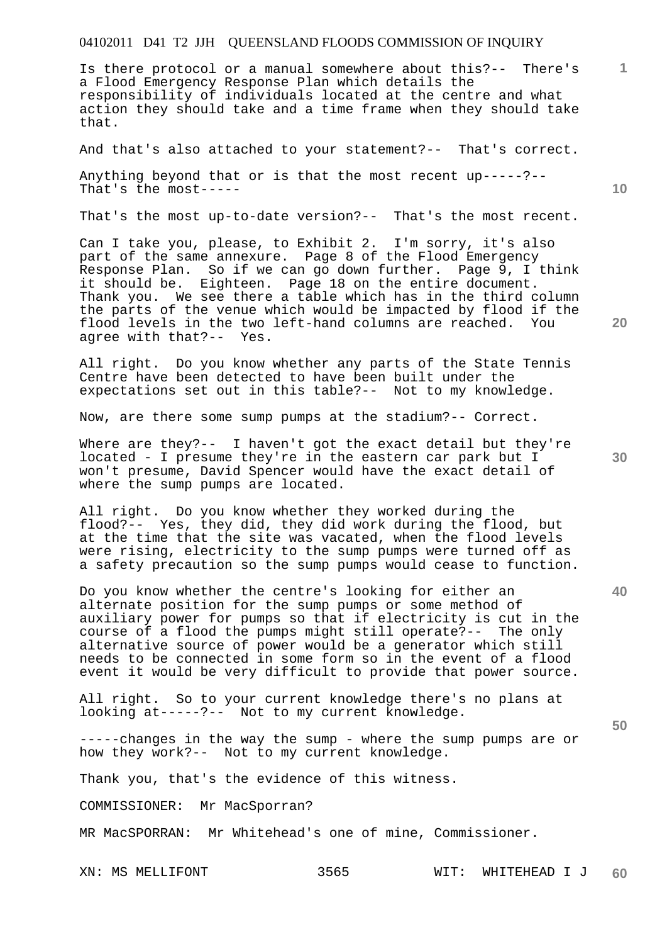Is there protocol or a manual somewhere about this?-- There's a Flood Emergency Response Plan which details the responsibility of individuals located at the centre and what action they should take and a time frame when they should take that.

And that's also attached to your statement?-- That's correct.

Anything beyond that or is that the most recent up-----?-- That's the most-----

That's the most up-to-date version?-- That's the most recent.

Can I take you, please, to Exhibit 2. I'm sorry, it's also part of the same annexure. Page 8 of the Flood Emergency Response Plan. So if we can go down further. Page 9, I think it should be. Eighteen. Page 18 on the entire document. Thank you. We see there a table which has in the third column the parts of the venue which would be impacted by flood if the flood levels in the two left-hand columns are reached. You agree with that?-- Yes. agree with that?--

All right. Do you know whether any parts of the State Tennis Centre have been detected to have been built under the expectations set out in this table?-- Not to my knowledge.

Now, are there some sump pumps at the stadium?-- Correct.

Where are they?-- I haven't got the exact detail but they're located - I presume they're in the eastern car park but I won't presume, David Spencer would have the exact detail of where the sump pumps are located.

All right. Do you know whether they worked during the flood?-- Yes, they did, they did work during the flood, but at the time that the site was vacated, when the flood levels were rising, electricity to the sump pumps were turned off as a safety precaution so the sump pumps would cease to function.

Do you know whether the centre's looking for either an alternate position for the sump pumps or some method of auxiliary power for pumps so that if electricity is cut in the course of a flood the pumps might still operate?-- The only alternative source of power would be a generator which still needs to be connected in some form so in the event of a flood event it would be very difficult to provide that power source.

All right. So to your current knowledge there's no plans at looking at-----?-- Not to my current knowledge.

-----changes in the way the sump - where the sump pumps are or how they work?-- Not to my current knowledge.

Thank you, that's the evidence of this witness.

COMMISSIONER: Mr MacSporran?

MR MacSPORRAN: Mr Whitehead's one of mine, Commissioner.

**30** 

**20** 

**40** 

**50** 

**10**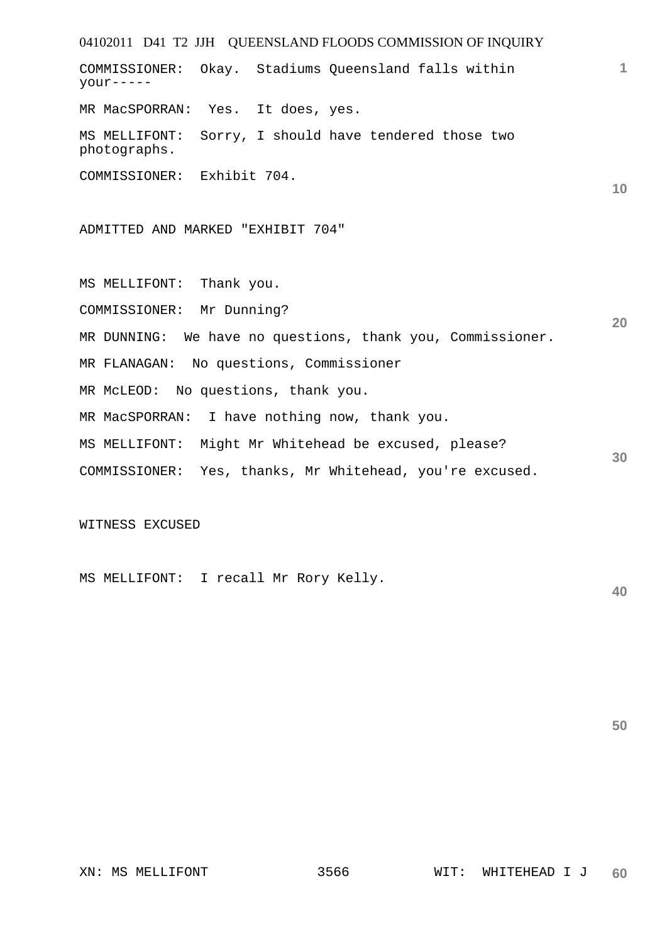04102011 D41 T2 JJH QUEENSLAND FLOODS COMMISSION OF INQUIRY **1 10 20 30**  COMMISSIONER: Okay. Stadiums Queensland falls within your----- MR MacSPORRAN: Yes. It does, yes. MS MELLIFONT: Sorry, I should have tendered those two photographs. COMMISSIONER: Exhibit 704. ADMITTED AND MARKED "EXHIBIT 704" MS MELLIFONT: Thank you. COMMISSIONER: Mr Dunning? MR DUNNING: We have no questions, thank you, Commissioner. MR FLANAGAN: No questions, Commissioner MR McLEOD: No questions, thank you. MR MacSPORRAN: I have nothing now, thank you. MS MELLIFONT: Might Mr Whitehead be excused, please? COMMISSIONER: Yes, thanks, Mr Whitehead, you're excused.

WITNESS EXCUSED

MS MELLIFONT: I recall Mr Rory Kelly.

**50**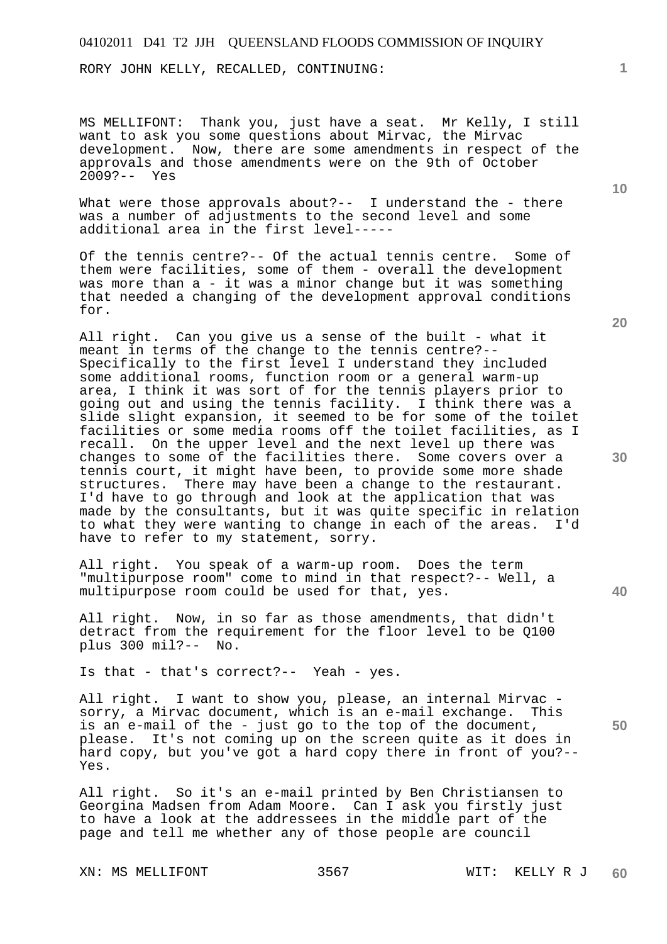RORY JOHN KELLY, RECALLED, CONTINUING:

MS MELLIFONT: Thank you, just have a seat. Mr Kelly, I still want to ask you some questions about Mirvac, the Mirvac development. Now, there are some amendments in respect of the approvals and those amendments were on the 9th of October 2009?-- Yes

What were those approvals about?-- I understand the - there was a number of adjustments to the second level and some additional area in the first level-----

Of the tennis centre?-- Of the actual tennis centre. Some of them were facilities, some of them - overall the development was more than a - it was a minor change but it was something that needed a changing of the development approval conditions for.

All right. Can you give us a sense of the built - what it meant in terms of the change to the tennis centre?-- Specifically to the first level I understand they included some additional rooms, function room or a general warm-up area, I think it was sort of for the tennis players prior to going out and using the tennis facility. I think there was a slide slight expansion, it seemed to be for some of the toilet facilities or some media rooms off the toilet facilities, as I recall. On the upper level and the next level up there was changes to some of the facilities there. Some covers over a tennis court, it might have been, to provide some more shade structures. There may have been a change to the restaurant. I'd have to go through and look at the application that was made by the consultants, but it was quite specific in relation to what they were wanting to change in each of the areas. I'd have to refer to my statement, sorry.

All right. You speak of a warm-up room. Does the term "multipurpose room" come to mind in that respect?-- Well, a multipurpose room could be used for that, yes.

All right. Now, in so far as those amendments, that didn't detract from the requirement for the floor level to be Q100 plus 300 mil?-- No.

Is that - that's correct?-- Yeah - yes.

All right. I want to show you, please, an internal Mirvac sorry, a Mirvac document, which is an e-mail exchange. This is an e-mail of the - just go to the top of the document, please. It's not coming up on the screen quite as it does in hard copy, but you've got a hard copy there in front of you?-- Yes.

All right. So it's an e-mail printed by Ben Christiansen to Georgina Madsen from Adam Moore. Can I ask you firstly just to have a look at the addressees in the middle part of the page and tell me whether any of those people are council

XN: MS MELLIFONT 3567 WIT: KELLY R J

**20** 

**40** 

**50** 

**10**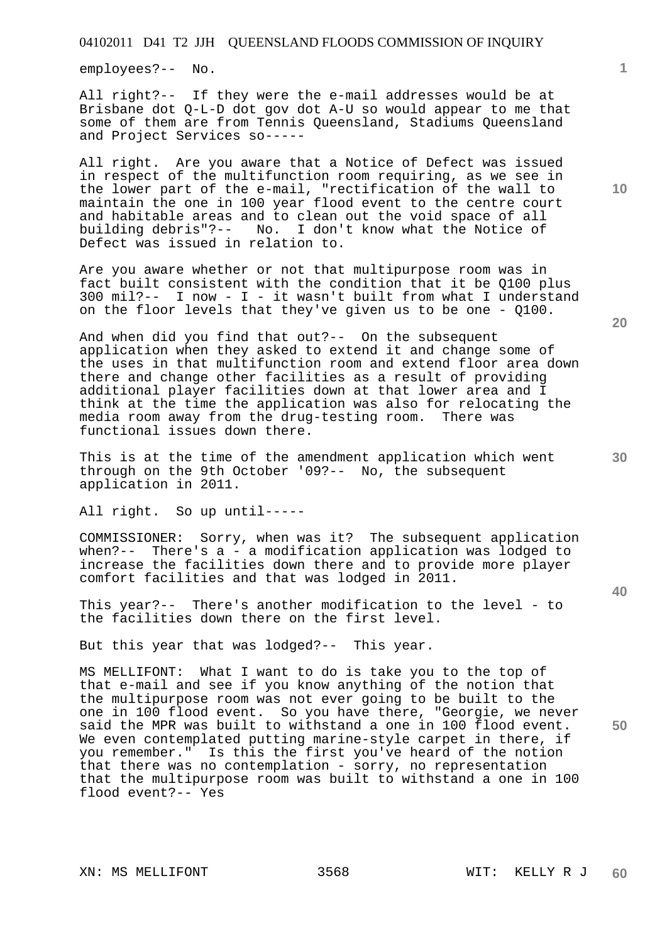employees?-- No.

All right?-- If they were the e-mail addresses would be at Brisbane dot Q-L-D dot gov dot A-U so would appear to me that some of them are from Tennis Queensland, Stadiums Queensland and Project Services so-----

All right. Are you aware that a Notice of Defect was issued in respect of the multifunction room requiring, as we see in the lower part of the e-mail, "rectification of the wall to maintain the one in 100 year flood event to the centre court and habitable areas and to clean out the void space of all<br>building debris"?-- No. I don't know what the Notice of No. I don't know what the Notice of Defect was issued in relation to.

Are you aware whether or not that multipurpose room was in fact built consistent with the condition that it be Q100 plus 300 mil?-- I now - I - it wasn't built from what I understand on the floor levels that they've given us to be one - Q100.

And when did you find that out?-- On the subsequent application when they asked to extend it and change some of the uses in that multifunction room and extend floor area down there and change other facilities as a result of providing additional player facilities down at that lower area and I think at the time the application was also for relocating the media room away from the drug-testing room. There was functional issues down there.

This is at the time of the amendment application which went through on the 9th October '09?-- No, the subsequent application in 2011.

All right. So up until-----

COMMISSIONER: Sorry, when was it? The subsequent application when?-- There's a - a modification application was lodged to increase the facilities down there and to provide more player comfort facilities and that was lodged in 2011.

This year?-- There's another modification to the level - to the facilities down there on the first level.

But this year that was lodged?-- This year.

MS MELLIFONT: What I want to do is take you to the top of that e-mail and see if you know anything of the notion that the multipurpose room was not ever going to be built to the one in 100 flood event. So you have there, "Georgie, we never said the MPR was built to withstand a one in 100 flood event. We even contemplated putting marine-style carpet in there, if you remember." Is this the first you've heard of the notion that there was no contemplation - sorry, no representation that the multipurpose room was built to withstand a one in 100 flood event?-- Yes

XN: MS MELLIFONT 3568 WIT: KELLY R J

**10** 

**1**

**30** 

**20**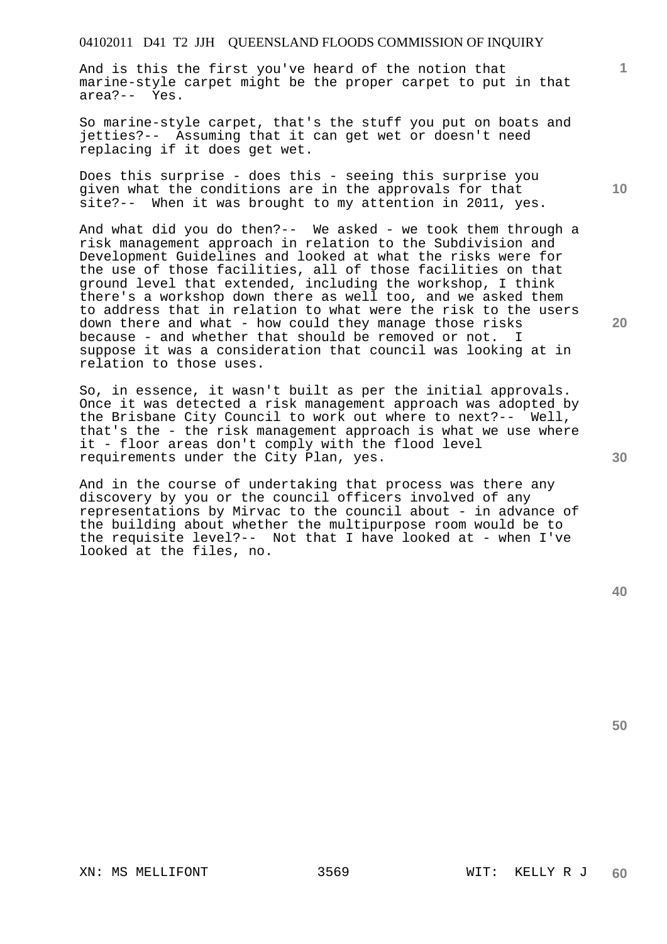And is this the first you've heard of the notion that marine-style carpet might be the proper carpet to put in that area?-- Yes.

So marine-style carpet, that's the stuff you put on boats and jetties?-- Assuming that it can get wet or doesn't need replacing if it does get wet.

Does this surprise - does this - seeing this surprise you given what the conditions are in the approvals for that site?-- When it was brought to my attention in 2011, yes.

And what did you do then?-- We asked - we took them through a risk management approach in relation to the Subdivision and Development Guidelines and looked at what the risks were for the use of those facilities, all of those facilities on that ground level that extended, including the workshop, I think there's a workshop down there as well too, and we asked them to address that in relation to what were the risk to the users down there and what - how could they manage those risks because - and whether that should be removed or not. I suppose it was a consideration that council was looking at in relation to those uses.

So, in essence, it wasn't built as per the initial approvals. Once it was detected a risk management approach was adopted by the Brisbane City Council to work out where to next?-- Well, that's the - the risk management approach is what we use where it - floor areas don't comply with the flood level requirements under the City Plan, yes.

And in the course of undertaking that process was there any discovery by you or the council officers involved of any representations by Mirvac to the council about - in advance of the building about whether the multipurpose room would be to the requisite level?-- Not that I have looked at - when I've looked at the files, no.

**50** 

XN: MS MELLIFONT 3569 WIT: KELLY R J

**10** 

**1**

**20**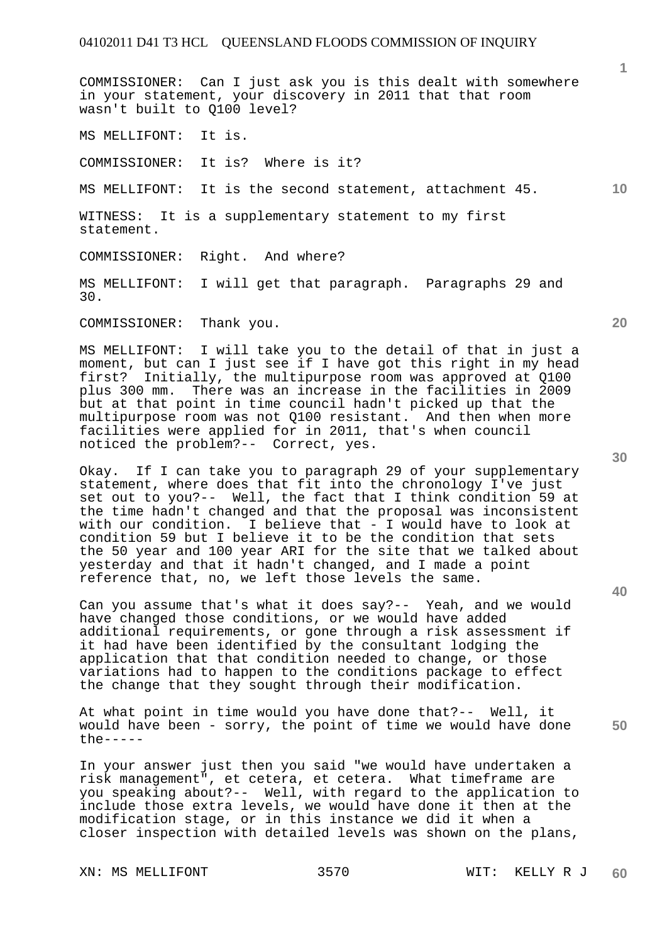COMMISSIONER: Can I just ask you is this dealt with somewhere in your statement, your discovery in 2011 that that room wasn't built to Q100 level?

MS MELLIFONT: It is.

COMMISSIONER: It is? Where is it?

MS MELLIFONT: It is the second statement, attachment 45.

WITNESS: It is a supplementary statement to my first statement.

COMMISSIONER: Right. And where?

MS MELLIFONT: I will get that paragraph. Paragraphs 29 and 30.

COMMISSIONER: Thank you.

MS MELLIFONT: I will take you to the detail of that in just a moment, but can I just see if I have got this right in my head first? Initially, the multipurpose room was approved at Q100 plus 300 mm. There was an increase in the facilities in 2009 but at that point in time council hadn't picked up that the multipurpose room was not Q100 resistant. And then when more facilities were applied for in 2011, that's when council noticed the problem?-- Correct, yes.

Okay. If I can take you to paragraph 29 of your supplementary statement, where does that fit into the chronology I've just set out to you?-- Well, the fact that I think condition 59 at the time hadn't changed and that the proposal was inconsistent with our condition. I believe that - I would have to look at condition 59 but I believe it to be the condition that sets the 50 year and 100 year ARI for the site that we talked about yesterday and that it hadn't changed, and I made a point reference that, no, we left those levels the same.

Can you assume that's what it does say?-- Yeah, and we would have changed those conditions, or we would have added additional requirements, or gone through a risk assessment if it had have been identified by the consultant lodging the application that that condition needed to change, or those variations had to happen to the conditions package to effect the change that they sought through their modification.

At what point in time would you have done that?-- Well, it would have been - sorry, the point of time we would have done  $the---$ 

In your answer just then you said "we would have undertaken a risk management", et cetera, et cetera. What timeframe are you speaking about?-- Well, with regard to the application to include those extra levels, we would have done it then at the modification stage, or in this instance we did it when a closer inspection with detailed levels was shown on the plans,

**20** 

**40** 

**50** 

**10**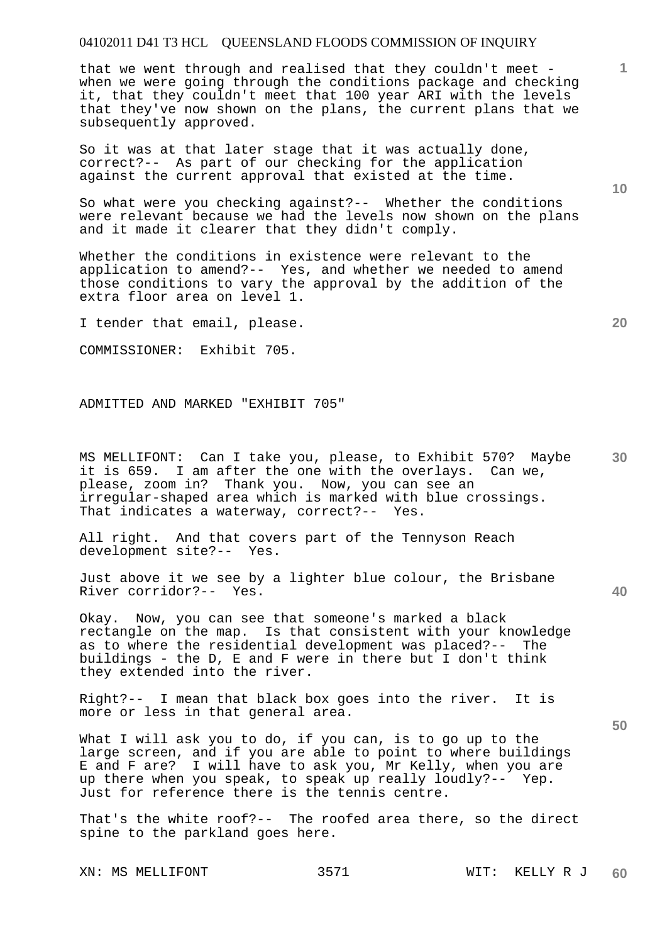that we went through and realised that they couldn't meet when we were going through the conditions package and checking it, that they couldn't meet that 100 year ARI with the levels that they've now shown on the plans, the current plans that we subsequently approved.

So it was at that later stage that it was actually done, correct?-- As part of our checking for the application against the current approval that existed at the time.

So what were you checking against?-- Whether the conditions were relevant because we had the levels now shown on the plans and it made it clearer that they didn't comply.

Whether the conditions in existence were relevant to the application to amend?-- Yes, and whether we needed to amend those conditions to vary the approval by the addition of the extra floor area on level 1.

I tender that email, please.

COMMISSIONER: Exhibit 705.

ADMITTED AND MARKED "EXHIBIT 705"

**30**  MS MELLIFONT: Can I take you, please, to Exhibit 570? Maybe it is 659. I am after the one with the overlays. Can we, please, zoom in? Thank you. Now, you can see an irregular-shaped area which is marked with blue crossings. That indicates a waterway, correct?-- Yes.

All right. And that covers part of the Tennyson Reach development site?-- Yes. development site?--

Just above it we see by a lighter blue colour, the Brisbane River corridor?-- Yes.

Okay. Now, you can see that someone's marked a black rectangle on the map. Is that consistent with your knowledge as to where the residential development was placed?-- The buildings - the D, E and F were in there but I don't think they extended into the river.

Right?-- I mean that black box goes into the river. It is more or less in that general area.

What I will ask you to do, if you can, is to go up to the large screen, and if you are able to point to where buildings E and F are? I will have to ask you, Mr Kelly, when you are up there when you speak, to speak up really loudly?-- Yep. Just for reference there is the tennis centre.

That's the white roof?-- The roofed area there, so the direct spine to the parkland goes here.

XN: MS MELLIFONT 3571 WIT: KELLY R J

**10** 

**20** 

**1**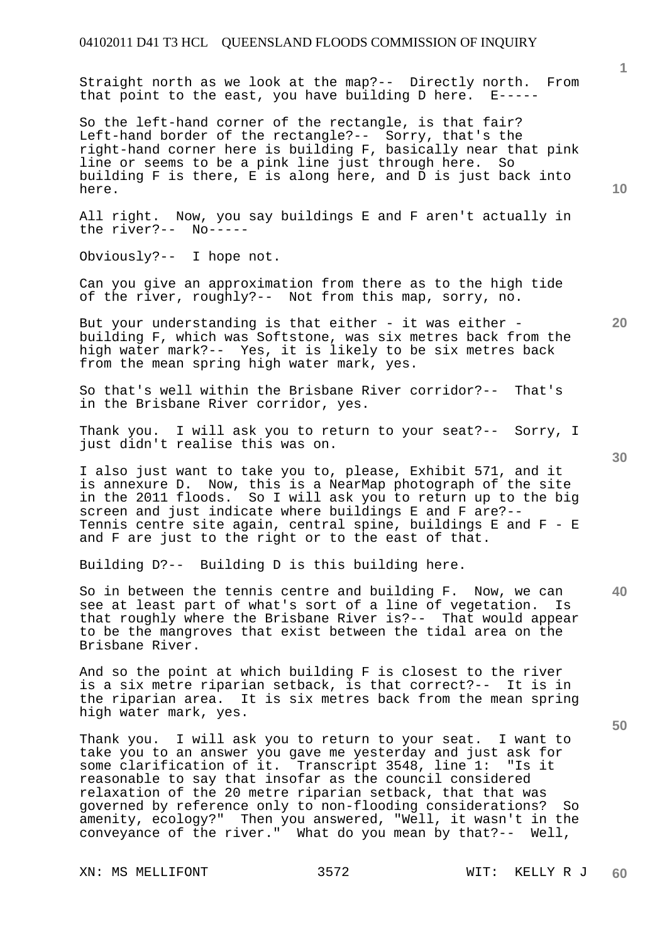Straight north as we look at the map?-- Directly north. From that point to the east, you have building D here. E-----

So the left-hand corner of the rectangle, is that fair? Left-hand border of the rectangle?-- Sorry, that's the right-hand corner here is building F, basically near that pink line or seems to be a pink line just through here. So building F is there, E is along here, and D is just back into here.

All right. Now, you say buildings E and F aren't actually in the river?-- No-----

Obviously?-- I hope not.

Can you give an approximation from there as to the high tide of the river, roughly?-- Not from this map, sorry, no.

But your understanding is that either - it was either building F, which was Softstone, was six metres back from the high water mark?-- Yes, it is likely to be six metres back from the mean spring high water mark, yes.

So that's well within the Brisbane River corridor?-- That's in the Brisbane River corridor, yes.

Thank you. I will ask you to return to your seat?-- Sorry, I just didn't realise this was on.

I also just want to take you to, please, Exhibit 571, and it is annexure D. Now, this is a NearMap photograph of the site in the 2011 floods. So I will ask you to return up to the big screen and just indicate where buildings E and F are?-- Tennis centre site again, central spine, buildings E and F - E and F are just to the right or to the east of that.

Building D?-- Building D is this building here.

So in between the tennis centre and building F. Now, we can see at least part of what's sort of a line of vegetation. Is that roughly where the Brisbane River is?-- That would appear to be the mangroves that exist between the tidal area on the Brisbane River.

And so the point at which building F is closest to the river is a six metre riparian setback, is that correct?-- It is in the riparian area. It is six metres back from the mean spring high water mark, yes.

Thank you. I will ask you to return to your seat. I want to take you to an answer you gave me yesterday and just ask for<br>some clarification of it. Transcript 3548, line 1: "Is it some clarification of it. Transcript 3548, line 1: reasonable to say that insofar as the council considered relaxation of the 20 metre riparian setback, that that was governed by reference only to non-flooding considerations? So amenity, ecology?" Then you answered, "Well, it wasn't in the conveyance of the river." What do you mean by that?-- Well,

XN: MS MELLIFONT 3572 WIT: KELLY R J

**10** 

**20** 

**1**

**30**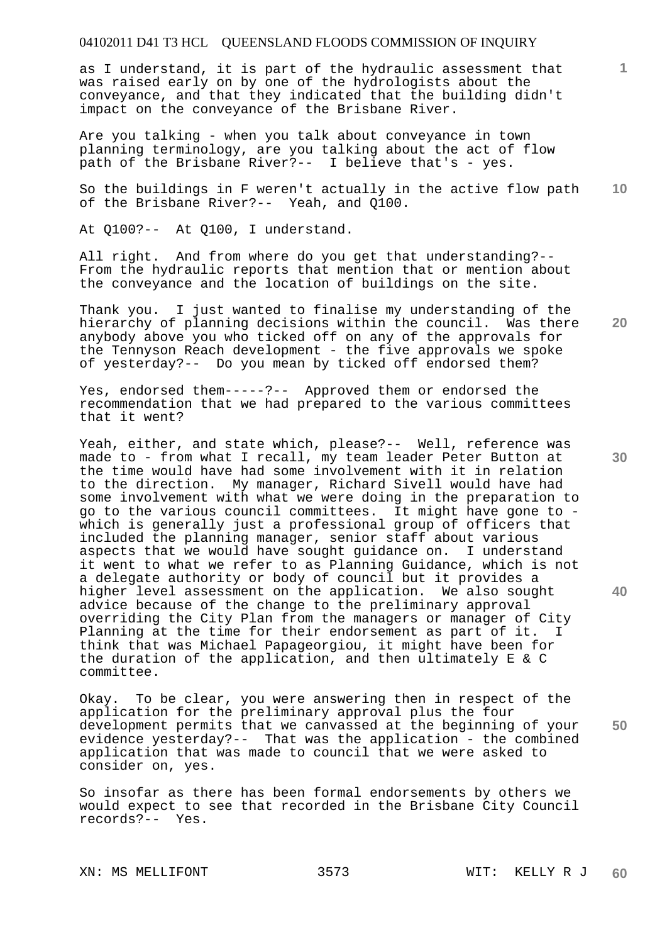as I understand, it is part of the hydraulic assessment that was raised early on by one of the hydrologists about the conveyance, and that they indicated that the building didn't impact on the conveyance of the Brisbane River.

Are you talking - when you talk about conveyance in town planning terminology, are you talking about the act of flow path of the Brisbane River?-- I believe that's - yes.

**10**  So the buildings in F weren't actually in the active flow path of the Brisbane River?-- Yeah, and Q100.

At Q100?-- At Q100, I understand.

All right. And from where do you get that understanding?-- From the hydraulic reports that mention that or mention about the conveyance and the location of buildings on the site.

Thank you. I just wanted to finalise my understanding of the hierarchy of planning decisions within the council. Was there anybody above you who ticked off on any of the approvals for the Tennyson Reach development - the five approvals we spoke of yesterday?-- Do you mean by ticked off endorsed them?

Yes, endorsed them-----?-- Approved them or endorsed the recommendation that we had prepared to the various committees that it went?

Yeah, either, and state which, please?-- Well, reference was made to - from what I recall, my team leader Peter Button at the time would have had some involvement with it in relation to the direction. My manager, Richard Sivell would have had some involvement with what we were doing in the preparation to go to the various council committees. It might have gone to which is generally just a professional group of officers that included the planning manager, senior staff about various aspects that we would have sought guidance on. I understand it went to what we refer to as Planning Guidance, which is not a delegate authority or body of council but it provides a higher level assessment on the application. We also sought advice because of the change to the preliminary approval overriding the City Plan from the managers or manager of City Planning at the time for their endorsement as part of it. I think that was Michael Papageorgiou, it might have been for the duration of the application, and then ultimately E & C committee.

Okay. To be clear, you were answering then in respect of the application for the preliminary approval plus the four development permits that we canvassed at the beginning of your evidence yesterday?-- That was the application - the combined application that was made to council that we were asked to consider on, yes.

So insofar as there has been formal endorsements by others we would expect to see that recorded in the Brisbane City Council records?-- Yes.

**30** 

**20** 

**1**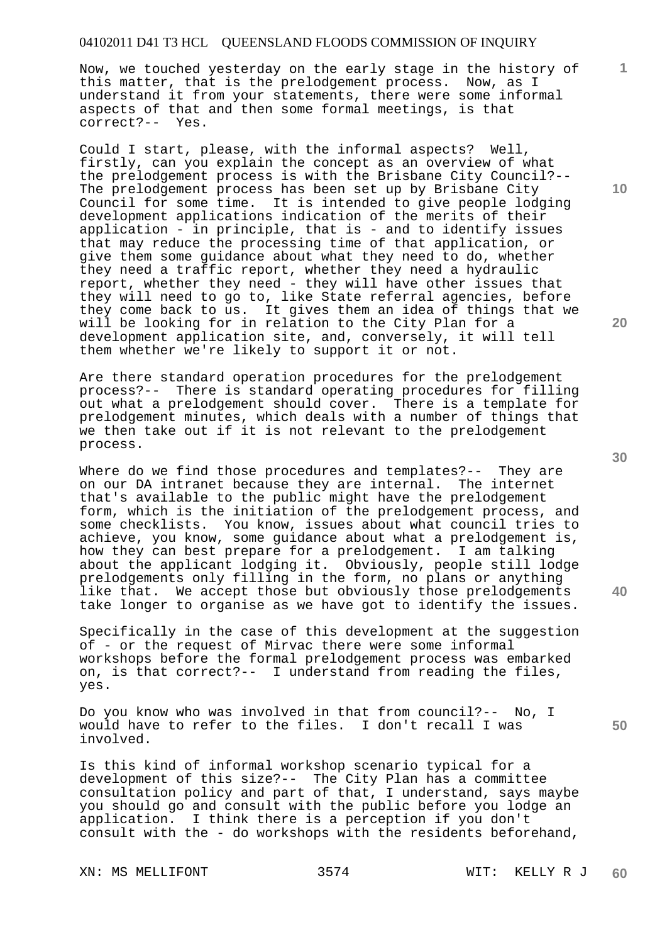Now, we touched yesterday on the early stage in the history of this matter, that is the prelodgement process. Now, as I understand it from your statements, there were some informal aspects of that and then some formal meetings, is that correct?-- Yes.

Could I start, please, with the informal aspects? Well, firstly, can you explain the concept as an overview of what the prelodgement process is with the Brisbane City Council?-- The prelodgement process has been set up by Brisbane City Council for some time. It is intended to give people lodging development applications indication of the merits of their application - in principle, that is - and to identify issues that may reduce the processing time of that application, or give them some guidance about what they need to do, whether they need a traffic report, whether they need a hydraulic report, whether they need - they will have other issues that they will need to go to, like State referral agencies, before they come back to us. It gives them an idea of things that we will be looking for in relation to the City Plan for a development application site, and, conversely, it will tell them whether we're likely to support it or not.

Are there standard operation procedures for the prelodgement process?-- There is standard operating procedures for filling out what a prelodgement should cover. There is a template for prelodgement minutes, which deals with a number of things that we then take out if it is not relevant to the prelodgement process.

Where do we find those procedures and templates?-- They are on our DA intranet because they are internal. The internet that's available to the public might have the prelodgement form, which is the initiation of the prelodgement process, and some checklists. You know, issues about what council tries to achieve, you know, some guidance about what a prelodgement is, how they can best prepare for a prelodgement. I am talking about the applicant lodging it. Obviously, people still lodge prelodgements only filling in the form, no plans or anything like that. We accept those but obviously those prelodgements take longer to organise as we have got to identify the issues.

Specifically in the case of this development at the suggestion of - or the request of Mirvac there were some informal workshops before the formal prelodgement process was embarked on, is that correct?-- I understand from reading the files, yes.

Do you know who was involved in that from council?-- No, I would have to refer to the files. I don't recall I was involved.

Is this kind of informal workshop scenario typical for a development of this size?-- The City Plan has a committee consultation policy and part of that, I understand, says maybe you should go and consult with the public before you lodge an application. I think there is a perception if you don't consult with the - do workshops with the residents beforehand,

**10** 

**1**

**20** 

**30** 

**50**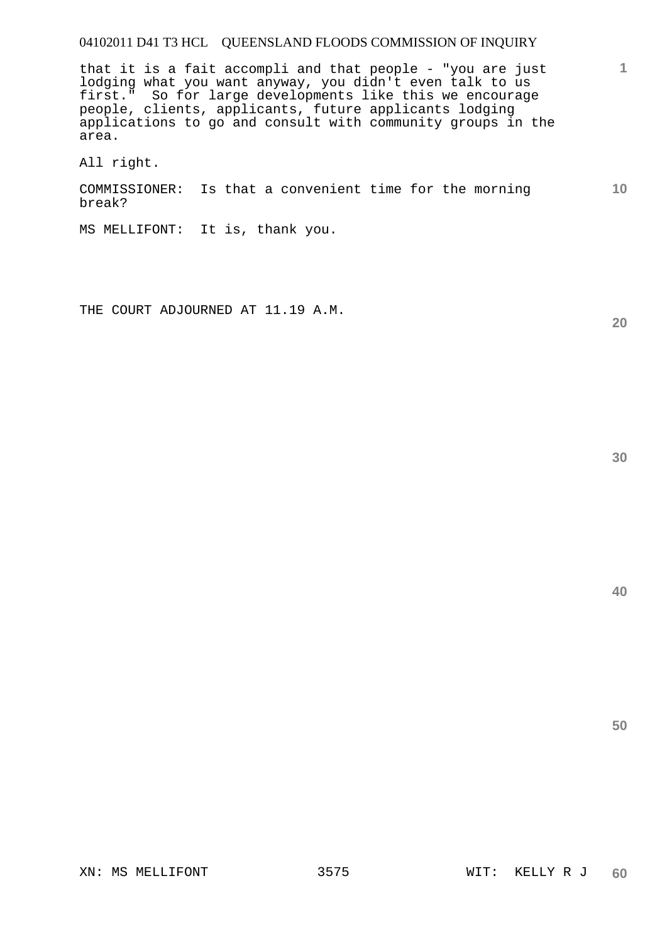that it is a fait accompli and that people - "you are just lodging what you want anyway, you didn't even talk to us first." So for large developments like this we encourage people, clients, applicants, future applicants lodging applications to go and consult with community groups in the area.

All right.

COMMISSIONER: Is that a convenient time for the morning break?

MS MELLIFONT: It is, thank you.

THE COURT ADJOURNED AT 11.19 A.M.

**30** 

**20** 

**1**

**10**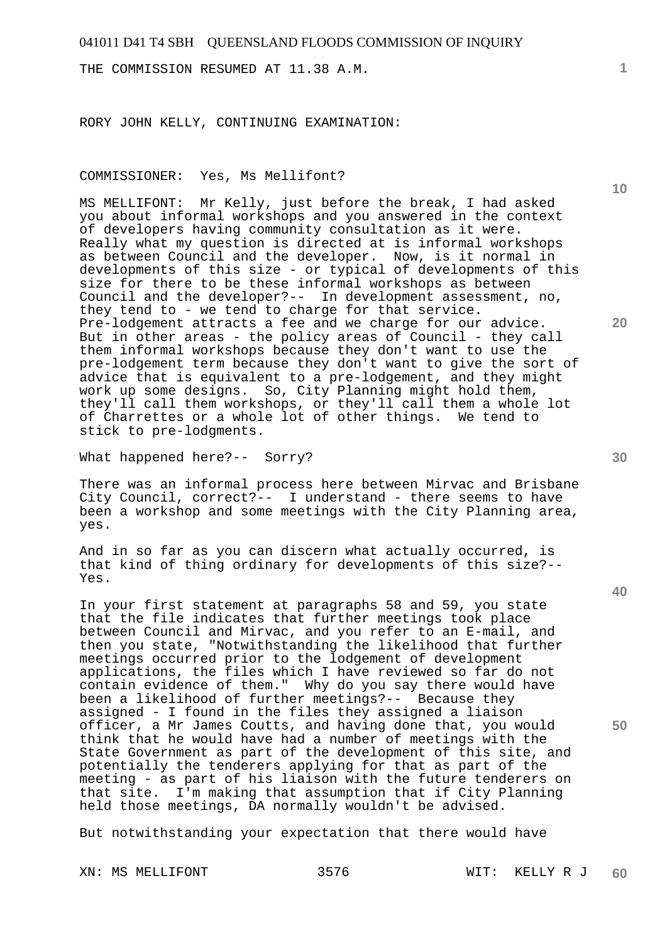THE COMMISSION RESUMED AT 11.38 A.M.

RORY JOHN KELLY, CONTINUING EXAMINATION:

COMMISSIONER: Yes, Ms Mellifont?

MS MELLIFONT: Mr Kelly, just before the break, I had asked you about informal workshops and you answered in the context of developers having community consultation as it were. Really what my question is directed at is informal workshops as between Council and the developer. Now, is it normal in developments of this size - or typical of developments of this size for there to be these informal workshops as between Council and the developer?-- In development assessment, no, they tend to - we tend to charge for that service. Pre-lodgement attracts a fee and we charge for our advice. But in other areas - the policy areas of Council - they call them informal workshops because they don't want to use the pre-lodgement term because they don't want to give the sort of advice that is equivalent to a pre-lodgement, and they might work up some designs. So, City Planning might hold them, they'll call them workshops, or they'll call them a whole lot of Charrettes or a whole lot of other things. We tend to stick to pre-lodgments.

What happened here?-- Sorry?

There was an informal process here between Mirvac and Brisbane City Council, correct?-- I understand - there seems to have been a workshop and some meetings with the City Planning area, yes.

And in so far as you can discern what actually occurred, is that kind of thing ordinary for developments of this size?-- Yes.

In your first statement at paragraphs 58 and 59, you state that the file indicates that further meetings took place between Council and Mirvac, and you refer to an E-mail, and then you state, "Notwithstanding the likelihood that further meetings occurred prior to the lodgement of development applications, the files which I have reviewed so far do not contain evidence of them." Why do you say there would have been a likelihood of further meetings?-- Because they assigned - I found in the files they assigned a liaison officer, a Mr James Coutts, and having done that, you would think that he would have had a number of meetings with the State Government as part of the development of this site, and potentially the tenderers applying for that as part of the meeting - as part of his liaison with the future tenderers on that site. I'm making that assumption that if City Planning held those meetings, DA normally wouldn't be advised.

But notwithstanding your expectation that there would have

XN: MS MELLIFONT 3576 WIT: KELLY R J

**1**

**10** 

**20** 

**40** 

**50**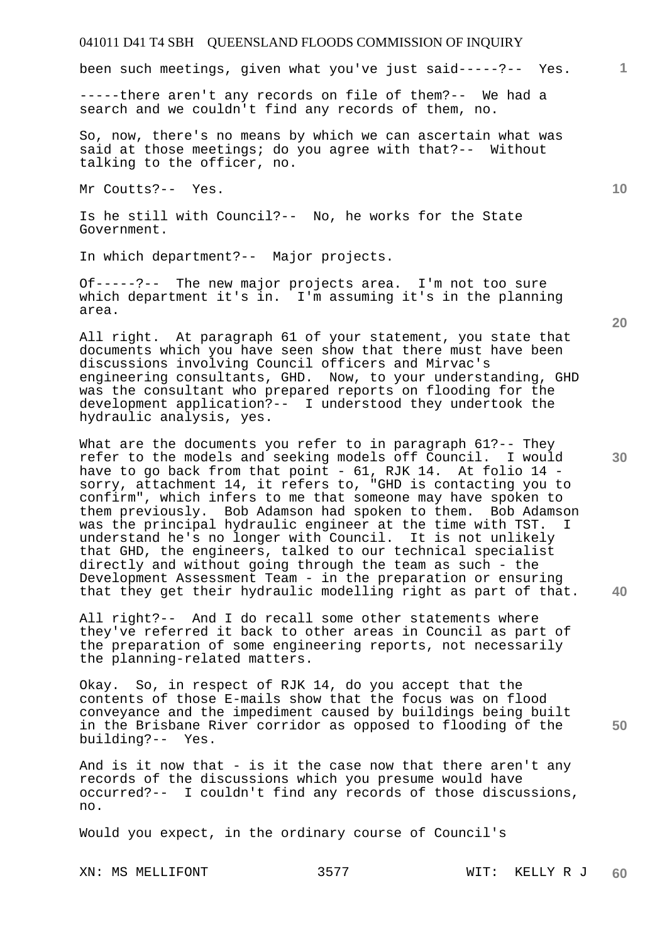been such meetings, given what you've just said-----?-- Yes.

-----there aren't any records on file of them?-- We had a search and we couldn't find any records of them, no.

So, now, there's no means by which we can ascertain what was said at those meetings; do you agree with that?-- Without talking to the officer, no.

Mr Coutts?-- Yes.

Is he still with Council?-- No, he works for the State Government.

In which department?-- Major projects.

Of-----?-- The new major projects area. I'm not too sure which department it's in. I'm assuming it's in the planning area.

All right. At paragraph 61 of your statement, you state that documents which you have seen show that there must have been discussions involving Council officers and Mirvac's engineering consultants, GHD. Now, to your understanding, GHD was the consultant who prepared reports on flooding for the development application?-- I understood they undertook the hydraulic analysis, yes.

What are the documents you refer to in paragraph 61?-- They refer to the models and seeking models off Council. I would have to go back from that point - 61, RJK 14. At folio 14 sorry, attachment 14, it refers to, "GHD is contacting you to confirm", which infers to me that someone may have spoken to them previously. Bob Adamson had spoken to them. Bob Adamson was the principal hydraulic engineer at the time with TST. I understand he's no longer with Council. It is not unlikely that GHD, the engineers, talked to our technical specialist directly and without going through the team as such - the Development Assessment Team - in the preparation or ensuring that they get their hydraulic modelling right as part of that.

All right?-- And I do recall some other statements where they've referred it back to other areas in Council as part of the preparation of some engineering reports, not necessarily the planning-related matters.

Okay. So, in respect of RJK 14, do you accept that the contents of those E-mails show that the focus was on flood conveyance and the impediment caused by buildings being built in the Brisbane River corridor as opposed to flooding of the building?-- Yes.

And is it now that - is it the case now that there aren't any records of the discussions which you presume would have occurred?-- I couldn't find any records of those discussions, no.

Would you expect, in the ordinary course of Council's

XN: MS MELLIFONT 3577 WIT: KELLY R J

**20** 

**40** 

**50** 

**10**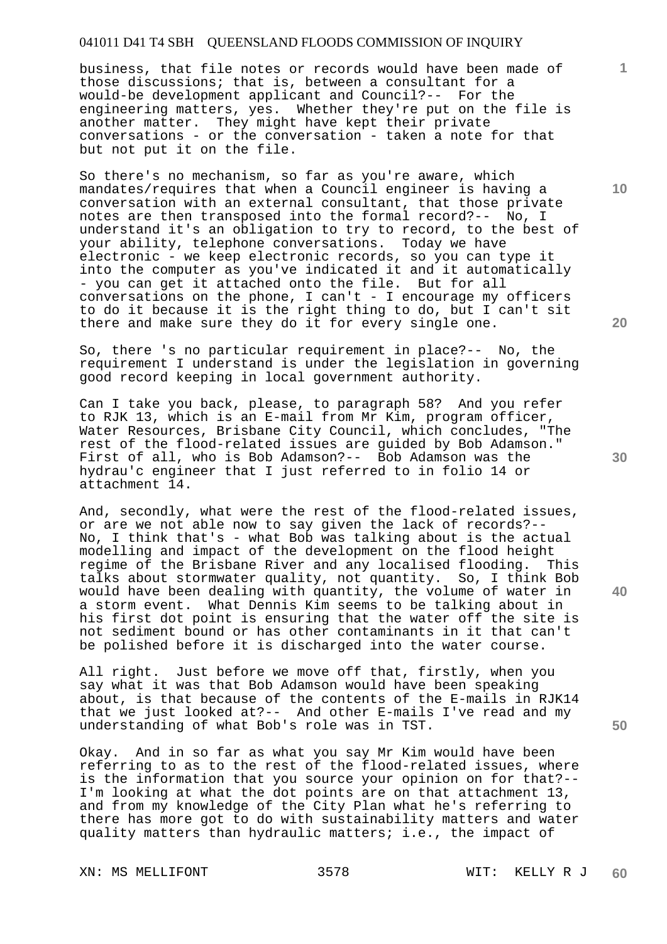business, that file notes or records would have been made of those discussions; that is, between a consultant for a would-be development applicant and Council?-- For the engineering matters, yes. Whether they're put on the file is another matter. They might have kept their private conversations - or the conversation - taken a note for that but not put it on the file.

So there's no mechanism, so far as you're aware, which mandates/requires that when a Council engineer is having a conversation with an external consultant, that those private notes are then transposed into the formal record?-- No, I understand it's an obligation to try to record, to the best of your ability, telephone conversations. Today we have electronic - we keep electronic records, so you can type it into the computer as you've indicated it and it automatically - you can get it attached onto the file. But for all conversations on the phone, I can't - I encourage my officers to do it because it is the right thing to do, but I can't sit there and make sure they do it for every single one.

So, there 's no particular requirement in place?-- No, the requirement I understand is under the legislation in governing good record keeping in local government authority.

Can I take you back, please, to paragraph 58? And you refer to RJK 13, which is an E-mail from Mr Kim, program officer, Water Resources, Brisbane City Council, which concludes, "The rest of the flood-related issues are guided by Bob Adamson." First of all, who is Bob Adamson?-- Bob Adamson was the hydrau'c engineer that I just referred to in folio 14 or attachment 14.

And, secondly, what were the rest of the flood-related issues, or are we not able now to say given the lack of records?-- No, I think that's - what Bob was talking about is the actual modelling and impact of the development on the flood height regime of the Brisbane River and any localised flooding. This talks about stormwater quality, not quantity. So, I think Bob would have been dealing with quantity, the volume of water in a storm event. What Dennis Kim seems to be talking about in his first dot point is ensuring that the water off the site is not sediment bound or has other contaminants in it that can't be polished before it is discharged into the water course.

All right. Just before we move off that, firstly, when you say what it was that Bob Adamson would have been speaking about, is that because of the contents of the E-mails in RJK14 that we just looked at?-- And other E-mails I've read and my understanding of what Bob's role was in TST.

Okay. And in so far as what you say Mr Kim would have been referring to as to the rest of the flood-related issues, where is the information that you source your opinion on for that?-- I'm looking at what the dot points are on that attachment 13, and from my knowledge of the City Plan what he's referring to there has more got to do with sustainability matters and water quality matters than hydraulic matters; i.e., the impact of

XN: MS MELLIFONT 3578 WIT: KELLY R J

**10** 

**1**

**20** 

**30** 

**40**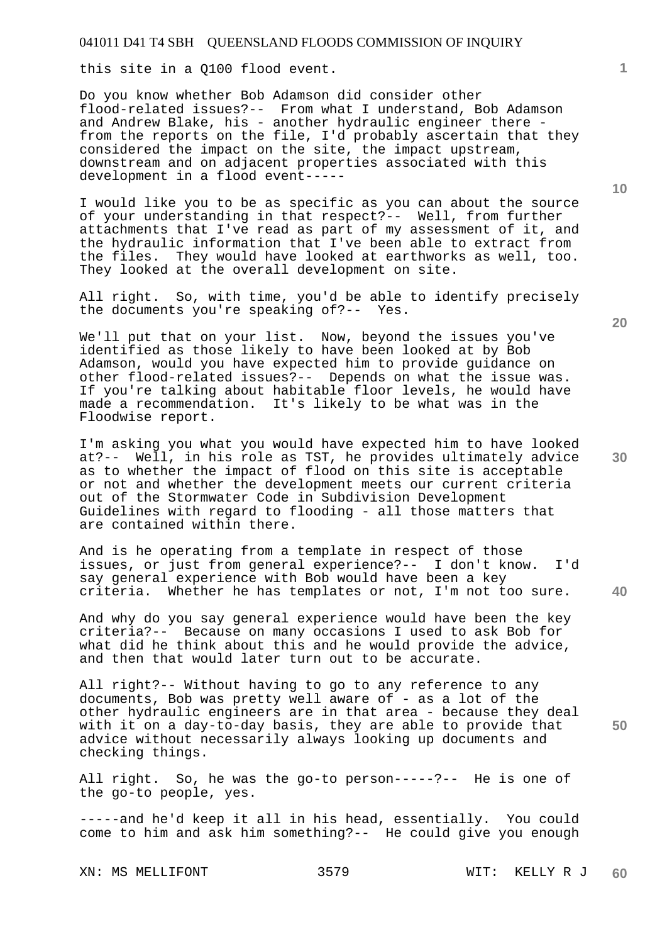this site in a Q100 flood event.

Do you know whether Bob Adamson did consider other flood-related issues?-- From what I understand, Bob Adamson and Andrew Blake, his - another hydraulic engineer there from the reports on the file, I'd probably ascertain that they considered the impact on the site, the impact upstream, downstream and on adjacent properties associated with this development in a flood event-----

I would like you to be as specific as you can about the source of your understanding in that respect?-- Well, from further attachments that I've read as part of my assessment of it, and the hydraulic information that I've been able to extract from the files. They would have looked at earthworks as well, too. They looked at the overall development on site.

All right. So, with time, you'd be able to identify precisely the documents you're speaking of?-- Yes.

We'll put that on your list. Now, beyond the issues you've identified as those likely to have been looked at by Bob Adamson, would you have expected him to provide guidance on other flood-related issues?-- Depends on what the issue was. If you're talking about habitable floor levels, he would have made a recommendation. It's likely to be what was in the Floodwise report.

I'm asking you what you would have expected him to have looked at?-- Well, in his role as TST, he provides ultimately advice as to whether the impact of flood on this site is acceptable or not and whether the development meets our current criteria out of the Stormwater Code in Subdivision Development Guidelines with regard to flooding - all those matters that are contained within there.

And is he operating from a template in respect of those issues, or just from general experience?-- I don't know. I'd say general experience with Bob would have been a key criteria. Whether he has templates or not, I'm not too sure.

And why do you say general experience would have been the key criteria?-- Because on many occasions I used to ask Bob for what did he think about this and he would provide the advice, and then that would later turn out to be accurate.

All right?-- Without having to go to any reference to any documents, Bob was pretty well aware of - as a lot of the other hydraulic engineers are in that area - because they deal with it on a day-to-day basis, they are able to provide that advice without necessarily always looking up documents and checking things.

All right. So, he was the go-to person-----?-- He is one of the go-to people, yes.

-----and he'd keep it all in his head, essentially. You could come to him and ask him something?-- He could give you enough

**20** 

**40** 

**50** 

**10**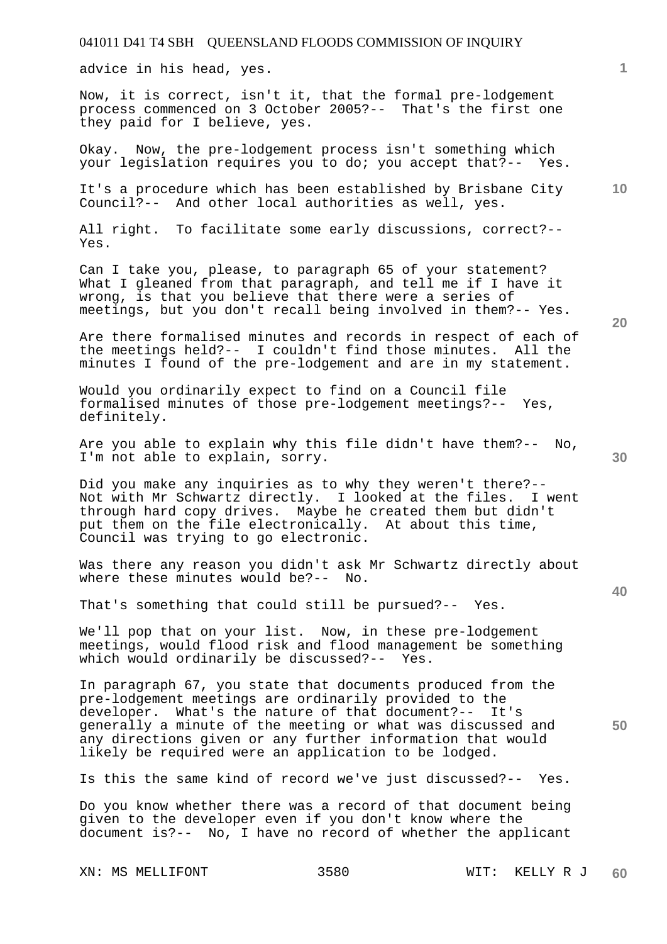advice in his head, yes.

Now, it is correct, isn't it, that the formal pre-lodgement process commenced on 3 October 2005?-- That's the first one they paid for I believe, yes.

Okay. Now, the pre-lodgement process isn't something which your legislation requires you to do; you accept that?-- Yes.

**10**  It's a procedure which has been established by Brisbane City Council?-- And other local authorities as well, yes.

All right. To facilitate some early discussions, correct?-- Yes.

Can I take you, please, to paragraph 65 of your statement? What I gleaned from that paragraph, and tell me if I have it wrong, is that you believe that there were a series of meetings, but you don't recall being involved in them?-- Yes.

Are there formalised minutes and records in respect of each of the meetings held?-- I couldn't find those minutes. All the minutes I found of the pre-lodgement and are in my statement.

Would you ordinarily expect to find on a Council file formalised minutes of those pre-lodgement meetings?-- Yes, definitely.

Are you able to explain why this file didn't have them?-- No, I'm not able to explain, sorry.

Did you make any inquiries as to why they weren't there?-- Not with Mr Schwartz directly. I looked at the files. I went through hard copy drives. Maybe he created them but didn't put them on the file electronically. At about this time, Council was trying to go electronic.

Was there any reason you didn't ask Mr Schwartz directly about where these minutes would be?-- No.

That's something that could still be pursued?-- Yes.

We'll pop that on your list. Now, in these pre-lodgement meetings, would flood risk and flood management be something which would ordinarily be discussed?-- Yes.

In paragraph 67, you state that documents produced from the pre-lodgement meetings are ordinarily provided to the developer. What's the nature of that document?-- It's generally a minute of the meeting or what was discussed and any directions given or any further information that would likely be required were an application to be lodged.

Is this the same kind of record we've just discussed?-- Yes.

Do you know whether there was a record of that document being given to the developer even if you don't know where the document is?-- No, I have no record of whether the applicant

XN: MS MELLIFONT 3580 WIT: KELLY R J

**60** 

**20** 

**40** 

**50**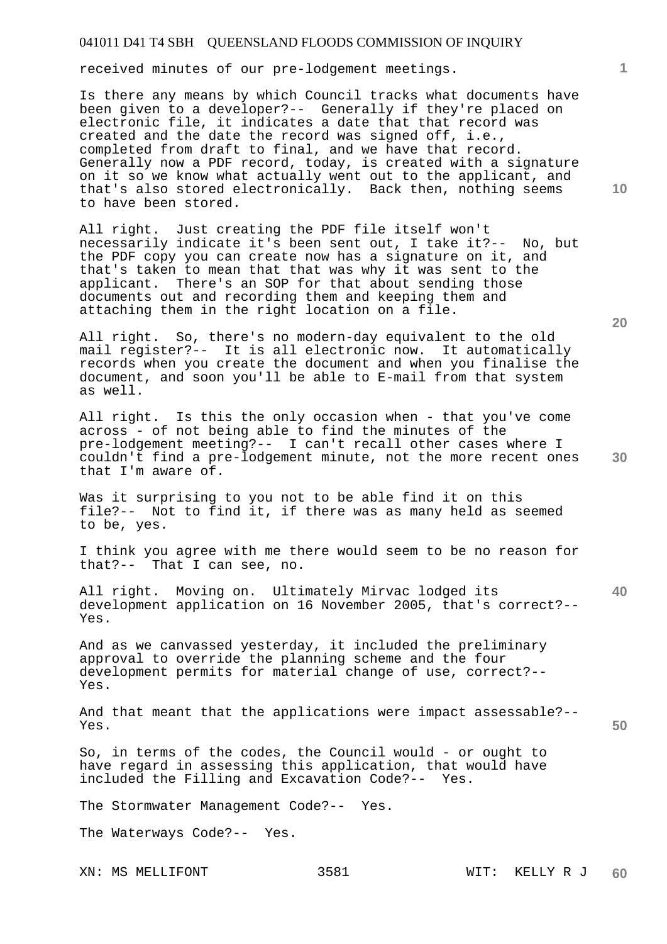received minutes of our pre-lodgement meetings.

Is there any means by which Council tracks what documents have been given to a developer?-- Generally if they're placed on electronic file, it indicates a date that that record was created and the date the record was signed off, i.e., completed from draft to final, and we have that record. Generally now a PDF record, today, is created with a signature on it so we know what actually went out to the applicant, and that's also stored electronically. Back then, nothing seems to have been stored.

All right. Just creating the PDF file itself won't necessarily indicate it's been sent out, I take it?-- No, but the PDF copy you can create now has a signature on it, and that's taken to mean that that was why it was sent to the applicant. There's an SOP for that about sending those documents out and recording them and keeping them and attaching them in the right location on a file.

All right. So, there's no modern-day equivalent to the old mail register?-- It is all electronic now. It automatically records when you create the document and when you finalise the document, and soon you'll be able to E-mail from that system as well.

All right. Is this the only occasion when - that you've come across - of not being able to find the minutes of the pre-lodgement meeting?-- I can't recall other cases where I couldn't find a pre-lodgement minute, not the more recent ones that I'm aware of.

Was it surprising to you not to be able find it on this file?-- Not to find it, if there was as many held as seemed to be, yes.

I think you agree with me there would seem to be no reason for that?-- That I can see, no.

All right. Moving on. Ultimately Mirvac lodged its development application on 16 November 2005, that's correct?-- Yes.

And as we canvassed yesterday, it included the preliminary approval to override the planning scheme and the four development permits for material change of use, correct?-- Yes.

And that meant that the applications were impact assessable?-- Yes.

So, in terms of the codes, the Council would - or ought to have regard in assessing this application, that would have included the Filling and Excavation Code?-- Yes.

The Stormwater Management Code?-- Yes.

The Waterways Code?-- Yes.

**20** 

**40** 

**50** 

**30** 

**1**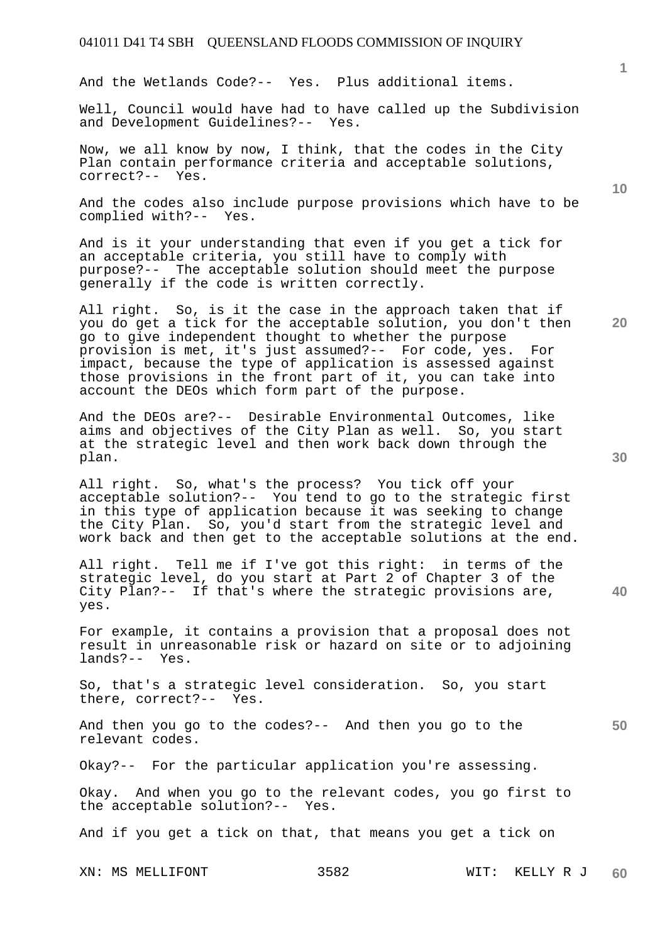And the Wetlands Code?-- Yes. Plus additional items.

Well, Council would have had to have called up the Subdivision and Development Guidelines?-- Yes.

Now, we all know by now, I think, that the codes in the City Plan contain performance criteria and acceptable solutions, correct?-- Yes.

And the codes also include purpose provisions which have to be complied with?-- Yes.

And is it your understanding that even if you get a tick for an acceptable criteria, you still have to comply with purpose?-- The acceptable solution should meet the purpose generally if the code is written correctly.

All right. So, is it the case in the approach taken that if you do get a tick for the acceptable solution, you don't then go to give independent thought to whether the purpose provision is met, it's just assumed?-- For code, yes. For impact, because the type of application is assessed against those provisions in the front part of it, you can take into account the DEOs which form part of the purpose.

And the DEOs are?-- Desirable Environmental Outcomes, like aims and objectives of the City Plan as well. So, you start at the strategic level and then work back down through the plan.

All right. So, what's the process? You tick off your acceptable solution?-- You tend to go to the strategic first in this type of application because it was seeking to change the City Plan. So, you'd start from the strategic level and work back and then get to the acceptable solutions at the end.

All right. Tell me if I've got this right: in terms of the strategic level, do you start at Part 2 of Chapter 3 of the City Plan?-- If that's where the strategic provisions are, yes.

For example, it contains a provision that a proposal does not result in unreasonable risk or hazard on site or to adjoining lands?-- Yes.

So, that's a strategic level consideration. So, you start there, correct?-- Yes.

And then you go to the codes?-- And then you go to the relevant codes.

Okay?-- For the particular application you're assessing.

Okay. And when you go to the relevant codes, you go first to the acceptable solution?-- Yes.

And if you get a tick on that, that means you get a tick on

XN: MS MELLIFONT 3582 WIT: KELLY R J **60** 

**30** 

**40** 

**50** 

**20** 

**10**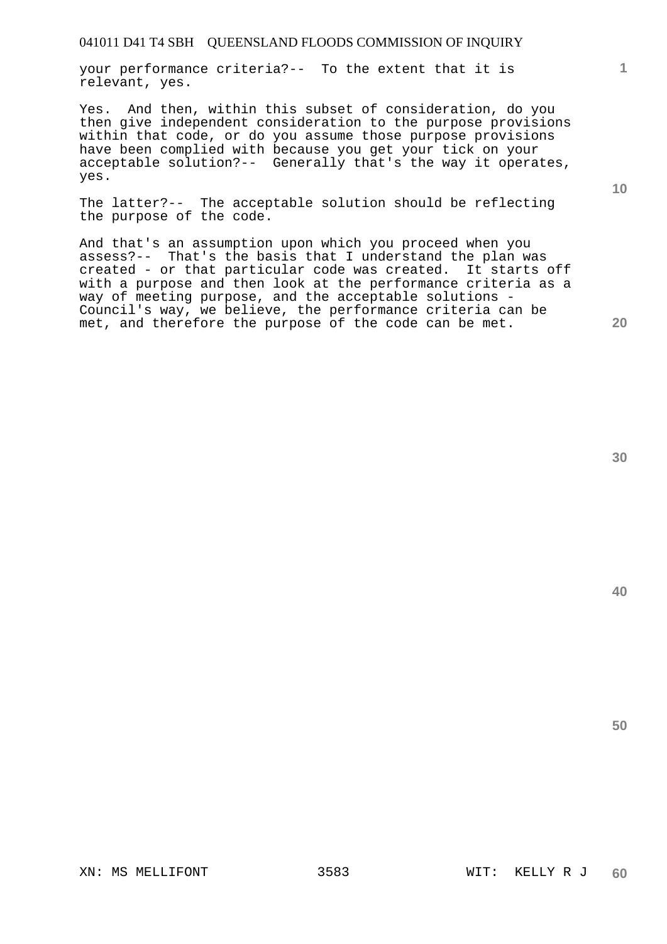your performance criteria?-- To the extent that it is relevant, yes.

Yes. And then, within this subset of consideration, do you then give independent consideration to the purpose provisions within that code, or do you assume those purpose provisions have been complied with because you get your tick on your acceptable solution?-- Generally that's the way it operates, yes.

The latter?-- The acceptable solution should be reflecting the purpose of the code.

And that's an assumption upon which you proceed when you assess?-- That's the basis that I understand the plan was created - or that particular code was created. It starts off with a purpose and then look at the performance criteria as a way of meeting purpose, and the acceptable solutions - Council's way, we believe, the performance criteria can be met, and therefore the purpose of the code can be met.

**40** 

**50** 

**1**

**10**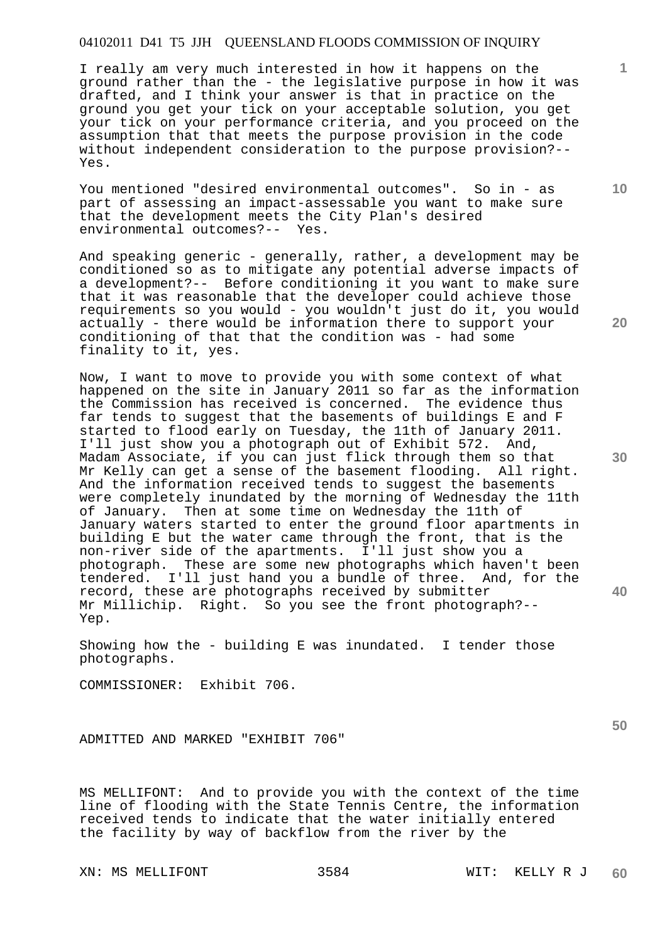I really am very much interested in how it happens on the ground rather than the - the legislative purpose in how it was drafted, and I think your answer is that in practice on the ground you get your tick on your acceptable solution, you get your tick on your performance criteria, and you proceed on the assumption that that meets the purpose provision in the code without independent consideration to the purpose provision?-- Yes.

You mentioned "desired environmental outcomes". So in - as part of assessing an impact-assessable you want to make sure that the development meets the City Plan's desired environmental outcomes?-- Yes.

And speaking generic - generally, rather, a development may be conditioned so as to mitigate any potential adverse impacts of a development?-- Before conditioning it you want to make sure that it was reasonable that the developer could achieve those requirements so you would - you wouldn't just do it, you would actually - there would be information there to support your conditioning of that that the condition was - had some finality to it, yes.

Now, I want to move to provide you with some context of what happened on the site in January 2011 so far as the information the Commission has received is concerned. The evidence thus far tends to suggest that the basements of buildings E and F started to flood early on Tuesday, the 11th of January 2011. I'll just show you a photograph out of Exhibit 572. And, Madam Associate, if you can just flick through them so that Mr Kelly can get a sense of the basement flooding. All right. And the information received tends to suggest the basements were completely inundated by the morning of Wednesday the 11th of January. Then at some time on Wednesday the 11th of January waters started to enter the ground floor apartments in building E but the water came through the front, that is the non-river side of the apartments. I'll just show you a photograph. These are some new photographs which haven't been tendered. I'll just hand you a bundle of three. And, for the record, these are photographs received by submitter Mr Millichip. Right. So you see the front photograph?-- Yep.

Showing how the - building E was inundated. I tender those photographs.

COMMISSIONER: Exhibit 706.

ADMITTED AND MARKED "EXHIBIT 706"

MS MELLIFONT: And to provide you with the context of the time line of flooding with the State Tennis Centre, the information received tends to indicate that the water initially entered the facility by way of backflow from the river by the

XN: MS MELLIFONT 3584 WIT: KELLY R J

**10** 

**1**

**20** 

**30** 

**50**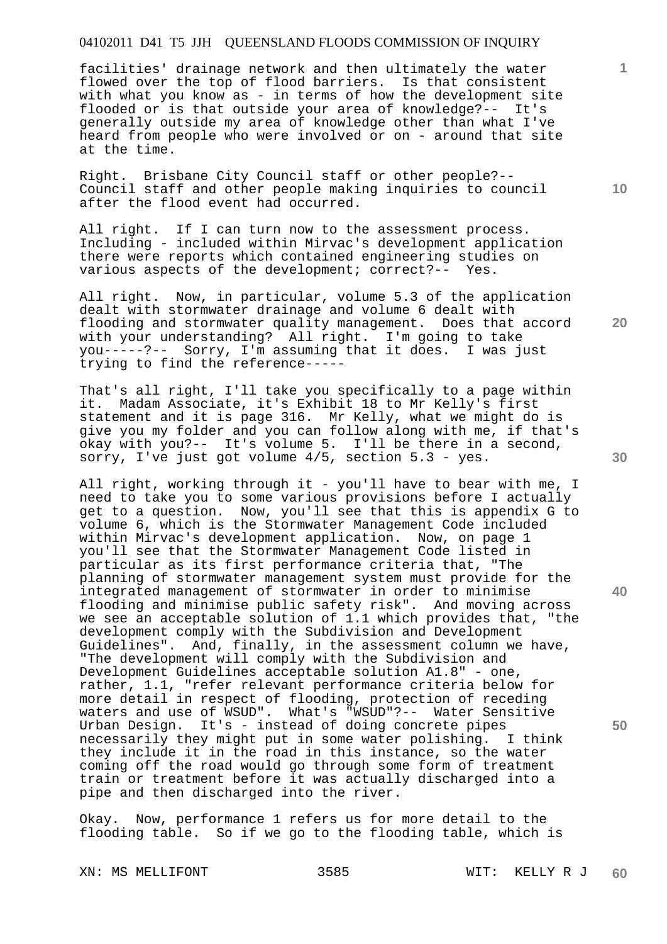facilities' drainage network and then ultimately the water flowed over the top of flood barriers. Is that consistent with what you know as - in terms of how the development site flooded or is that outside your area of knowledge?-- It's generally outside my area of knowledge other than what I've heard from people who were involved or on - around that site at the time.

Right. Brisbane City Council staff or other people?-- Council staff and other people making inquiries to council after the flood event had occurred.

All right. If I can turn now to the assessment process. Including - included within Mirvac's development application there were reports which contained engineering studies on various aspects of the development; correct?-- Yes.

All right. Now, in particular, volume 5.3 of the application dealt with stormwater drainage and volume 6 dealt with flooding and stormwater quality management. Does that accord with your understanding? All right. I'm going to take you-----?-- Sorry, I'm assuming that it does. I was just trying to find the reference-----

That's all right, I'll take you specifically to a page within it. Madam Associate, it's Exhibit 18 to Mr Kelly's first statement and it is page 316. Mr Kelly, what we might do is give you my folder and you can follow along with me, if that's okay with you?-- It's volume 5. I'll be there in a second, sorry, I've just got volume 4/5, section 5.3 - yes.

All right, working through it - you'll have to bear with me, I need to take you to some various provisions before I actually get to a question. Now, you'll see that this is appendix G to volume 6, which is the Stormwater Management Code included within Mirvac's development application. Now, on page 1 you'll see that the Stormwater Management Code listed in particular as its first performance criteria that, "The planning of stormwater management system must provide for the integrated management of stormwater in order to minimise flooding and minimise public safety risk". And moving across we see an acceptable solution of 1.1 which provides that, "the development comply with the Subdivision and Development Guidelines". And, finally, in the assessment column we have, "The development will comply with the Subdivision and Development Guidelines acceptable solution A1.8" - one, rather, 1.1, "refer relevant performance criteria below for more detail in respect of flooding, protection of receding waters and use of WSUD". What's "WSUD"?-- Water Sensitive Urban Design. It's - instead of doing concrete pipes necessarily they might put in some water polishing. I think they include it in the road in this instance, so the water coming off the road would go through some form of treatment train or treatment before it was actually discharged into a pipe and then discharged into the river.

Okay. Now, performance 1 refers us for more detail to the flooding table. So if we go to the flooding table, which is

**30** 

**20** 

**40** 

**50** 

**10**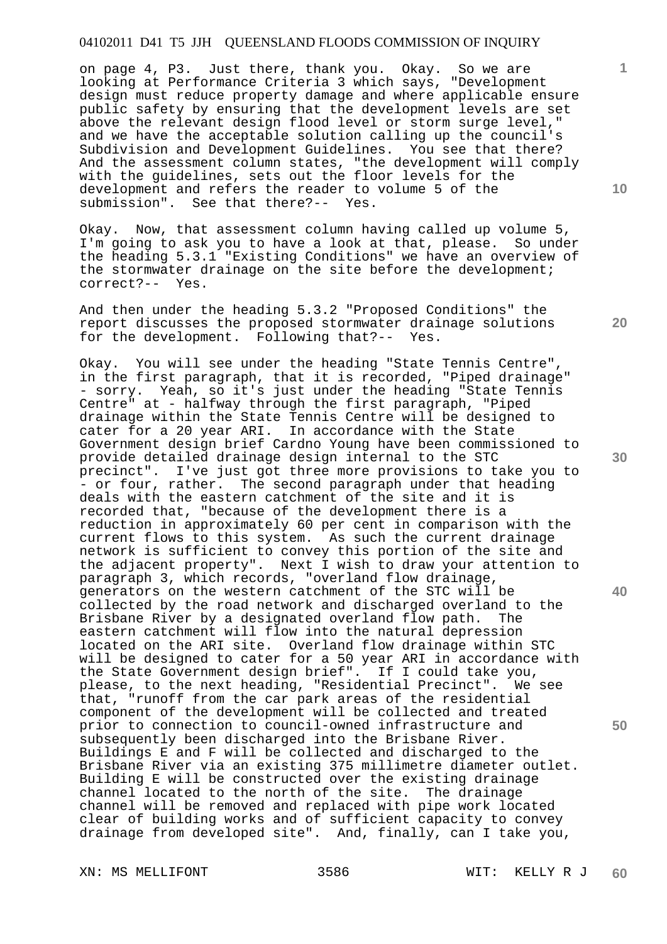on page 4, P3. Just there, thank you. Okay. So we are looking at Performance Criteria 3 which says, "Development design must reduce property damage and where applicable ensure public safety by ensuring that the development levels are set above the relevant design flood level or storm surge level," and we have the acceptable solution calling up the council's Subdivision and Development Guidelines. You see that there? And the assessment column states, "the development will comply with the guidelines, sets out the floor levels for the development and refers the reader to volume 5 of the submission". See that there?-- Yes.

Okay. Now, that assessment column having called up volume 5, I'm going to ask you to have a look at that, please. So under the heading 5.3.1 "Existing Conditions" we have an overview of the stormwater drainage on the site before the development; correct?-- Yes.

And then under the heading 5.3.2 "Proposed Conditions" the report discusses the proposed stormwater drainage solutions for the development. Following that?-- Yes.

Okay. You will see under the heading "State Tennis Centre", in the first paragraph, that it is recorded, "Piped drainage" - sorry. Yeah, so it's just under the heading "State Tennis Centre" at - halfway through the first paragraph, "Piped drainage within the State Tennis Centre will be designed to cater for a 20 year ARI. In accordance with the State Government design brief Cardno Young have been commissioned to provide detailed drainage design internal to the STC precinct". I've just got three more provisions to take you to - or four, rather. The second paragraph under that heading deals with the eastern catchment of the site and it is recorded that, "because of the development there is a reduction in approximately 60 per cent in comparison with the current flows to this system. As such the current drainage network is sufficient to convey this portion of the site and the adjacent property". Next I wish to draw your attention to paragraph 3, which records, "overland flow drainage, generators on the western catchment of the STC will be collected by the road network and discharged overland to the Brisbane River by a designated overland flow path. The eastern catchment will flow into the natural depression located on the ARI site. Overland flow drainage within STC will be designed to cater for a 50 year ARI in accordance with the State Government design brief". If I could take you, please, to the next heading, "Residential Precinct". We see that, "runoff from the car park areas of the residential component of the development will be collected and treated prior to connection to council-owned infrastructure and subsequently been discharged into the Brisbane River. Buildings E and F will be collected and discharged to the Brisbane River via an existing 375 millimetre diameter outlet. Building E will be constructed over the existing drainage channel located to the north of the site. The drainage channel will be removed and replaced with pipe work located clear of building works and of sufficient capacity to convey drainage from developed site". And, finally, can I take you,

**10** 

**1**

**20** 

**30** 

**40**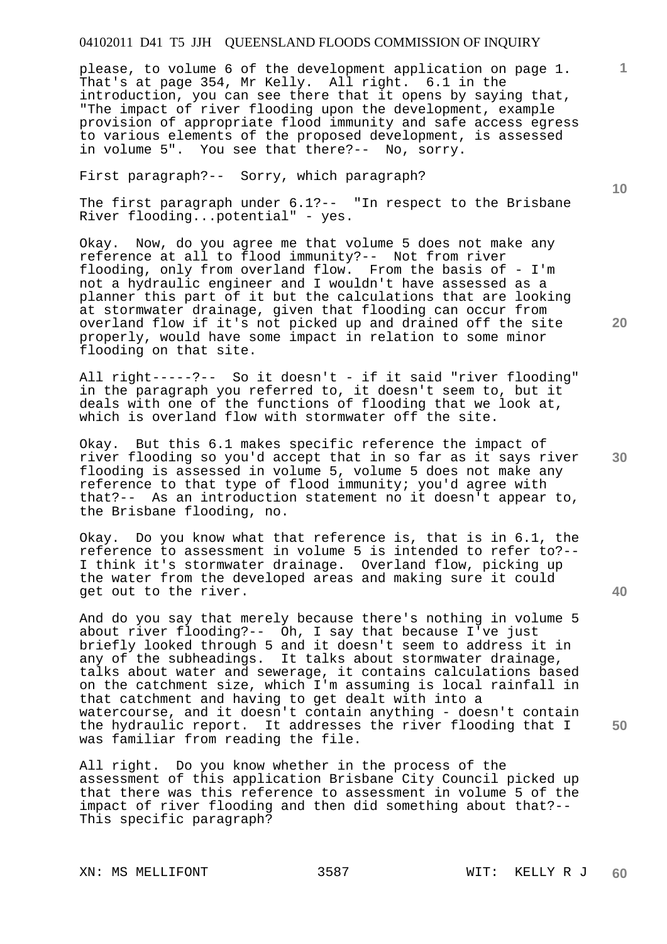please, to volume 6 of the development application on page 1. That's at page 354, Mr Kelly. All right. 6.1 in the introduction, you can see there that it opens by saying that, "The impact of river flooding upon the development, example provision of appropriate flood immunity and safe access egress to various elements of the proposed development, is assessed in volume 5". You see that there?-- No, sorry.

First paragraph?-- Sorry, which paragraph?

The first paragraph under 6.1?-- "In respect to the Brisbane River flooding...potential" - yes.

Okay. Now, do you agree me that volume 5 does not make any reference at all to flood immunity?-- Not from river flooding, only from overland flow. From the basis of - I'm not a hydraulic engineer and I wouldn't have assessed as a planner this part of it but the calculations that are looking at stormwater drainage, given that flooding can occur from overland flow if it's not picked up and drained off the site properly, would have some impact in relation to some minor flooding on that site.

All right-----?-- So it doesn't - if it said "river flooding" in the paragraph you referred to, it doesn't seem to, but it deals with one of the functions of flooding that we look at, which is overland flow with stormwater off the site.

Okay. But this 6.1 makes specific reference the impact of river flooding so you'd accept that in so far as it says river flooding is assessed in volume 5, volume 5 does not make any reference to that type of flood immunity; you'd agree with that?-- As an introduction statement no it doesn't appear to, the Brisbane flooding, no.

Okay. Do you know what that reference is, that is in 6.1, the reference to assessment in volume 5 is intended to refer to?-- I think it's stormwater drainage. Overland flow, picking up the water from the developed areas and making sure it could get out to the river.

And do you say that merely because there's nothing in volume 5 about river flooding?-- Oh, I say that because I've just briefly looked through 5 and it doesn't seem to address it in any of the subheadings. It talks about stormwater drainage, talks about water and sewerage, it contains calculations based on the catchment size, which I'm assuming is local rainfall in that catchment and having to get dealt with into a watercourse, and it doesn't contain anything - doesn't contain the hydraulic report. It addresses the river flooding that I was familiar from reading the file.

All right. Do you know whether in the process of the assessment of this application Brisbane City Council picked up that there was this reference to assessment in volume 5 of the impact of river flooding and then did something about that?-- This specific paragraph?

**10** 

**20** 

**1**

**40** 

**30**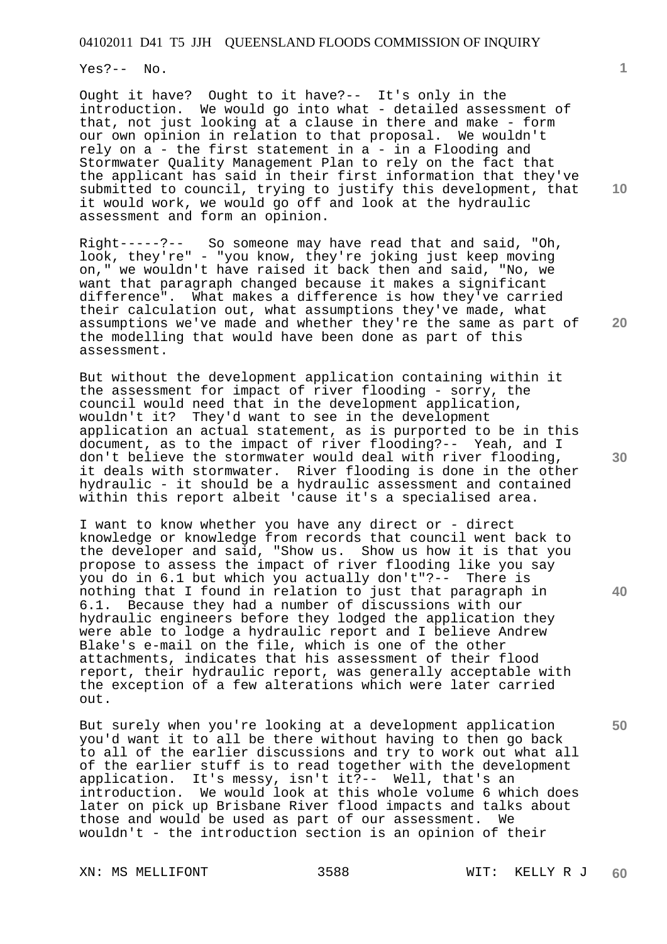Yes?-- No.

Ought it have? Ought to it have?-- It's only in the introduction. We would go into what - detailed assessment of that, not just looking at a clause in there and make - form our own opinion in relation to that proposal. We wouldn't rely on a - the first statement in a - in a Flooding and Stormwater Quality Management Plan to rely on the fact that the applicant has said in their first information that they've submitted to council, trying to justify this development, that it would work, we would go off and look at the hydraulic assessment and form an opinion.

Right-----?-- So someone may have read that and said, "Oh, look, they're" - "you know, they're joking just keep moving on," we wouldn't have raised it back then and said, "No, we want that paragraph changed because it makes a significant difference". What makes a difference is how they've carried their calculation out, what assumptions they've made, what assumptions we've made and whether they're the same as part of the modelling that would have been done as part of this assessment.

But without the development application containing within it the assessment for impact of river flooding - sorry, the council would need that in the development application, wouldn't it? They'd want to see in the development application an actual statement, as is purported to be in this document, as to the impact of river flooding?-- Yeah, and I don't believe the stormwater would deal with river flooding, it deals with stormwater. River flooding is done in the other hydraulic - it should be a hydraulic assessment and contained within this report albeit 'cause it's a specialised area.

I want to know whether you have any direct or - direct knowledge or knowledge from records that council went back to the developer and said, "Show us. Show us how it is that you propose to assess the impact of river flooding like you say you do in 6.1 but which you actually don't"?-- There is nothing that I found in relation to just that paragraph in 6.1. Because they had a number of discussions with our hydraulic engineers before they lodged the application they were able to lodge a hydraulic report and I believe Andrew Blake's e-mail on the file, which is one of the other attachments, indicates that his assessment of their flood report, their hydraulic report, was generally acceptable with the exception of a few alterations which were later carried out.

But surely when you're looking at a development application you'd want it to all be there without having to then go back to all of the earlier discussions and try to work out what all of the earlier stuff is to read together with the development application. It's messy, isn't it?-- Well, that's an introduction. We would look at this whole volume 6 which does later on pick up Brisbane River flood impacts and talks about those and would be used as part of our assessment. We wouldn't - the introduction section is an opinion of their

XN: MS MELLIFONT 3588 WIT: KELLY R J

**10** 

**1**

**20** 

**30** 

**50**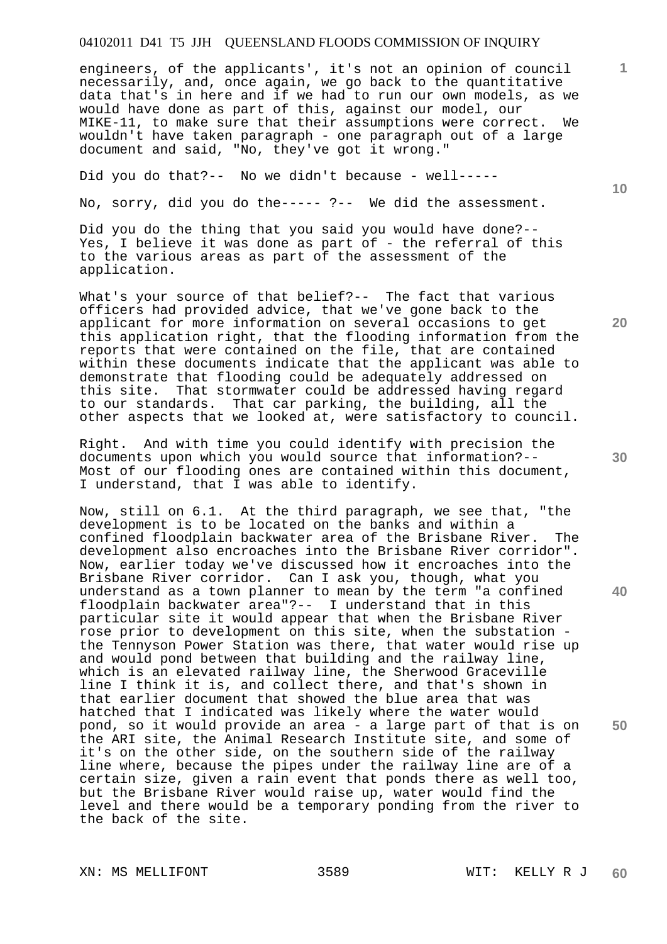engineers, of the applicants', it's not an opinion of council necessarily, and, once again, we go back to the quantitative data that's in here and if we had to run our own models, as we would have done as part of this, against our model, our MIKE-11, to make sure that their assumptions were correct. We wouldn't have taken paragraph - one paragraph out of a large document and said, "No, they've got it wrong."

Did you do that?-- No we didn't because - well-----

No, sorry, did you do the----- ?-- We did the assessment.

Did you do the thing that you said you would have done?-- Yes, I believe it was done as part of - the referral of this to the various areas as part of the assessment of the application.

What's your source of that belief?-- The fact that various officers had provided advice, that we've gone back to the applicant for more information on several occasions to get this application right, that the flooding information from the reports that were contained on the file, that are contained within these documents indicate that the applicant was able to demonstrate that flooding could be adequately addressed on this site. That stormwater could be addressed having regard to our standards. That car parking, the building, all the other aspects that we looked at, were satisfactory to council.

Right. And with time you could identify with precision the documents upon which you would source that information?-- Most of our flooding ones are contained within this document, I understand, that I was able to identify.

Now, still on 6.1. At the third paragraph, we see that, "the development is to be located on the banks and within a confined floodplain backwater area of the Brisbane River. The development also encroaches into the Brisbane River corridor". Now, earlier today we've discussed how it encroaches into the Brisbane River corridor. Can I ask you, though, what you understand as a town planner to mean by the term "a confined floodplain backwater area"?-- I understand that in this particular site it would appear that when the Brisbane River rose prior to development on this site, when the substation the Tennyson Power Station was there, that water would rise up and would pond between that building and the railway line, which is an elevated railway line, the Sherwood Graceville line I think it is, and collect there, and that's shown in that earlier document that showed the blue area that was hatched that I indicated was likely where the water would pond, so it would provide an area - a large part of that is on the ARI site, the Animal Research Institute site, and some of it's on the other side, on the southern side of the railway line where, because the pipes under the railway line are of a certain size, given a rain event that ponds there as well too, but the Brisbane River would raise up, water would find the level and there would be a temporary ponding from the river to the back of the site.

**10** 

**20** 

**1**

**30** 

**50**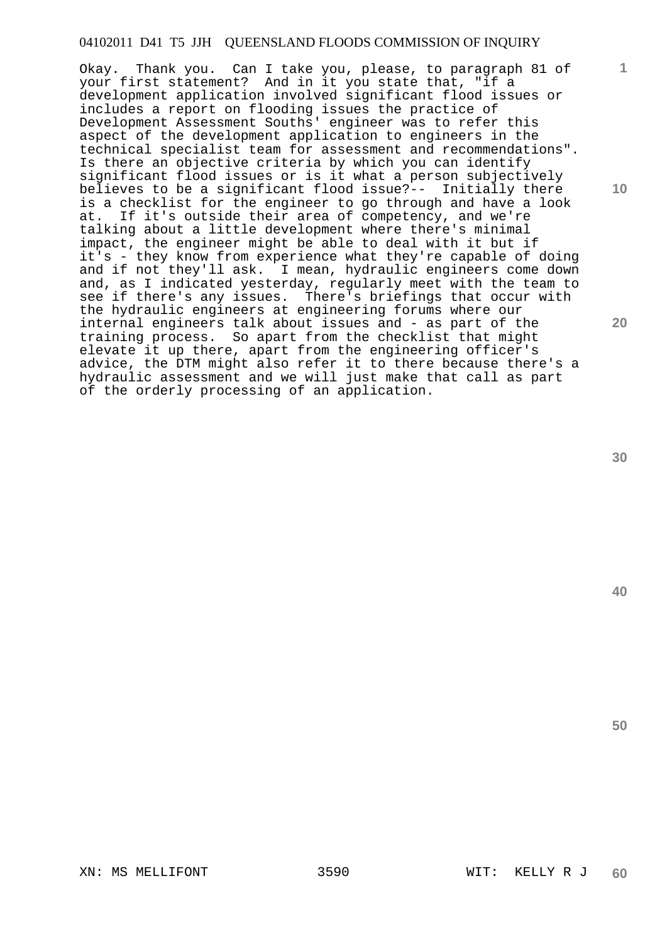Okay. Thank you. Can I take you, please, to paragraph 81 of your first statement? And in it you state that, "if a development application involved significant flood issues or includes a report on flooding issues the practice of Development Assessment Souths' engineer was to refer this aspect of the development application to engineers in the technical specialist team for assessment and recommendations". Is there an objective criteria by which you can identify significant flood issues or is it what a person subjectively believes to be a significant flood issue?-- Initially there is a checklist for the engineer to go through and have a look at. If it's outside their area of competency, and we're talking about a little development where there's minimal impact, the engineer might be able to deal with it but if it's - they know from experience what they're capable of doing and if not they'll ask. I mean, hydraulic engineers come down and, as I indicated yesterday, regularly meet with the team to see if there's any issues. There's briefings that occur with the hydraulic engineers at engineering forums where our internal engineers talk about issues and - as part of the training process. So apart from the checklist that might elevate it up there, apart from the engineering officer's advice, the DTM might also refer it to there because there's a hydraulic assessment and we will just make that call as part of the orderly processing of an application.

**30** 

**1**

**10** 

**20** 

**40**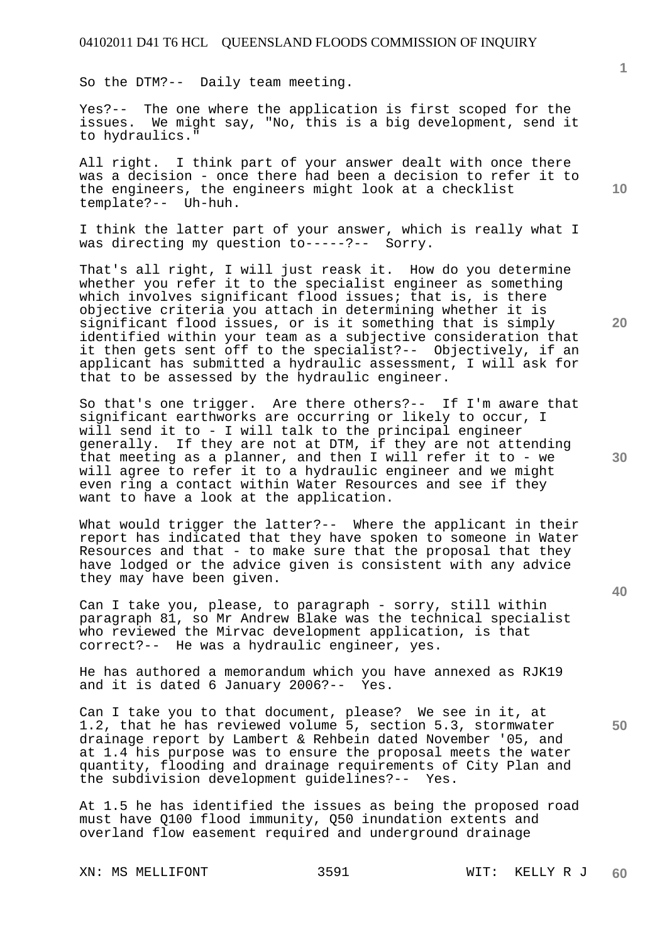So the DTM?-- Daily team meeting.

Yes?-- The one where the application is first scoped for the issues. We might say, "No, this is a big development, send it to hydraulics."

All right. I think part of your answer dealt with once there was a decision - once there had been a decision to refer it to the engineers, the engineers might look at a checklist template?-- Uh-huh.

I think the latter part of your answer, which is really what I was directing my question to-----?-- Sorry.

That's all right, I will just reask it. How do you determine whether you refer it to the specialist engineer as something which involves significant flood issues; that is, is there objective criteria you attach in determining whether it is significant flood issues, or is it something that is simply identified within your team as a subjective consideration that it then gets sent off to the specialist?-- Objectively, if an applicant has submitted a hydraulic assessment, I will ask for that to be assessed by the hydraulic engineer.

So that's one trigger. Are there others?-- If I'm aware that significant earthworks are occurring or likely to occur, I will send it to - I will talk to the principal engineer generally. If they are not at DTM, if they are not attending that meeting as a planner, and then I will refer it to - we will agree to refer it to a hydraulic engineer and we might even ring a contact within Water Resources and see if they want to have a look at the application.

What would trigger the latter?-- Where the applicant in their report has indicated that they have spoken to someone in Water Resources and that - to make sure that the proposal that they have lodged or the advice given is consistent with any advice they may have been given.

Can I take you, please, to paragraph - sorry, still within paragraph 81, so Mr Andrew Blake was the technical specialist who reviewed the Mirvac development application, is that correct?-- He was a hydraulic engineer, yes.

He has authored a memorandum which you have annexed as RJK19 and it is dated 6 January 2006?-- Yes.

Can I take you to that document, please? We see in it, at 1.2, that he has reviewed volume 5, section 5.3, stormwater drainage report by Lambert & Rehbein dated November '05, and at 1.4 his purpose was to ensure the proposal meets the water quantity, flooding and drainage requirements of City Plan and the subdivision development guidelines?-- Yes.

At 1.5 he has identified the issues as being the proposed road must have Q100 flood immunity, Q50 inundation extents and overland flow easement required and underground drainage

XN: MS MELLIFONT 3591 WIT: KELLY R J

**10** 

**1**

**20** 

**30**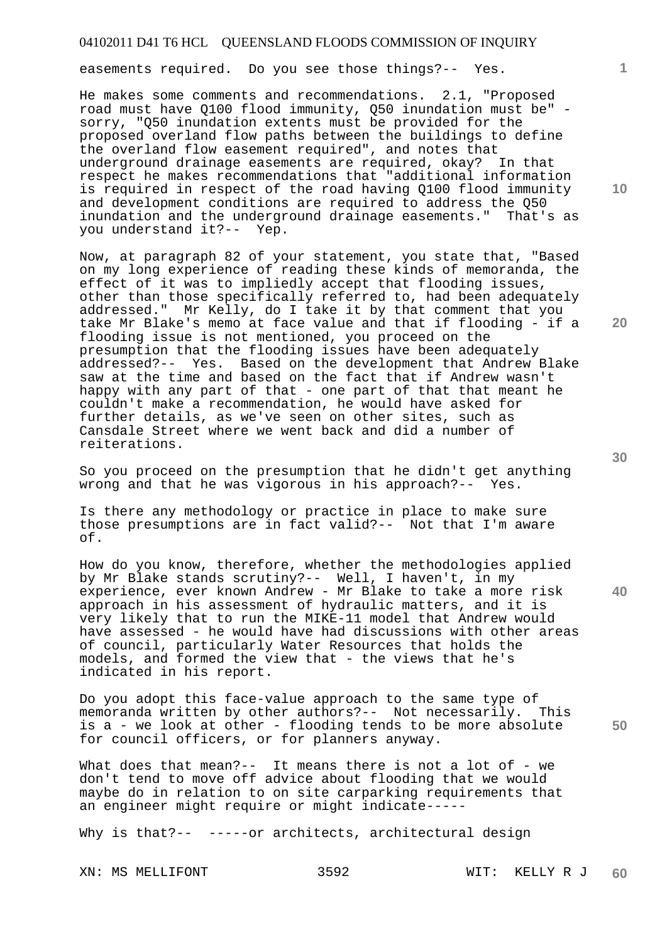easements required. Do you see those things?-- Yes.

He makes some comments and recommendations. 2.1, "Proposed road must have Q100 flood immunity, Q50 inundation must be" sorry, "Q50 inundation extents must be provided for the proposed overland flow paths between the buildings to define the overland flow easement required", and notes that underground drainage easements are required, okay? In that respect he makes recommendations that "additional information is required in respect of the road having Q100 flood immunity and development conditions are required to address the Q50 inundation and the underground drainage easements." That's as you understand it?-- Yep.

Now, at paragraph 82 of your statement, you state that, "Based on my long experience of reading these kinds of memoranda, the effect of it was to impliedly accept that flooding issues, other than those specifically referred to, had been adequately addressed." Mr Kelly, do I take it by that comment that you take Mr Blake's memo at face value and that if flooding - if a flooding issue is not mentioned, you proceed on the presumption that the flooding issues have been adequately addressed?-- Yes. Based on the development that Andrew Blake saw at the time and based on the fact that if Andrew wasn't happy with any part of that - one part of that that meant he couldn't make a recommendation, he would have asked for further details, as we've seen on other sites, such as Cansdale Street where we went back and did a number of reiterations.

So you proceed on the presumption that he didn't get anything wrong and that he was vigorous in his approach?-- Yes.

Is there any methodology or practice in place to make sure those presumptions are in fact valid?-- Not that I'm aware of.

How do you know, therefore, whether the methodologies applied by Mr Blake stands scrutiny?-- Well, I haven't, in my experience, ever known Andrew - Mr Blake to take a more risk approach in his assessment of hydraulic matters, and it is very likely that to run the MIKE-11 model that Andrew would have assessed - he would have had discussions with other areas of council, particularly Water Resources that holds the models, and formed the view that - the views that he's indicated in his report.

Do you adopt this face-value approach to the same type of memoranda written by other authors?-- Not necessarily. This is a - we look at other - flooding tends to be more absolute for council officers, or for planners anyway.

What does that mean?-- It means there is not a lot of - we don't tend to move off advice about flooding that we would maybe do in relation to on site carparking requirements that an engineer might require or might indicate-----

Why is that?-- -----or architects, architectural design

**10** 

**1**

**40** 

**50**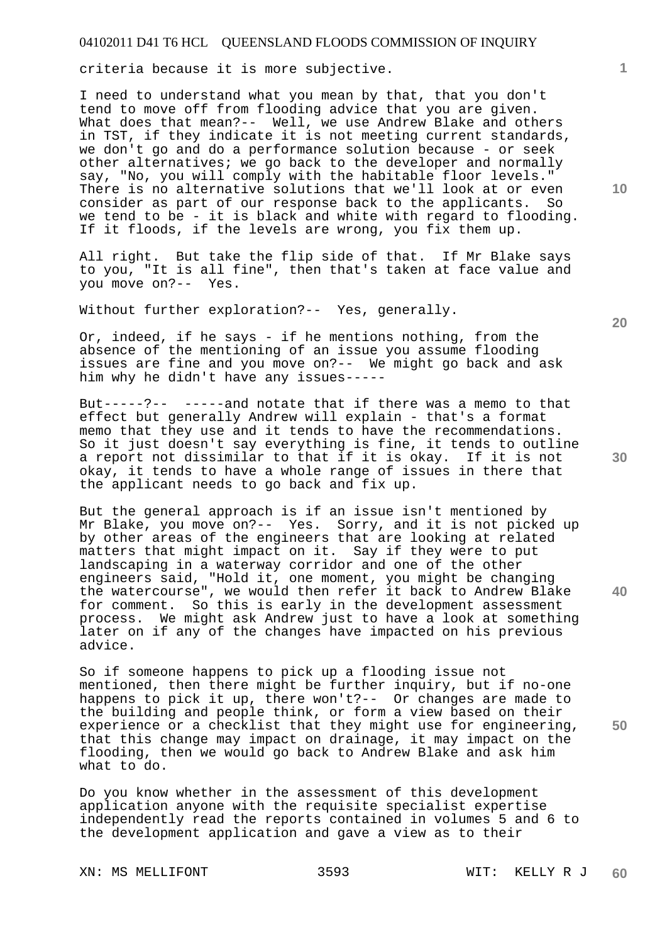criteria because it is more subjective.

I need to understand what you mean by that, that you don't tend to move off from flooding advice that you are given. What does that mean?-- Well, we use Andrew Blake and others in TST, if they indicate it is not meeting current standards, we don't go and do a performance solution because - or seek other alternatives; we go back to the developer and normally say, "No, you will comply with the habitable floor levels." There is no alternative solutions that we'll look at or even consider as part of our response back to the applicants. So we tend to be - it is black and white with regard to flooding. If it floods, if the levels are wrong, you fix them up.

All right. But take the flip side of that. If Mr Blake says to you, "It is all fine", then that's taken at face value and you move on?-- Yes.

Without further exploration?-- Yes, generally.

Or, indeed, if he says - if he mentions nothing, from the absence of the mentioning of an issue you assume flooding issues are fine and you move on?-- We might go back and ask him why he didn't have any issues-----

But-----?-- -----and notate that if there was a memo to that effect but generally Andrew will explain - that's a format memo that they use and it tends to have the recommendations. So it just doesn't say everything is fine, it tends to outline a report not dissimilar to that if it is okay. If it is not okay, it tends to have a whole range of issues in there that the applicant needs to go back and fix up.

But the general approach is if an issue isn't mentioned by Mr Blake, you move on?-- Yes. Sorry, and it is not picked up by other areas of the engineers that are looking at related matters that might impact on it. Say if they were to put landscaping in a waterway corridor and one of the other engineers said, "Hold it, one moment, you might be changing the watercourse", we would then refer it back to Andrew Blake for comment. So this is early in the development assessment process. We might ask Andrew just to have a look at something later on if any of the changes have impacted on his previous advice.

So if someone happens to pick up a flooding issue not mentioned, then there might be further inquiry, but if no-one happens to pick it up, there won't?-- Or changes are made to the building and people think, or form a view based on their experience or a checklist that they might use for engineering, that this change may impact on drainage, it may impact on the flooding, then we would go back to Andrew Blake and ask him what to do.

Do you know whether in the assessment of this development application anyone with the requisite specialist expertise independently read the reports contained in volumes 5 and 6 to the development application and gave a view as to their

**10** 

**1**

**40**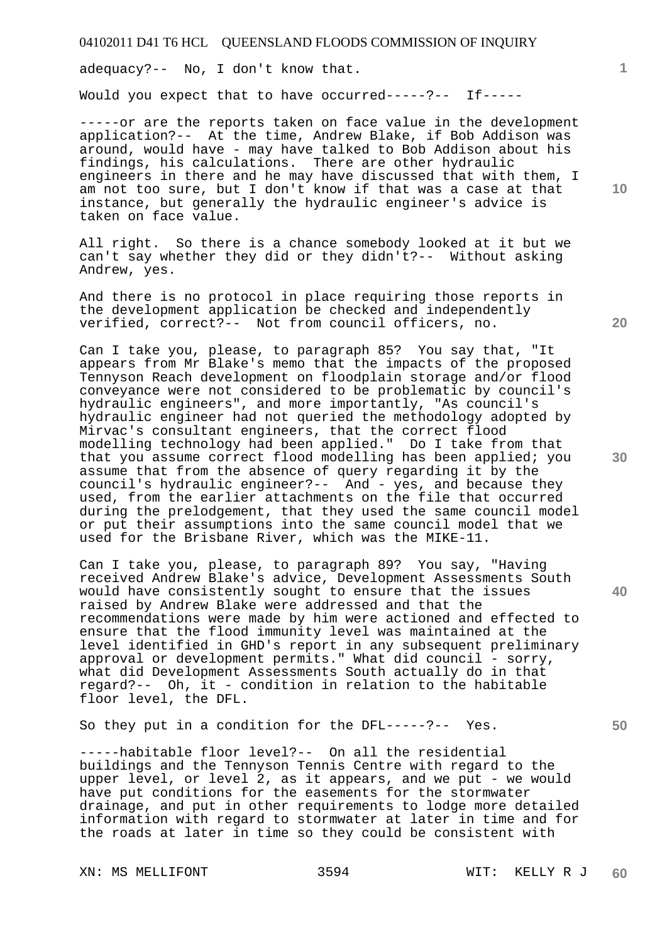adequacy?-- No, I don't know that.

Would you expect that to have occurred-----?-- If-----

-----or are the reports taken on face value in the development application?-- At the time, Andrew Blake, if Bob Addison was around, would have - may have talked to Bob Addison about his findings, his calculations. There are other hydraulic engineers in there and he may have discussed that with them, I am not too sure, but I don't know if that was a case at that instance, but generally the hydraulic engineer's advice is taken on face value.

All right. So there is a chance somebody looked at it but we can't say whether they did or they didn't?-- Without asking Andrew, yes.

And there is no protocol in place requiring those reports in the development application be checked and independently verified, correct?-- Not from council officers, no.

Can I take you, please, to paragraph 85? You say that, "It appears from Mr Blake's memo that the impacts of the proposed Tennyson Reach development on floodplain storage and/or flood conveyance were not considered to be problematic by council's hydraulic engineers", and more importantly, "As council's hydraulic engineer had not queried the methodology adopted by Mirvac's consultant engineers, that the correct flood modelling technology had been applied." Do I take from that that you assume correct flood modelling has been applied; you assume that from the absence of query regarding it by the council's hydraulic engineer?-- And - yes, and because they used, from the earlier attachments on the file that occurred during the prelodgement, that they used the same council model or put their assumptions into the same council model that we used for the Brisbane River, which was the MIKE-11.

Can I take you, please, to paragraph 89? You say, "Having received Andrew Blake's advice, Development Assessments South would have consistently sought to ensure that the issues raised by Andrew Blake were addressed and that the recommendations were made by him were actioned and effected to ensure that the flood immunity level was maintained at the level identified in GHD's report in any subsequent preliminary approval or development permits." What did council - sorry, what did Development Assessments South actually do in that regard?-- Oh, it - condition in relation to the habitable floor level, the DFL.

So they put in a condition for the DFL-----?-- Yes.

-----habitable floor level?-- On all the residential buildings and the Tennyson Tennis Centre with regard to the upper level, or level 2, as it appears, and we put - we would have put conditions for the easements for the stormwater drainage, and put in other requirements to lodge more detailed information with regard to stormwater at later in time and for the roads at later in time so they could be consistent with

XN: MS MELLIFONT 3594 WIT: KELLY R J

**10** 

**1**

**20** 

**40** 

**50**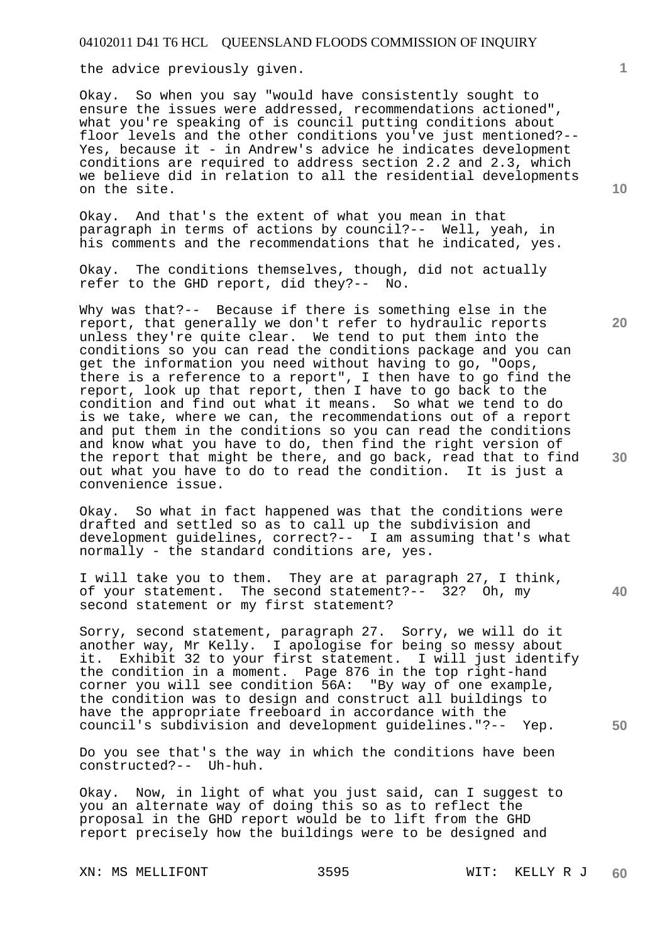the advice previously given.

Okay. So when you say "would have consistently sought to ensure the issues were addressed, recommendations actioned", what you're speaking of is council putting conditions about floor levels and the other conditions you've just mentioned?-- Yes, because it - in Andrew's advice he indicates development conditions are required to address section 2.2 and 2.3, which we believe did in relation to all the residential developments on the site.

Okay. And that's the extent of what you mean in that paragraph in terms of actions by council?-- Well, yeah, in his comments and the recommendations that he indicated, yes.

Okay. The conditions themselves, though, did not actually refer to the GHD report, did they?-- No.

Why was that?-- Because if there is something else in the report, that generally we don't refer to hydraulic reports unless they're quite clear. We tend to put them into the conditions so you can read the conditions package and you can get the information you need without having to go, "Oops, there is a reference to a report", I then have to go find the report, look up that report, then I have to go back to the condition and find out what it means. So what we tend to do is we take, where we can, the recommendations out of a report and put them in the conditions so you can read the conditions and know what you have to do, then find the right version of the report that might be there, and go back, read that to find out what you have to do to read the condition. It is just a convenience issue.

Okay. So what in fact happened was that the conditions were drafted and settled so as to call up the subdivision and development guidelines, correct?-- I am assuming that's what normally - the standard conditions are, yes.

I will take you to them. They are at paragraph 27, I think, of your statement. The second statement?-- 32? Oh, my second statement or my first statement?

Sorry, second statement, paragraph 27. Sorry, we will do it another way, Mr Kelly. I apologise for being so messy about it. Exhibit 32 to your first statement. I will just identify the condition in a moment. Page 876 in the top right-hand corner you will see condition 56A: "By way of one example, the condition was to design and construct all buildings to have the appropriate freeboard in accordance with the council's subdivision and development guidelines."?-- Yep.

Do you see that's the way in which the conditions have been constructed?-- Uh-huh.

Okay. Now, in light of what you just said, can I suggest to you an alternate way of doing this so as to reflect the proposal in the GHD report would be to lift from the GHD report precisely how the buildings were to be designed and

**10** 

**1**

**30** 

**40** 

**50**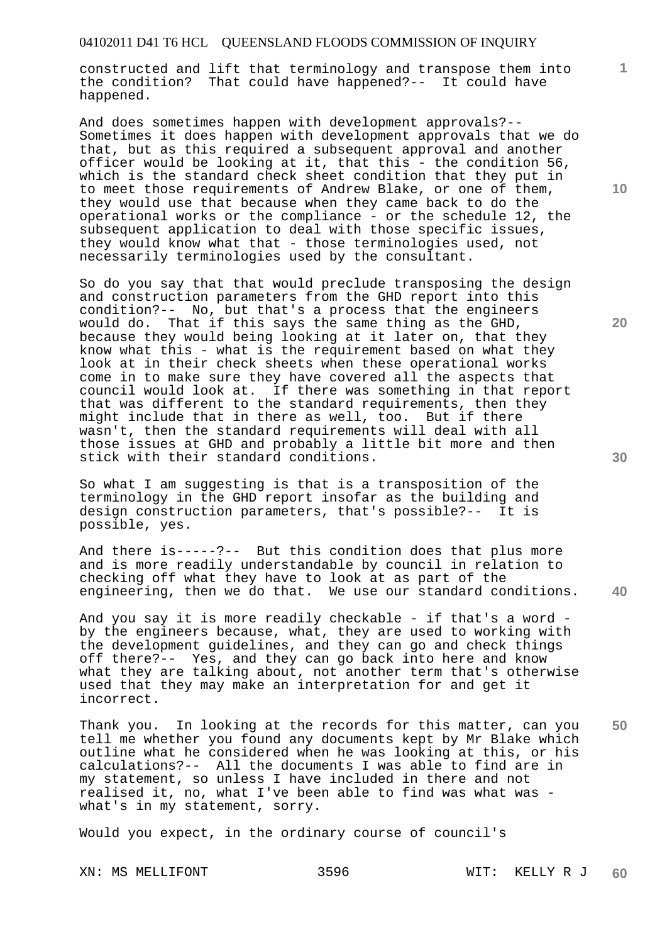constructed and lift that terminology and transpose them into the condition? That could have happened?-- It could have happened.

And does sometimes happen with development approvals?-- Sometimes it does happen with development approvals that we do that, but as this required a subsequent approval and another officer would be looking at it, that this - the condition 56, which is the standard check sheet condition that they put in to meet those requirements of Andrew Blake, or one of them, they would use that because when they came back to do the operational works or the compliance - or the schedule 12, the subsequent application to deal with those specific issues, they would know what that - those terminologies used, not necessarily terminologies used by the consultant.

So do you say that that would preclude transposing the design and construction parameters from the GHD report into this condition?-- No, but that's a process that the engineers would do. That if this says the same thing as the GHD, because they would being looking at it later on, that they know what this - what is the requirement based on what they look at in their check sheets when these operational works come in to make sure they have covered all the aspects that council would look at. If there was something in that report that was different to the standard requirements, then they might include that in there as well, too. But if there wasn't, then the standard requirements will deal with all those issues at GHD and probably a little bit more and then stick with their standard conditions.

So what I am suggesting is that is a transposition of the terminology in the GHD report insofar as the building and design construction parameters, that's possible?-- It is possible, yes.

**40**  And there is-----?-- But this condition does that plus more and is more readily understandable by council in relation to checking off what they have to look at as part of the engineering, then we do that. We use our standard conditions.

And you say it is more readily checkable - if that's a word by the engineers because, what, they are used to working with the development guidelines, and they can go and check things off there?-- Yes, and they can go back into here and know what they are talking about, not another term that's otherwise used that they may make an interpretation for and get it incorrect.

**50**  Thank you. In looking at the records for this matter, can you tell me whether you found any documents kept by Mr Blake which outline what he considered when he was looking at this, or his calculations?-- All the documents I was able to find are in my statement, so unless I have included in there and not realised it, no, what I've been able to find was what was what's in my statement, sorry.

Would you expect, in the ordinary course of council's

**10** 

**1**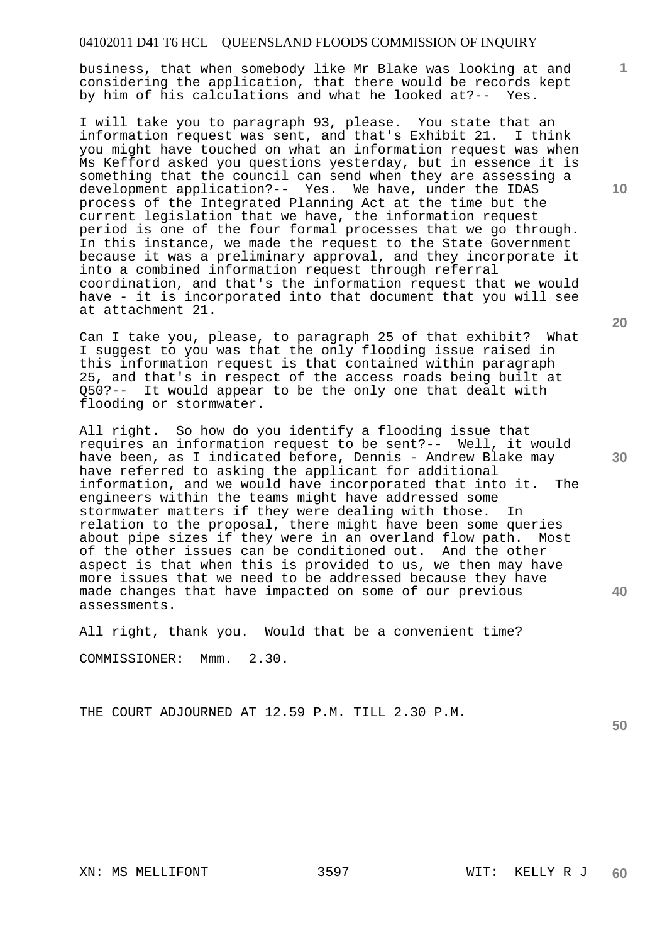business, that when somebody like Mr Blake was looking at and considering the application, that there would be records kept by him of his calculations and what he looked at?-- Yes.

I will take you to paragraph 93, please. You state that an information request was sent, and that's Exhibit 21. I think you might have touched on what an information request was when Ms Kefford asked you questions yesterday, but in essence it is something that the council can send when they are assessing a development application?-- Yes. We have, under the IDAS process of the Integrated Planning Act at the time but the current legislation that we have, the information request period is one of the four formal processes that we go through. In this instance, we made the request to the State Government because it was a preliminary approval, and they incorporate it into a combined information request through referral coordination, and that's the information request that we would have - it is incorporated into that document that you will see at attachment 21.

Can I take you, please, to paragraph 25 of that exhibit? What I suggest to you was that the only flooding issue raised in this information request is that contained within paragraph 25, and that's in respect of the access roads being built at Q50?-- It would appear to be the only one that dealt with flooding or stormwater.

All right. So how do you identify a flooding issue that requires an information request to be sent?-- Well, it would have been, as I indicated before, Dennis - Andrew Blake may have referred to asking the applicant for additional information, and we would have incorporated that into it. The engineers within the teams might have addressed some<br>stormwater matters if they were dealing with those. In stormwater matters if they were dealing with those. relation to the proposal, there might have been some queries about pipe sizes if they were in an overland flow path. Most of the other issues can be conditioned out. And the other aspect is that when this is provided to us, we then may have more issues that we need to be addressed because they have made changes that have impacted on some of our previous assessments.

All right, thank you. Would that be a convenient time? COMMISSIONER: Mmm. 2.30.

THE COURT ADJOURNED AT 12.59 P.M. TILL 2.30 P.M.

**50** 

**20** 

**1**

**10**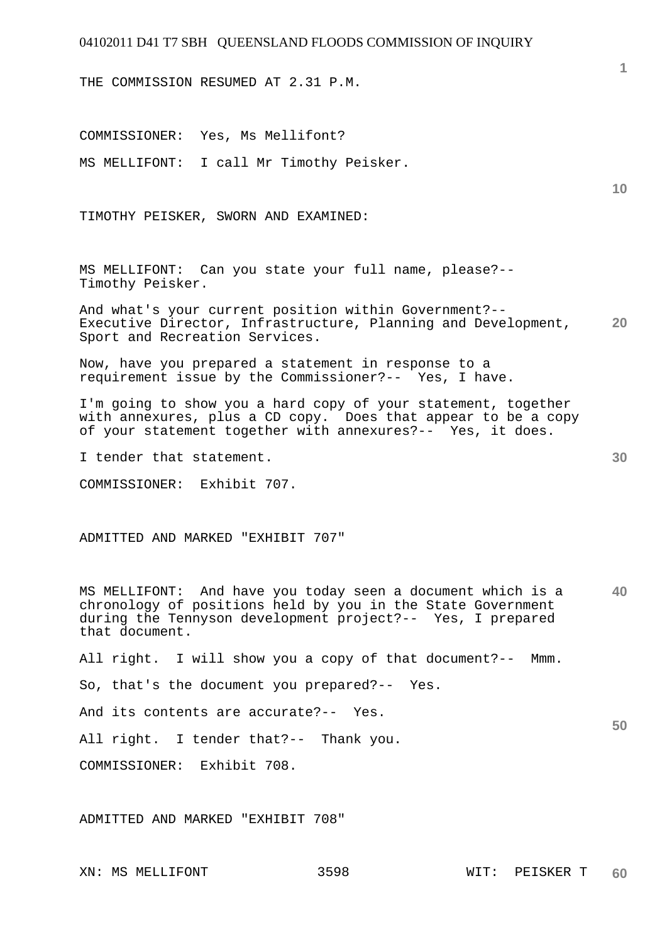THE COMMISSION RESUMED AT 2.31 P.M.

**10 20 30 40 50**  COMMISSIONER: Yes, Ms Mellifont? MS MELLIFONT: I call Mr Timothy Peisker. TIMOTHY PEISKER, SWORN AND EXAMINED: MS MELLIFONT: Can you state your full name, please?-- Timothy Peisker. And what's your current position within Government?-- Executive Director, Infrastructure, Planning and Development, Sport and Recreation Services. Now, have you prepared a statement in response to a requirement issue by the Commissioner?-- Yes, I have. I'm going to show you a hard copy of your statement, together with annexures, plus a CD copy. Does that appear to be a copy of your statement together with annexures?-- Yes, it does. I tender that statement. COMMISSIONER: Exhibit 707. ADMITTED AND MARKED "EXHIBIT 707" MS MELLIFONT: And have you today seen a document which is a chronology of positions held by you in the State Government during the Tennyson development project?-- Yes, I prepared that document. All right. I will show you a copy of that document?-- Mmm. So, that's the document you prepared?-- Yes. And its contents are accurate?-- Yes. All right. I tender that?-- Thank you. COMMISSIONER: Exhibit 708.

ADMITTED AND MARKED "EXHIBIT 708"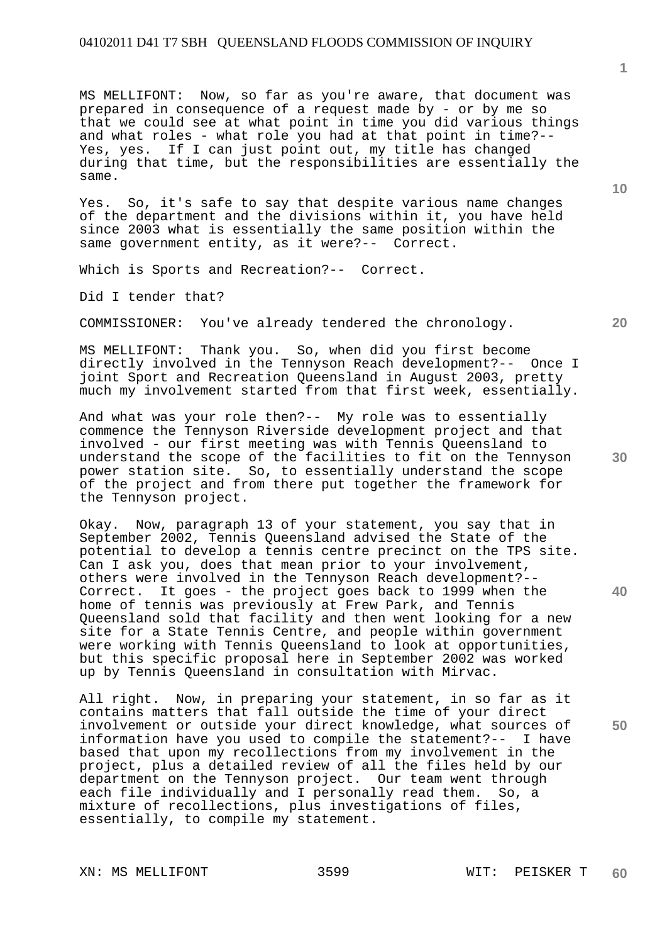MS MELLIFONT: Now, so far as you're aware, that document was prepared in consequence of a request made by - or by me so that we could see at what point in time you did various things and what roles - what role you had at that point in time?-- Yes, yes. If I can just point out, my title has changed during that time, but the responsibilities are essentially the same.

Yes. So, it's safe to say that despite various name changes of the department and the divisions within it, you have held since 2003 what is essentially the same position within the same government entity, as it were?-- Correct.

Which is Sports and Recreation?-- Correct.

Did I tender that?

COMMISSIONER: You've already tendered the chronology.

MS MELLIFONT: Thank you. So, when did you first become directly involved in the Tennyson Reach development?-- Once I joint Sport and Recreation Queensland in August 2003, pretty much my involvement started from that first week, essentially.

And what was your role then?-- My role was to essentially commence the Tennyson Riverside development project and that involved - our first meeting was with Tennis Queensland to understand the scope of the facilities to fit on the Tennyson power station site. So, to essentially understand the scope of the project and from there put together the framework for the Tennyson project.

Okay. Now, paragraph 13 of your statement, you say that in September 2002, Tennis Queensland advised the State of the potential to develop a tennis centre precinct on the TPS site. Can I ask you, does that mean prior to your involvement, others were involved in the Tennyson Reach development?-- Correct. It goes - the project goes back to 1999 when the home of tennis was previously at Frew Park, and Tennis Queensland sold that facility and then went looking for a new site for a State Tennis Centre, and people within government were working with Tennis Queensland to look at opportunities, but this specific proposal here in September 2002 was worked up by Tennis Queensland in consultation with Mirvac.

All right. Now, in preparing your statement, in so far as it contains matters that fall outside the time of your direct involvement or outside your direct knowledge, what sources of information have you used to compile the statement?-- I have based that upon my recollections from my involvement in the project, plus a detailed review of all the files held by our department on the Tennyson project. Our team went through each file individually and I personally read them. So, a mixture of recollections, plus investigations of files, essentially, to compile my statement.

XN: MS MELLIFONT 3599 WIT: PEISKER T

**10** 

**1**

**20** 

**50**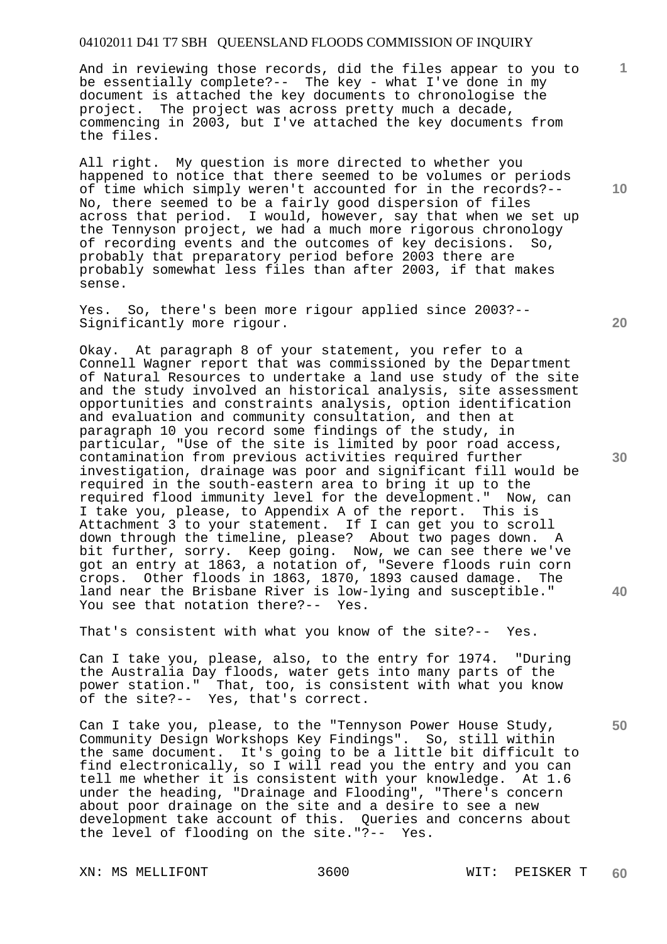And in reviewing those records, did the files appear to you to be essentially complete?-- The key - what I've done in my document is attached the key documents to chronologise the project. The project was across pretty much a decade, commencing in 2003, but I've attached the key documents from the files.

All right. My question is more directed to whether you happened to notice that there seemed to be volumes or periods of time which simply weren't accounted for in the records?-- No, there seemed to be a fairly good dispersion of files across that period. I would, however, say that when we set up the Tennyson project, we had a much more rigorous chronology of recording events and the outcomes of key decisions. So, probably that preparatory period before 2003 there are probably somewhat less files than after 2003, if that makes sense.

Yes. So, there's been more rigour applied since 2003?-- Significantly more rigour.

Okay. At paragraph 8 of your statement, you refer to a Connell Wagner report that was commissioned by the Department of Natural Resources to undertake a land use study of the site and the study involved an historical analysis, site assessment opportunities and constraints analysis, option identification and evaluation and community consultation, and then at paragraph 10 you record some findings of the study, in particular, "Use of the site is limited by poor road access, contamination from previous activities required further investigation, drainage was poor and significant fill would be required in the south-eastern area to bring it up to the required flood immunity level for the development." Now, can I take you, please, to Appendix A of the report. This is Attachment 3 to your statement. If I can get you to scroll down through the timeline, please? About two pages down. A bit further, sorry. Keep going. Now, we can see there we've got an entry at 1863, a notation of, "Severe floods ruin corn crops. Other floods in 1863, 1870, 1893 caused damage. The land near the Brisbane River is low-lying and susceptible." You see that notation there?-- Yes.

That's consistent with what you know of the site?-- Yes.

Can I take you, please, also, to the entry for 1974. "During the Australia Day floods, water gets into many parts of the power station." That, too, is consistent with what you know of the site?-- Yes, that's correct.

Can I take you, please, to the "Tennyson Power House Study, Community Design Workshops Key Findings". So, still within the same document. It's going to be a little bit difficult to find electronically, so I will read you the entry and you can tell me whether it is consistent with your knowledge. At 1.6 under the heading, "Drainage and Flooding", "There's concern about poor drainage on the site and a desire to see a new development take account of this. Queries and concerns about the level of flooding on the site."?-- Yes.

XN: MS MELLIFONT 3600 WIT: PEISKER T

**20** 

**10** 

**1**

**30** 

**40**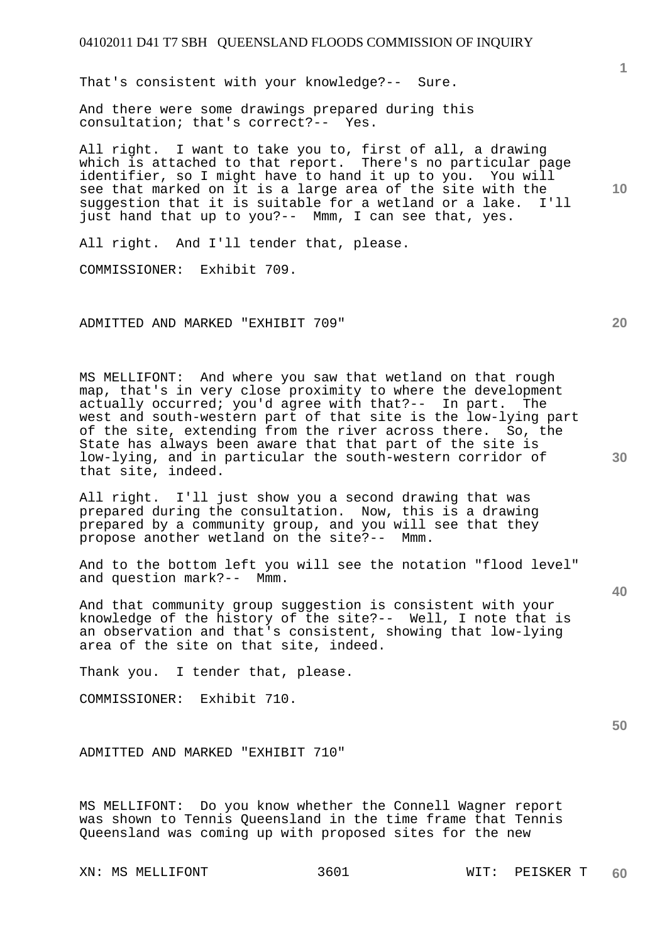That's consistent with your knowledge?-- Sure.

And there were some drawings prepared during this consultation; that's correct?-- Yes.

All right. I want to take you to, first of all, a drawing which is attached to that report. There's no particular page identifier, so I might have to hand it up to you. You will see that marked on it is a large area of the site with the suggestion that it is suitable for a wetland or a lake. I'll just hand that up to you?-- Mmm, I can see that, yes.

All right. And I'll tender that, please.

COMMISSIONER: Exhibit 709.

ADMITTED AND MARKED "EXHIBIT 709"

MS MELLIFONT: And where you saw that wetland on that rough map, that's in very close proximity to where the development actually occurred; you'd agree with that?-- In part. The west and south-western part of that site is the low-lying part of the site, extending from the river across there. So, the State has always been aware that that part of the site is low-lying, and in particular the south-western corridor of that site, indeed.

All right. I'll just show you a second drawing that was prepared during the consultation. Now, this is a drawing prepared by a community group, and you will see that they propose another wetland on the site?-- Mmm.

And to the bottom left you will see the notation "flood level" and question mark?-- Mmm.

And that community group suggestion is consistent with your knowledge of the history of the site?-- Well, I note that is an observation and that's consistent, showing that low-lying area of the site on that site, indeed.

Thank you. I tender that, please.

COMMISSIONER: Exhibit 710.

ADMITTED AND MARKED "EXHIBIT 710"

MS MELLIFONT: Do you know whether the Connell Wagner report was shown to Tennis Queensland in the time frame that Tennis Queensland was coming up with proposed sites for the new

XN: MS MELLIFONT 3601 WIT: PEISKER T

**10** 

**1**

**20** 

**40**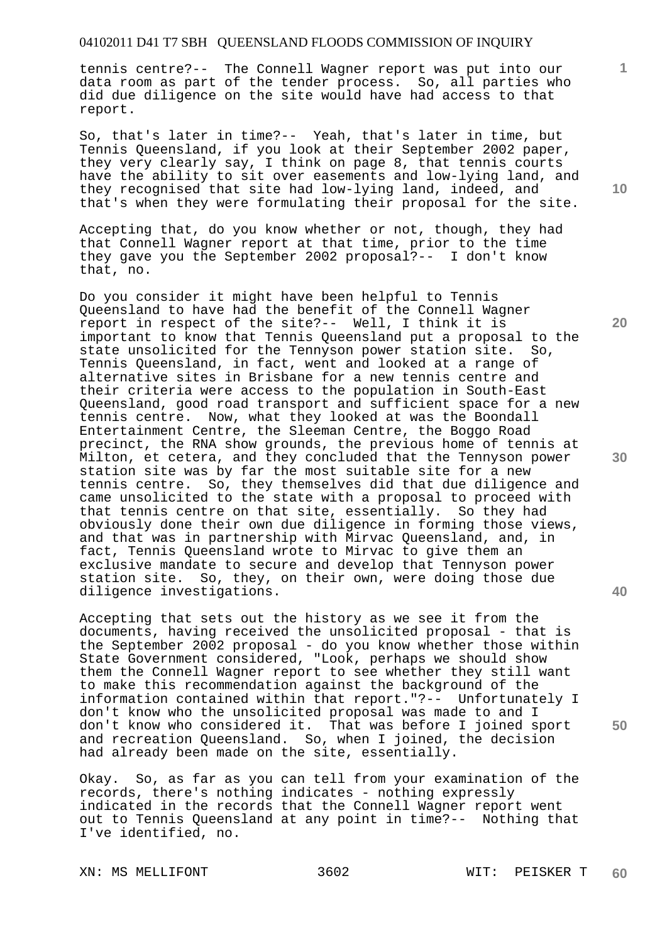tennis centre?-- The Connell Wagner report was put into our data room as part of the tender process. So, all parties who did due diligence on the site would have had access to that report.

So, that's later in time?-- Yeah, that's later in time, but Tennis Queensland, if you look at their September 2002 paper, they very clearly say, I think on page 8, that tennis courts have the ability to sit over easements and low-lying land, and they recognised that site had low-lying land, indeed, and that's when they were formulating their proposal for the site.

Accepting that, do you know whether or not, though, they had that Connell Wagner report at that time, prior to the time they gave you the September 2002 proposal?-- I don't know that, no.

Do you consider it might have been helpful to Tennis Queensland to have had the benefit of the Connell Wagner report in respect of the site?-- Well, I think it is important to know that Tennis Queensland put a proposal to the state unsolicited for the Tennyson power station site. So, Tennis Queensland, in fact, went and looked at a range of alternative sites in Brisbane for a new tennis centre and their criteria were access to the population in South-East Queensland, good road transport and sufficient space for a new tennis centre. Now, what they looked at was the Boondall Entertainment Centre, the Sleeman Centre, the Boggo Road precinct, the RNA show grounds, the previous home of tennis at Milton, et cetera, and they concluded that the Tennyson power station site was by far the most suitable site for a new tennis centre. So, they themselves did that due diligence and came unsolicited to the state with a proposal to proceed with that tennis centre on that site, essentially. So they had obviously done their own due diligence in forming those views, and that was in partnership with Mirvac Queensland, and, in fact, Tennis Queensland wrote to Mirvac to give them an exclusive mandate to secure and develop that Tennyson power station site. So, they, on their own, were doing those due diligence investigations.

Accepting that sets out the history as we see it from the documents, having received the unsolicited proposal - that is the September 2002 proposal - do you know whether those within State Government considered, "Look, perhaps we should show them the Connell Wagner report to see whether they still want to make this recommendation against the background of the information contained within that report."?-- Unfortunately I don't know who the unsolicited proposal was made to and I don't know who considered it. That was before I joined sport and recreation Queensland. So, when I joined, the decision had already been made on the site, essentially.

Okay. So, as far as you can tell from your examination of the records, there's nothing indicates - nothing expressly indicated in the records that the Connell Wagner report went out to Tennis Queensland at any point in time?-- Nothing that I've identified, no.

XN: MS MELLIFONT 3602 WIT: PEISKER T

**10** 

**1**

**20** 

**30** 

**40**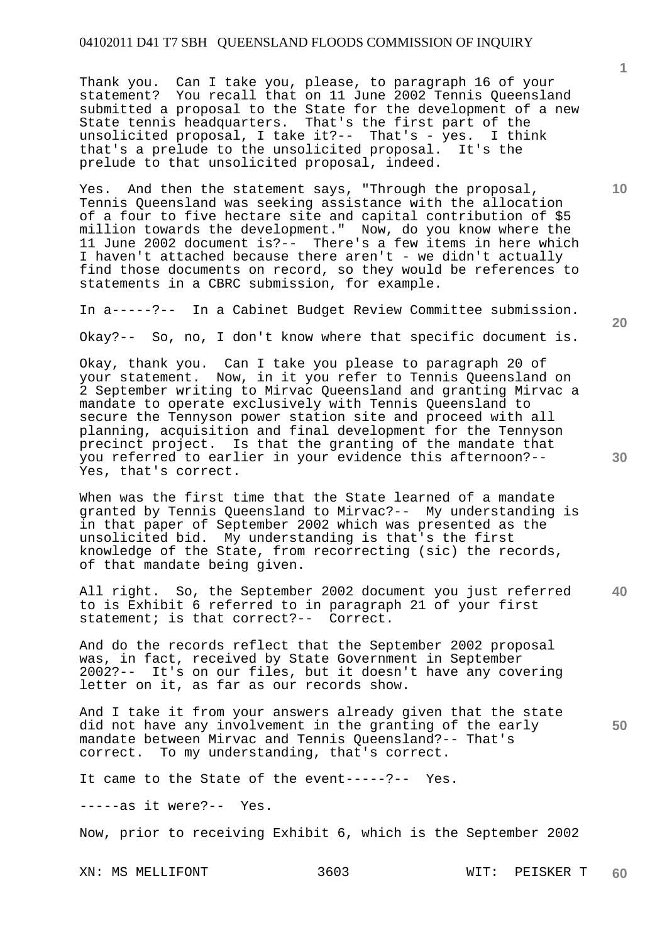Thank you. Can I take you, please, to paragraph 16 of your statement? You recall that on 11 June 2002 Tennis Queensland submitted a proposal to the State for the development of a new State tennis headquarters. That's the first part of the unsolicited proposal, I take it?-- That's - yes. I think that's a prelude to the unsolicited proposal. It's the prelude to that unsolicited proposal, indeed.

Yes. And then the statement says, "Through the proposal, Tennis Queensland was seeking assistance with the allocation of a four to five hectare site and capital contribution of \$5 million towards the development." Now, do you know where the 11 June 2002 document is?-- There's a few items in here which I haven't attached because there aren't - we didn't actually find those documents on record, so they would be references to statements in a CBRC submission, for example.

In a-----?-- In a Cabinet Budget Review Committee submission.

Okay?-- So, no, I don't know where that specific document is.

Okay, thank you. Can I take you please to paragraph 20 of your statement. Now, in it you refer to Tennis Queensland on 2 September writing to Mirvac Queensland and granting Mirvac a mandate to operate exclusively with Tennis Queensland to secure the Tennyson power station site and proceed with all planning, acquisition and final development for the Tennyson precinct project. Is that the granting of the mandate that you referred to earlier in your evidence this afternoon?-- Yes, that's correct.

When was the first time that the State learned of a mandate granted by Tennis Queensland to Mirvac?-- My understanding is in that paper of September 2002 which was presented as the unsolicited bid. My understanding is that's the first knowledge of the State, from recorrecting (sic) the records, of that mandate being given.

**40**  All right. So, the September 2002 document you just referred to is Exhibit 6 referred to in paragraph 21 of your first statement; is that correct?-- Correct.

And do the records reflect that the September 2002 proposal was, in fact, received by State Government in September 2002?-- It's on our files, but it doesn't have any covering letter on it, as far as our records show.

**50**  And I take it from your answers already given that the state did not have any involvement in the granting of the early mandate between Mirvac and Tennis Queensland?-- That's correct. To my understanding, that's correct.

It came to the State of the event-----?-- Yes.

-----as it were?-- Yes.

Now, prior to receiving Exhibit 6, which is the September 2002

XN: MS MELLIFONT 3603 WIT: PEISKER T

**20** 

**10**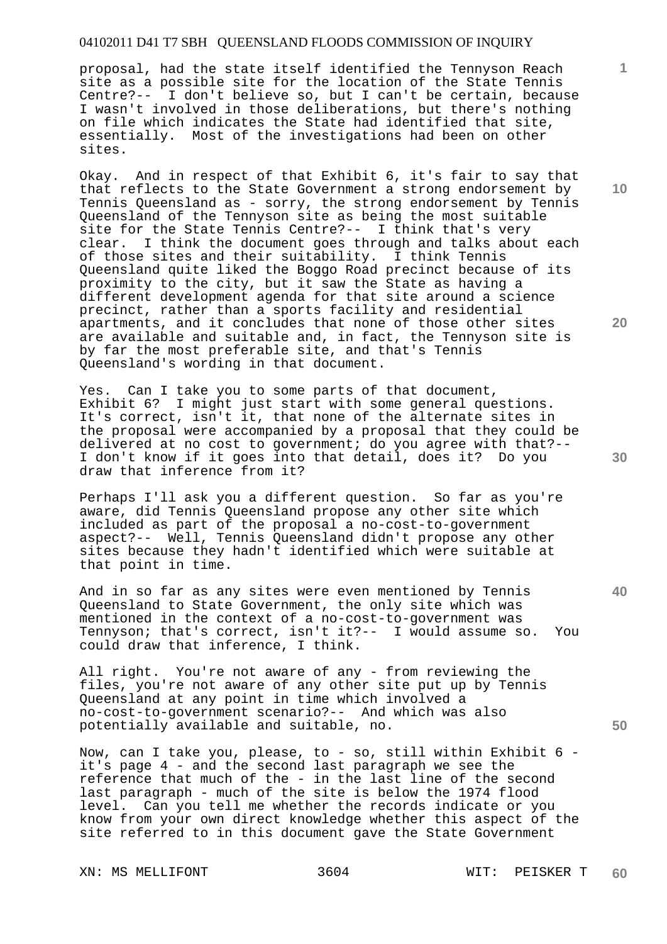proposal, had the state itself identified the Tennyson Reach site as a possible site for the location of the State Tennis Centre?-- I don't believe so, but I can't be certain, because I wasn't involved in those deliberations, but there's nothing on file which indicates the State had identified that site, essentially. Most of the investigations had been on other sites.

Okay. And in respect of that Exhibit 6, it's fair to say that that reflects to the State Government a strong endorsement by Tennis Queensland as - sorry, the strong endorsement by Tennis Queensland of the Tennyson site as being the most suitable site for the State Tennis Centre?-- I think that's very clear. I think the document goes through and talks about each of those sites and their suitability. I think Tennis Queensland quite liked the Boggo Road precinct because of its proximity to the city, but it saw the State as having a different development agenda for that site around a science precinct, rather than a sports facility and residential apartments, and it concludes that none of those other sites are available and suitable and, in fact, the Tennyson site is by far the most preferable site, and that's Tennis Queensland's wording in that document.

Yes. Can I take you to some parts of that document, Exhibit 6? I might just start with some general questions. It's correct, isn't it, that none of the alternate sites in the proposal were accompanied by a proposal that they could be delivered at no cost to government; do you agree with that?-- I don't know if it goes into that detail, does it? Do you draw that inference from it?

Perhaps I'll ask you a different question. So far as you're aware, did Tennis Queensland propose any other site which included as part of the proposal a no-cost-to-government aspect?-- Well, Tennis Queensland didn't propose any other sites because they hadn't identified which were suitable at that point in time.

And in so far as any sites were even mentioned by Tennis Queensland to State Government, the only site which was mentioned in the context of a no-cost-to-government was Tennyson; that's correct, isn't it?-- I would assume so. You could draw that inference, I think.

All right. You're not aware of any - from reviewing the files, you're not aware of any other site put up by Tennis Queensland at any point in time which involved a no-cost-to-government scenario?-- And which was also potentially available and suitable, no.

Now, can I take you, please, to - so, still within Exhibit 6 it's page 4 - and the second last paragraph we see the reference that much of the - in the last line of the second last paragraph - much of the site is below the 1974 flood level. Can you tell me whether the records indicate or you know from your own direct knowledge whether this aspect of the site referred to in this document gave the State Government

**10** 

**1**

**20** 

**30** 

**50**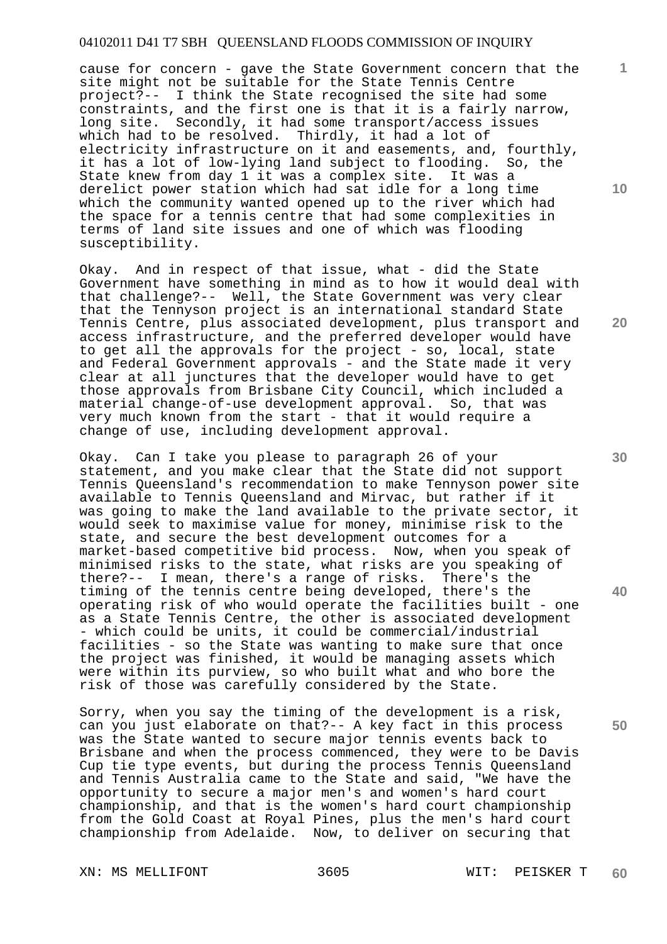cause for concern - gave the State Government concern that the site might not be suitable for the State Tennis Centre project?-- I think the State recognised the site had some constraints, and the first one is that it is a fairly narrow, long site. Secondly, it had some transport/access issues which had to be resolved. Thirdly, it had a lot of electricity infrastructure on it and easements, and, fourthly, it has a lot of low-lying land subject to flooding. So, the State knew from day 1 it was a complex site. It was a derelict power station which had sat idle for a long time which the community wanted opened up to the river which had the space for a tennis centre that had some complexities in terms of land site issues and one of which was flooding susceptibility.

Okay. And in respect of that issue, what - did the State Government have something in mind as to how it would deal with that challenge?-- Well, the State Government was very clear that the Tennyson project is an international standard State Tennis Centre, plus associated development, plus transport and access infrastructure, and the preferred developer would have to get all the approvals for the project - so, local, state and Federal Government approvals - and the State made it very clear at all junctures that the developer would have to get those approvals from Brisbane City Council, which included a material change-of-use development approval. So, that was very much known from the start - that it would require a change of use, including development approval.

Okay. Can I take you please to paragraph 26 of your statement, and you make clear that the State did not support Tennis Queensland's recommendation to make Tennyson power site available to Tennis Queensland and Mirvac, but rather if it was going to make the land available to the private sector, it would seek to maximise value for money, minimise risk to the state, and secure the best development outcomes for a market-based competitive bid process. Now, when you speak of minimised risks to the state, what risks are you speaking of there?-- I mean, there's a range of risks. There's the timing of the tennis centre being developed, there's the operating risk of who would operate the facilities built - one as a State Tennis Centre, the other is associated development - which could be units, it could be commercial/industrial facilities - so the State was wanting to make sure that once the project was finished, it would be managing assets which were within its purview, so who built what and who bore the risk of those was carefully considered by the State.

Sorry, when you say the timing of the development is a risk, can you just elaborate on that?-- A key fact in this process was the State wanted to secure major tennis events back to Brisbane and when the process commenced, they were to be Davis Cup tie type events, but during the process Tennis Queensland and Tennis Australia came to the State and said, "We have the opportunity to secure a major men's and women's hard court championship, and that is the women's hard court championship from the Gold Coast at Royal Pines, plus the men's hard court championship from Adelaide. Now, to deliver on securing that

XN: MS MELLIFONT 3605 WIT: PEISKER T

**1**

**10** 

**30** 

**20** 

**40**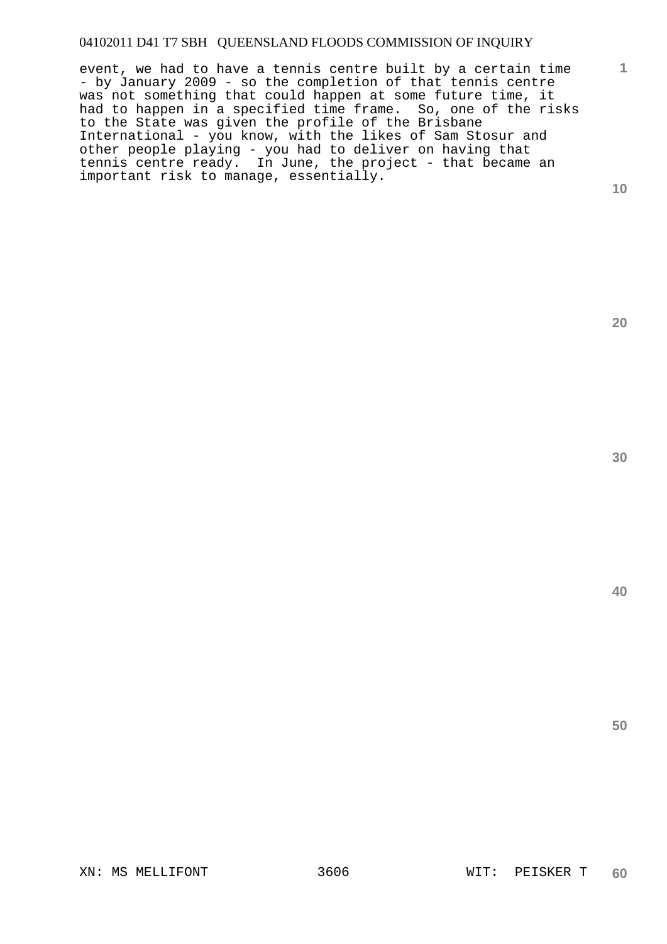event, we had to have a tennis centre built by a certain time - by January 2009 - so the completion of that tennis centre was not something that could happen at some future time, it had to happen in a specified time frame. So, one of the risks to the State was given the profile of the Brisbane International - you know, with the likes of Sam Stosur and other people playing - you had to deliver on having that tennis centre ready. In June, the project - that became an important risk to manage, essentially.

**10** 

**1**

**20** 

**30**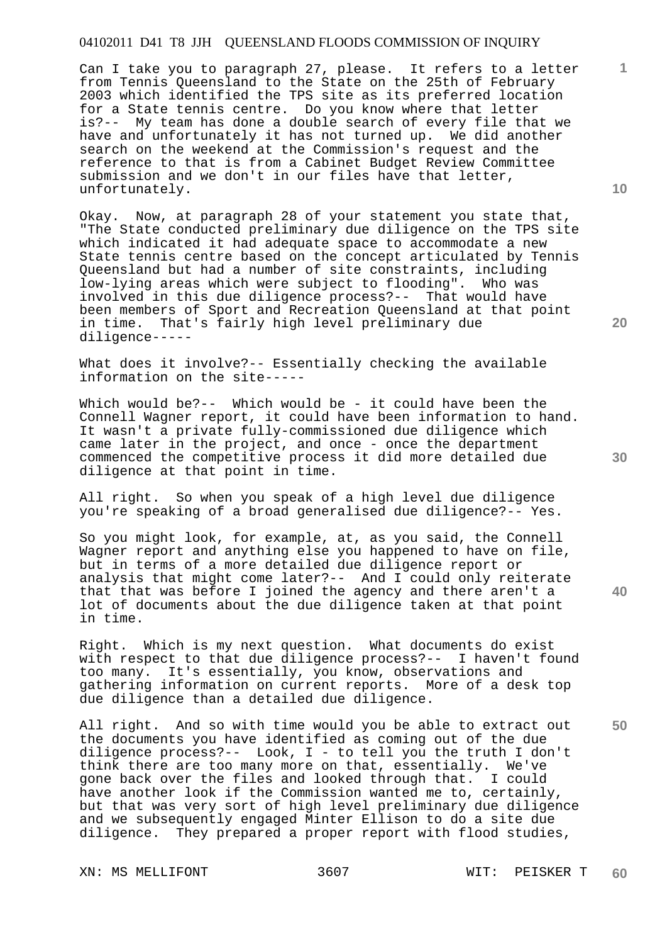Can I take you to paragraph 27, please. It refers to a letter from Tennis Queensland to the State on the 25th of February 2003 which identified the TPS site as its preferred location for a State tennis centre. Do you know where that letter is?-- My team has done a double search of every file that we have and unfortunately it has not turned up. We did another search on the weekend at the Commission's request and the reference to that is from a Cabinet Budget Review Committee submission and we don't in our files have that letter, unfortunately.

Okay. Now, at paragraph 28 of your statement you state that, "The State conducted preliminary due diligence on the TPS site which indicated it had adequate space to accommodate a new State tennis centre based on the concept articulated by Tennis Queensland but had a number of site constraints, including low-lying areas which were subject to flooding". Who was involved in this due diligence process?-- That would have been members of Sport and Recreation Queensland at that point in time. That's fairly high level preliminary due diligence-----

What does it involve?-- Essentially checking the available information on the site-----

Which would be?-- Which would be - it could have been the Connell Wagner report, it could have been information to hand. It wasn't a private fully-commissioned due diligence which came later in the project, and once - once the department commenced the competitive process it did more detailed due diligence at that point in time.

All right. So when you speak of a high level due diligence you're speaking of a broad generalised due diligence?-- Yes.

So you might look, for example, at, as you said, the Connell Wagner report and anything else you happened to have on file, but in terms of a more detailed due diligence report or analysis that might come later?-- And I could only reiterate that that was before I joined the agency and there aren't a lot of documents about the due diligence taken at that point in time.

Right. Which is my next question. What documents do exist with respect to that due diligence process?-- I haven't found too many. It's essentially, you know, observations and gathering information on current reports. More of a desk top due diligence than a detailed due diligence.

All right. And so with time would you be able to extract out the documents you have identified as coming out of the due diligence process?-- Look, I - to tell you the truth I don't think there are too many more on that, essentially. We've gone back over the files and looked through that. I could have another look if the Commission wanted me to, certainly, but that was very sort of high level preliminary due diligence and we subsequently engaged Minter Ellison to do a site due diligence. They prepared a proper report with flood studies,

XN: MS MELLIFONT 3607 WIT: PEISKER T

**10** 

**1**

**20** 

**30** 

**40**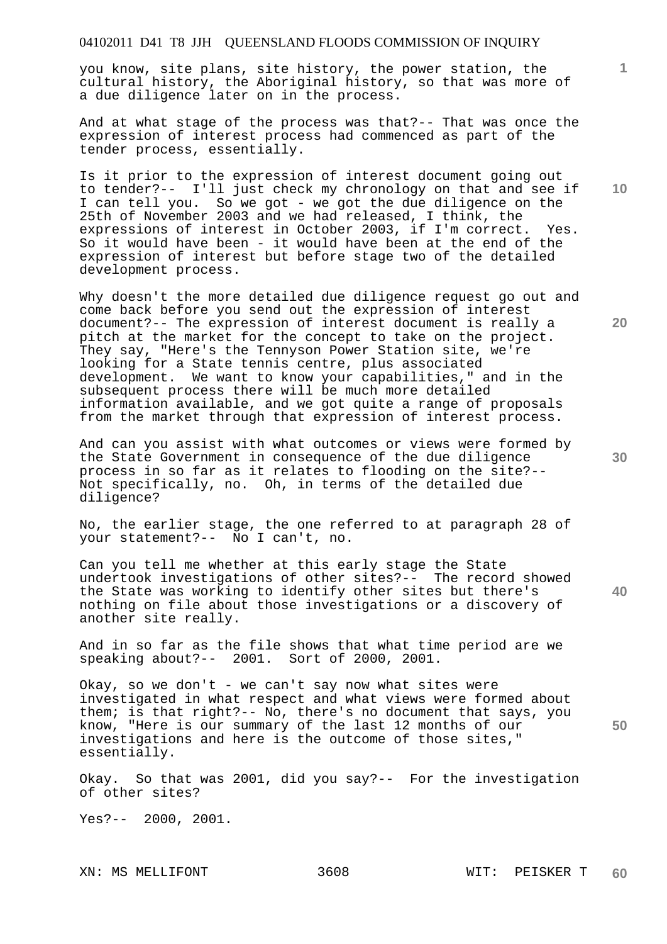you know, site plans, site history, the power station, the cultural history, the Aboriginal history, so that was more of a due diligence later on in the process.

And at what stage of the process was that?-- That was once the expression of interest process had commenced as part of the tender process, essentially.

Is it prior to the expression of interest document going out to tender?-- I'll just check my chronology on that and see if I can tell you. So we got - we got the due diligence on the 25th of November 2003 and we had released, I think, the expressions of interest in October 2003, if I'm correct. Yes. So it would have been - it would have been at the end of the expression of interest but before stage two of the detailed development process.

Why doesn't the more detailed due diligence request go out and come back before you send out the expression of interest document?-- The expression of interest document is really a pitch at the market for the concept to take on the project. They say, "Here's the Tennyson Power Station site, we're looking for a State tennis centre, plus associated development. We want to know your capabilities," and in the subsequent process there will be much more detailed information available, and we got quite a range of proposals from the market through that expression of interest process.

And can you assist with what outcomes or views were formed by the State Government in consequence of the due diligence process in so far as it relates to flooding on the site?-- Not specifically, no. Oh, in terms of the detailed due diligence?

No, the earlier stage, the one referred to at paragraph 28 of your statement?-- No I can't, no.

Can you tell me whether at this early stage the State undertook investigations of other sites?-- The record showed the State was working to identify other sites but there's nothing on file about those investigations or a discovery of another site really.

And in so far as the file shows that what time period are we speaking about?-- 2001. Sort of 2000, 2001.

Okay, so we don't - we can't say now what sites were investigated in what respect and what views were formed about them; is that right?-- No, there's no document that says, you know, "Here is our summary of the last 12 months of our investigations and here is the outcome of those sites," essentially.

Okay. So that was 2001, did you say?-- For the investigation of other sites?

Yes?-- 2000, 2001.

**10** 

**1**

**30** 

**20** 

**40**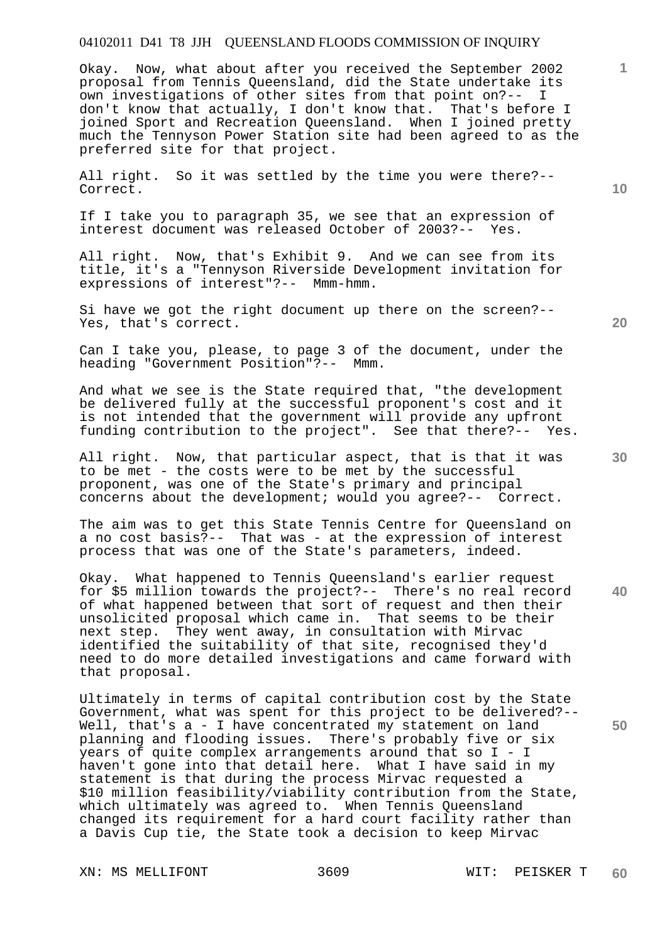Okay. Now, what about after you received the September 2002 proposal from Tennis Queensland, did the State undertake its<br>own investigations of other sites from that point on?-- I own investigations of other sites from that point on?-don't know that actually, I don't know that. That's before I joined Sport and Recreation Queensland. When I joined pretty much the Tennyson Power Station site had been agreed to as the preferred site for that project.

All right. So it was settled by the time you were there?-- Correct.

If I take you to paragraph 35, we see that an expression of interest document was released October of 2003?-- Yes.

All right. Now, that's Exhibit 9. And we can see from its title, it's a "Tennyson Riverside Development invitation for expressions of interest"?-- Mmm-hmm.

Si have we got the right document up there on the screen?-- Yes, that's correct.

Can I take you, please, to page 3 of the document, under the heading "Government Position"?-- Mmm.

And what we see is the State required that, "the development be delivered fully at the successful proponent's cost and it is not intended that the government will provide any upfront funding contribution to the project". See that there?-- Yes.

All right. Now, that particular aspect, that is that it was to be met - the costs were to be met by the successful proponent, was one of the State's primary and principal concerns about the development; would you agree?-- Correct.

The aim was to get this State Tennis Centre for Queensland on a no cost basis?-- That was - at the expression of interest process that was one of the State's parameters, indeed.

Okay. What happened to Tennis Queensland's earlier request for \$5 million towards the project?-- There's no real record of what happened between that sort of request and then their unsolicited proposal which came in. That seems to be their next step. They went away, in consultation with Mirvac identified the suitability of that site, recognised they'd need to do more detailed investigations and came forward with that proposal.

Ultimately in terms of capital contribution cost by the State Government, what was spent for this project to be delivered?-- Well, that's a - I have concentrated my statement on land planning and flooding issues. There's probably five or six years of quite complex arrangements around that so I - I haven't gone into that detail here. What I have said in my statement is that during the process Mirvac requested a \$10 million feasibility/viability contribution from the State, which ultimately was agreed to. When Tennis Queensland changed its requirement for a hard court facility rather than a Davis Cup tie, the State took a decision to keep Mirvac

XN: MS MELLIFONT 3609 WIT: PEISKER T

**20** 

**40** 

**50** 

**10**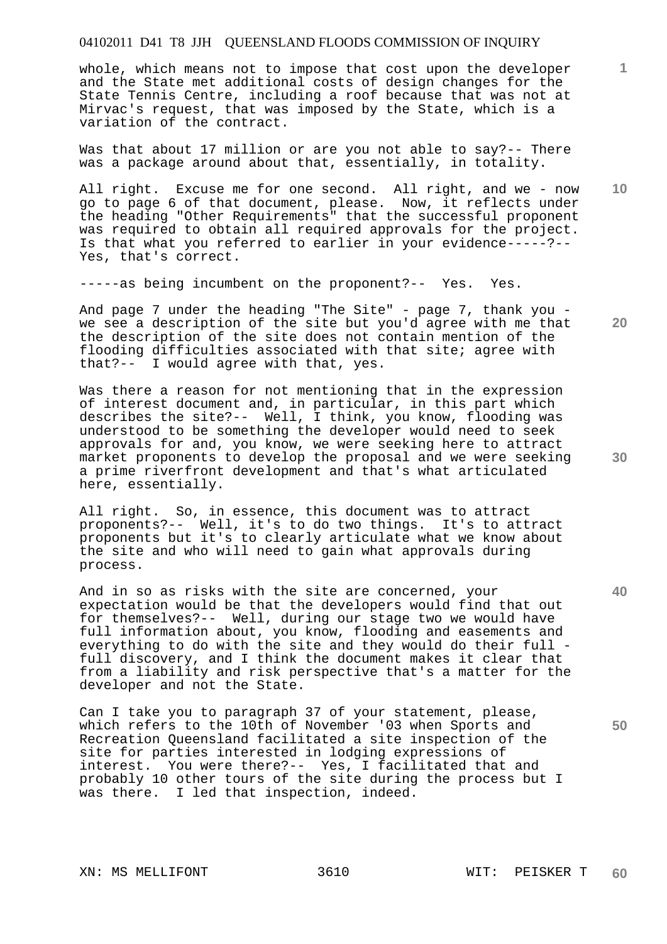whole, which means not to impose that cost upon the developer and the State met additional costs of design changes for the State Tennis Centre, including a roof because that was not at Mirvac's request, that was imposed by the State, which is a variation of the contract.

Was that about 17 million or are you not able to say?-- There was a package around about that, essentially, in totality.

All right. Excuse me for one second. All right, and we - now go to page 6 of that document, please. Now, it reflects under the heading "Other Requirements" that the successful proponent was required to obtain all required approvals for the project. Is that what you referred to earlier in your evidence-----?-- Yes, that's correct.

-----as being incumbent on the proponent?-- Yes. Yes.

And page 7 under the heading "The Site" - page 7, thank you we see a description of the site but you'd agree with me that the description of the site does not contain mention of the flooding difficulties associated with that site; agree with that?-- I would agree with that, yes.

Was there a reason for not mentioning that in the expression of interest document and, in particular, in this part which describes the site?-- Well, I think, you know, flooding was understood to be something the developer would need to seek approvals for and, you know, we were seeking here to attract market proponents to develop the proposal and we were seeking a prime riverfront development and that's what articulated here, essentially.

All right. So, in essence, this document was to attract proponents?-- Well, it's to do two things. It's to attract proponents but it's to clearly articulate what we know about the site and who will need to gain what approvals during process.

And in so as risks with the site are concerned, your expectation would be that the developers would find that out for themselves?-- Well, during our stage two we would have full information about, you know, flooding and easements and everything to do with the site and they would do their full full discovery, and I think the document makes it clear that from a liability and risk perspective that's a matter for the developer and not the State.

Can I take you to paragraph 37 of your statement, please, which refers to the 10th of November '03 when Sports and Recreation Queensland facilitated a site inspection of the site for parties interested in lodging expressions of interest. You were there?-- Yes, I facilitated that and probably 10 other tours of the site during the process but I was there. I led that inspection, indeed.

**10** 

**1**

**20** 

**30** 

**40**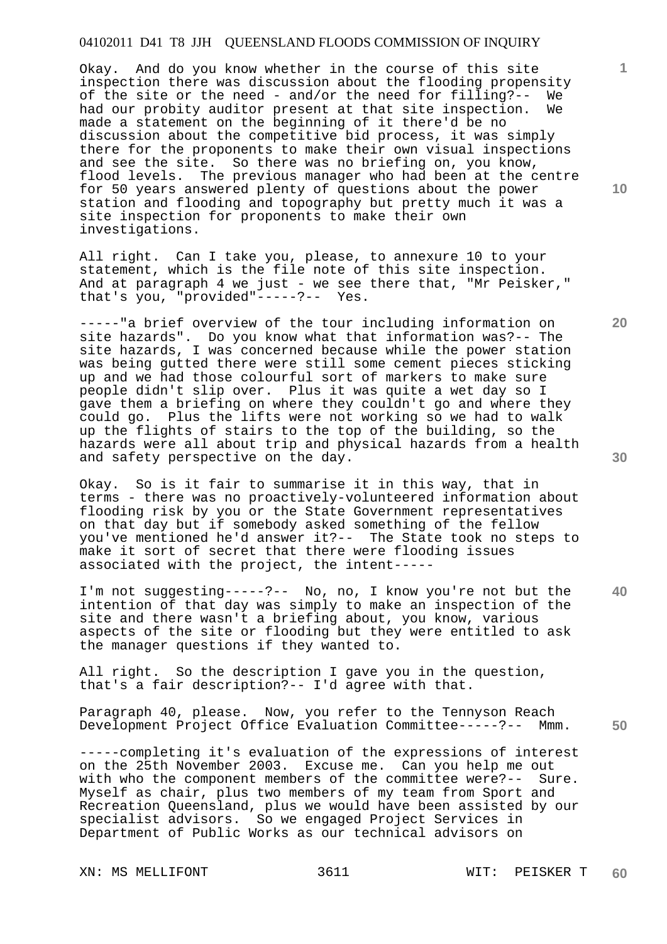Okay. And do you know whether in the course of this site inspection there was discussion about the flooding propensity of the site or the need - and/or the need for filling?-- We had our probity auditor present at that site inspection. We made a statement on the beginning of it there'd be no discussion about the competitive bid process, it was simply there for the proponents to make their own visual inspections and see the site. So there was no briefing on, you know, flood levels. The previous manager who had been at the centre for 50 years answered plenty of questions about the power station and flooding and topography but pretty much it was a site inspection for proponents to make their own investigations.

All right. Can I take you, please, to annexure 10 to your statement, which is the file note of this site inspection. And at paragraph 4 we just - we see there that, "Mr Peisker," that's you, "provided"-----?-- Yes.

-----"a brief overview of the tour including information on site hazards". Do you know what that information was?-- The site hazards, I was concerned because while the power station was being gutted there were still some cement pieces sticking up and we had those colourful sort of markers to make sure people didn't slip over. Plus it was quite a wet day so I gave them a briefing on where they couldn't go and where they could go. Plus the lifts were not working so we had to walk up the flights of stairs to the top of the building, so the hazards were all about trip and physical hazards from a health and safety perspective on the day.

Okay. So is it fair to summarise it in this way, that in terms - there was no proactively-volunteered information about flooding risk by you or the State Government representatives on that day but if somebody asked something of the fellow you've mentioned he'd answer it?-- The State took no steps to make it sort of secret that there were flooding issues associated with the project, the intent-----

I'm not suggesting-----?-- No, no, I know you're not but the intention of that day was simply to make an inspection of the site and there wasn't a briefing about, you know, various aspects of the site or flooding but they were entitled to ask the manager questions if they wanted to.

All right. So the description I gave you in the question, that's a fair description?-- I'd agree with that.

Paragraph 40, please. Now, you refer to the Tennyson Reach Development Project Office Evaluation Committee-----?-- Mmm.

-----completing it's evaluation of the expressions of interest on the 25th November 2003. Excuse me. Can you help me out with who the component members of the committee were?-- Sure. Myself as chair, plus two members of my team from Sport and Recreation Queensland, plus we would have been assisted by our specialist advisors. So we engaged Project Services in Department of Public Works as our technical advisors on

XN: MS MELLIFONT 3611 WIT: PEISKER T

**10** 

**1**

**30** 

**40** 

**50**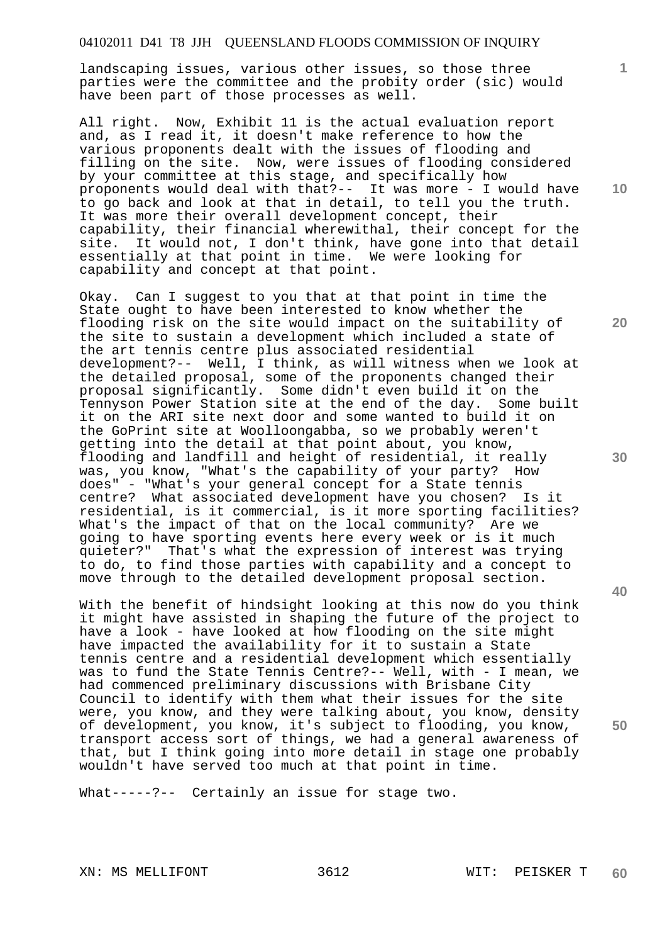landscaping issues, various other issues, so those three parties were the committee and the probity order (sic) would have been part of those processes as well.

All right. Now, Exhibit 11 is the actual evaluation report and, as I read it, it doesn't make reference to how the various proponents dealt with the issues of flooding and filling on the site. Now, were issues of flooding considered by your committee at this stage, and specifically how proponents would deal with that?-- It was more - I would have to go back and look at that in detail, to tell you the truth. It was more their overall development concept, their capability, their financial wherewithal, their concept for the site. It would not, I don't think, have gone into that detail essentially at that point in time. We were looking for capability and concept at that point.

Okay. Can I suggest to you that at that point in time the State ought to have been interested to know whether the flooding risk on the site would impact on the suitability of the site to sustain a development which included a state of the art tennis centre plus associated residential development?-- Well, I think, as will witness when we look at the detailed proposal, some of the proponents changed their proposal significantly. Some didn't even build it on the Tennyson Power Station site at the end of the day. Some built it on the ARI site next door and some wanted to build it on the GoPrint site at Woolloongabba, so we probably weren't getting into the detail at that point about, you know, flooding and landfill and height of residential, it really was, you know, "What's the capability of your party? How does" - "What's your general concept for a State tennis<br>centre? What associated development have you chosen? What associated development have you chosen? Is it residential, is it commercial, is it more sporting facilities? What's the impact of that on the local community? Are we going to have sporting events here every week or is it much quieter?" That's what the expression of interest was trying to do, to find those parties with capability and a concept to move through to the detailed development proposal section.

With the benefit of hindsight looking at this now do you think it might have assisted in shaping the future of the project to have a look - have looked at how flooding on the site might have impacted the availability for it to sustain a State tennis centre and a residential development which essentially was to fund the State Tennis Centre?-- Well, with - I mean, we had commenced preliminary discussions with Brisbane City Council to identify with them what their issues for the site were, you know, and they were talking about, you know, density of development, you know, it's subject to flooding, you know, transport access sort of things, we had a general awareness of that, but I think going into more detail in stage one probably wouldn't have served too much at that point in time.

What-----?-- Certainly an issue for stage two.

**10** 

**1**

**20** 

**30** 

**40**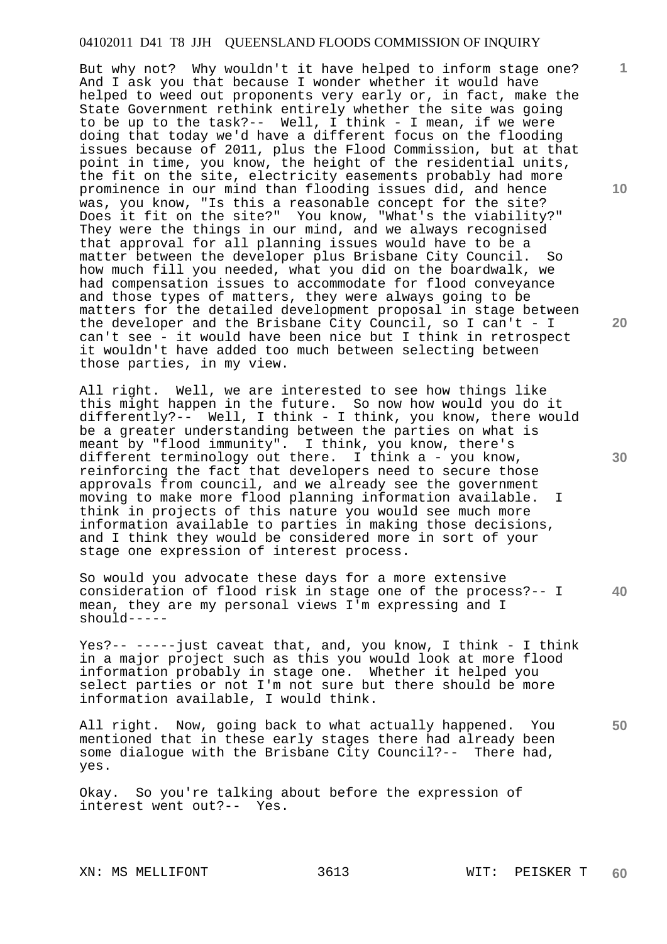But why not? Why wouldn't it have helped to inform stage one? And I ask you that because I wonder whether it would have helped to weed out proponents very early or, in fact, make the State Government rethink entirely whether the site was going to be up to the task?-- Well, I think - I mean, if we were doing that today we'd have a different focus on the flooding issues because of 2011, plus the Flood Commission, but at that point in time, you know, the height of the residential units, the fit on the site, electricity easements probably had more prominence in our mind than flooding issues did, and hence was, you know, "Is this a reasonable concept for the site? Does it fit on the site?" You know, "What's the viability?" They were the things in our mind, and we always recognised that approval for all planning issues would have to be a matter between the developer plus Brisbane City Council. So how much fill you needed, what you did on the boardwalk, we had compensation issues to accommodate for flood conveyance and those types of matters, they were always going to be matters for the detailed development proposal in stage between the developer and the Brisbane City Council, so I can't - I can't see - it would have been nice but I think in retrospect it wouldn't have added too much between selecting between those parties, in my view.

All right. Well, we are interested to see how things like this might happen in the future. So now how would you do it differently?-- Well, I think - I think, you know, there would be a greater understanding between the parties on what is meant by "flood immunity". I think, you know, there's different terminology out there. I think a - you know, reinforcing the fact that developers need to secure those approvals from council, and we already see the government moving to make more flood planning information available. I think in projects of this nature you would see much more information available to parties in making those decisions, and I think they would be considered more in sort of your stage one expression of interest process.

**40**  So would you advocate these days for a more extensive consideration of flood risk in stage one of the process?-- I mean, they are my personal views I'm expressing and I should-----

Yes?-- -----just caveat that, and, you know, I think - I think in a major project such as this you would look at more flood information probably in stage one. Whether it helped you select parties or not I'm not sure but there should be more information available, I would think.

All right. Now, going back to what actually happened. You mentioned that in these early stages there had already been some dialogue with the Brisbane City Council?-- There had, yes.

Okay. So you're talking about before the expression of interest went out?-- Yes.

XN: MS MELLIFONT 3613 WIT: PEISKER T

**10** 

**1**

**20** 

**30**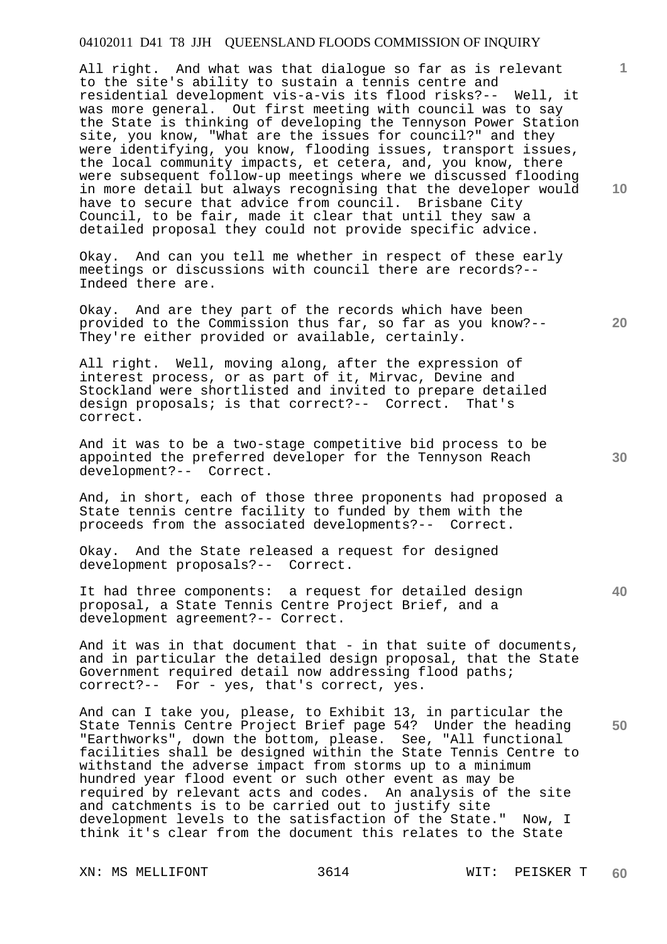All right. And what was that dialogue so far as is relevant to the site's ability to sustain a tennis centre and residential development vis-a-vis its flood risks?-- Well, it was more general. Out first meeting with council was to say the State is thinking of developing the Tennyson Power Station site, you know, "What are the issues for council?" and they were identifying, you know, flooding issues, transport issues, the local community impacts, et cetera, and, you know, there were subsequent follow-up meetings where we discussed flooding in more detail but always recognising that the developer would have to secure that advice from council. Brisbane City Council, to be fair, made it clear that until they saw a detailed proposal they could not provide specific advice.

Okay. And can you tell me whether in respect of these early meetings or discussions with council there are records?-- Indeed there are.

Okay. And are they part of the records which have been provided to the Commission thus far, so far as you know?-- They're either provided or available, certainly.

All right. Well, moving along, after the expression of interest process, or as part of it, Mirvac, Devine and Stockland were shortlisted and invited to prepare detailed design proposals; is that correct?-- Correct. That's correct.

And it was to be a two-stage competitive bid process to be appointed the preferred developer for the Tennyson Reach development?-- Correct.

And, in short, each of those three proponents had proposed a State tennis centre facility to funded by them with the proceeds from the associated developments?-- Correct.

Okay. And the State released a request for designed development proposals?-- Correct.

It had three components: a request for detailed design proposal, a State Tennis Centre Project Brief, and a development agreement?-- Correct.

And it was in that document that - in that suite of documents, and in particular the detailed design proposal, that the State Government required detail now addressing flood paths; correct?-- For - yes, that's correct, yes.

And can I take you, please, to Exhibit 13, in particular the State Tennis Centre Project Brief page 54? Under the heading "Earthworks", down the bottom, please. See, "All functional facilities shall be designed within the State Tennis Centre to withstand the adverse impact from storms up to a minimum hundred year flood event or such other event as may be required by relevant acts and codes. An analysis of the site and catchments is to be carried out to justify site development levels to the satisfaction of the State." Now, I think it's clear from the document this relates to the State

XN: MS MELLIFONT 3614 WIT: PEISKER T

**10** 

**1**

**20** 

**40**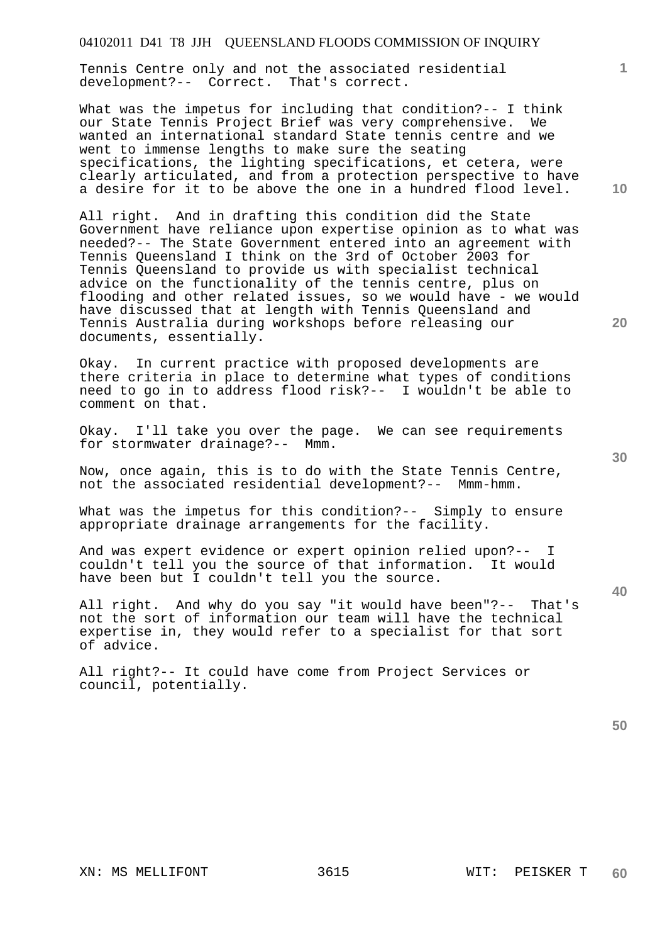Tennis Centre only and not the associated residential development?-- Correct. That's correct.

What was the impetus for including that condition?-- I think our State Tennis Project Brief was very comprehensive. We wanted an international standard State tennis centre and we went to immense lengths to make sure the seating specifications, the lighting specifications, et cetera, were clearly articulated, and from a protection perspective to have a desire for it to be above the one in a hundred flood level.

All right. And in drafting this condition did the State Government have reliance upon expertise opinion as to what was needed?-- The State Government entered into an agreement with Tennis Queensland I think on the 3rd of October 2003 for Tennis Queensland to provide us with specialist technical advice on the functionality of the tennis centre, plus on flooding and other related issues, so we would have - we would have discussed that at length with Tennis Queensland and Tennis Australia during workshops before releasing our documents, essentially.

Okay. In current practice with proposed developments are there criteria in place to determine what types of conditions need to go in to address flood risk?-- I wouldn't be able to comment on that.

Okay. I'll take you over the page. We can see requirements for stormwater drainage?-- Mmm.

Now, once again, this is to do with the State Tennis Centre, not the associated residential development?-- Mmm-hmm.

What was the impetus for this condition?-- Simply to ensure appropriate drainage arrangements for the facility.

And was expert evidence or expert opinion relied upon?-- I couldn't tell you the source of that information. It would have been but I couldn't tell you the source.

All right. And why do you say "it would have been"?-- That's not the sort of information our team will have the technical expertise in, they would refer to a specialist for that sort of advice.

All right?-- It could have come from Project Services or council, potentially.

**50** 

**40** 

**20** 

**10**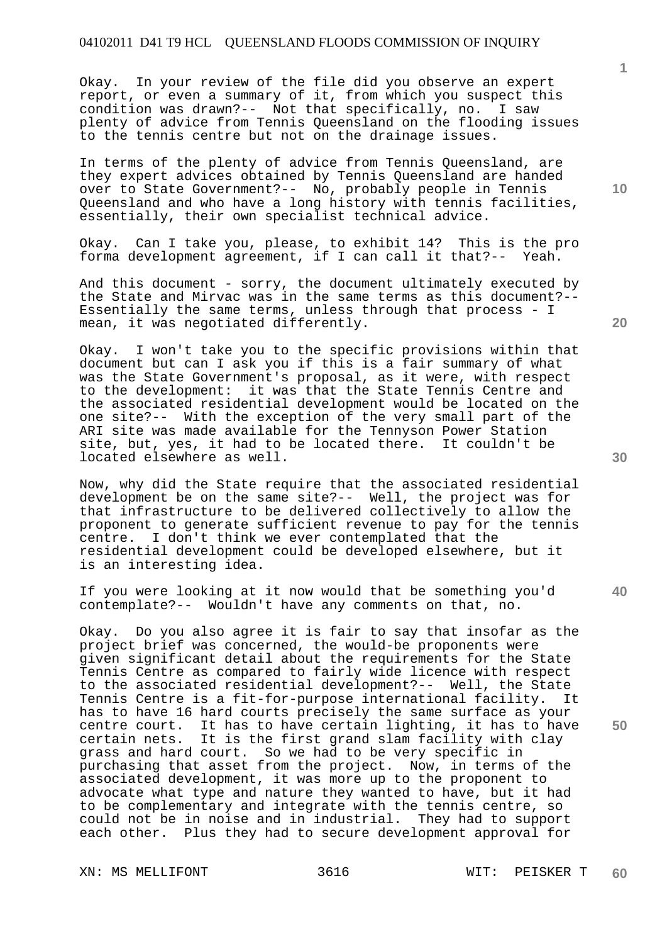Okay. In your review of the file did you observe an expert report, or even a summary of it, from which you suspect this condition was drawn?-- Not that specifically, no. I saw plenty of advice from Tennis Queensland on the flooding issues to the tennis centre but not on the drainage issues.

In terms of the plenty of advice from Tennis Queensland, are they expert advices obtained by Tennis Queensland are handed over to State Government?-- No, probably people in Tennis Queensland and who have a long history with tennis facilities, essentially, their own specialist technical advice.

Okay. Can I take you, please, to exhibit 14? This is the pro forma development agreement, if I can call it that?-- Yeah.

And this document - sorry, the document ultimately executed by the State and Mirvac was in the same terms as this document?-- Essentially the same terms, unless through that process - I mean, it was negotiated differently.

Okay. I won't take you to the specific provisions within that document but can I ask you if this is a fair summary of what was the State Government's proposal, as it were, with respect<br>to the development: it was that the State Tennis Centre and it was that the State Tennis Centre and the associated residential development would be located on the one site?-- With the exception of the very small part of the ARI site was made available for the Tennyson Power Station site, but, yes, it had to be located there. It couldn't be located elsewhere as well.

Now, why did the State require that the associated residential development be on the same site?-- Well, the project was for that infrastructure to be delivered collectively to allow the proponent to generate sufficient revenue to pay for the tennis centre. I don't think we ever contemplated that the residential development could be developed elsewhere, but it is an interesting idea.

If you were looking at it now would that be something you'd contemplate?-- Wouldn't have any comments on that, no.

Okay. Do you also agree it is fair to say that insofar as the project brief was concerned, the would-be proponents were given significant detail about the requirements for the State Tennis Centre as compared to fairly wide licence with respect to the associated residential development?-- Well, the State Tennis Centre is a fit-for-purpose international facility. It has to have 16 hard courts precisely the same surface as your centre court. It has to have certain lighting, it has to have certain nets. It is the first grand slam facility with clay grass and hard court. So we had to be very specific in purchasing that asset from the project. Now, in terms of the associated development, it was more up to the proponent to advocate what type and nature they wanted to have, but it had to be complementary and integrate with the tennis centre, so could not be in noise and in industrial. They had to support each other. Plus they had to secure development approval for

XN: MS MELLIFONT 3616 WIT: PEISKER T

**10** 

**20** 

**1**

**30** 

**40**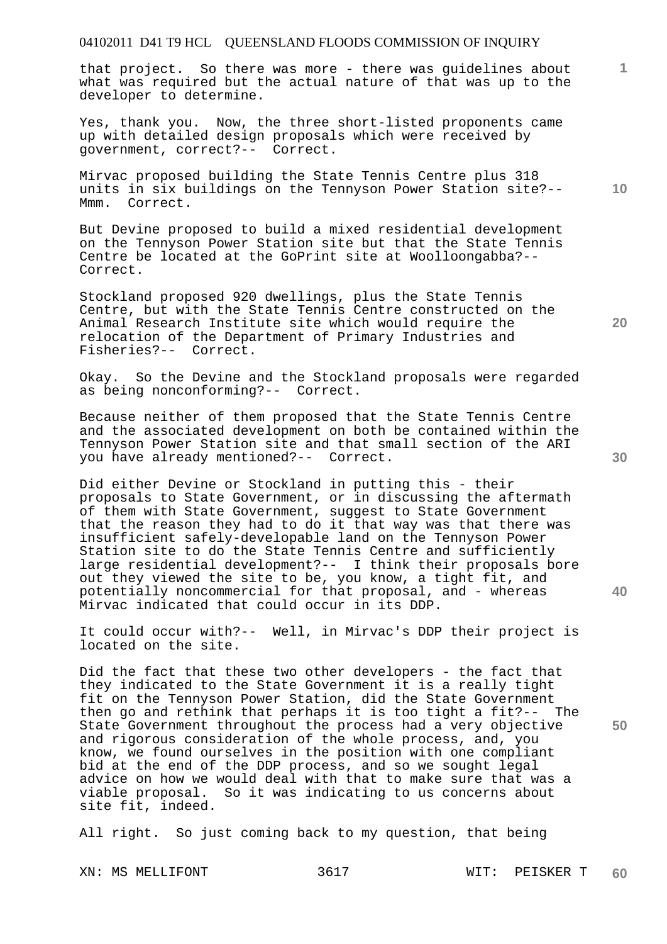that project. So there was more - there was guidelines about what was required but the actual nature of that was up to the developer to determine.

Yes, thank you. Now, the three short-listed proponents came up with detailed design proposals which were received by government, correct?-- Correct.

Mirvac proposed building the State Tennis Centre plus 318 units in six buildings on the Tennyson Power Station site?-- Mmm. Correct.

But Devine proposed to build a mixed residential development on the Tennyson Power Station site but that the State Tennis Centre be located at the GoPrint site at Woolloongabba?-- Correct.

Stockland proposed 920 dwellings, plus the State Tennis Centre, but with the State Tennis Centre constructed on the Animal Research Institute site which would require the relocation of the Department of Primary Industries and Fisheries?-- Correct.

Okay. So the Devine and the Stockland proposals were regarded as being nonconforming?-- Correct.

Because neither of them proposed that the State Tennis Centre and the associated development on both be contained within the Tennyson Power Station site and that small section of the ARI you have already mentioned?-- Correct.

Did either Devine or Stockland in putting this - their proposals to State Government, or in discussing the aftermath of them with State Government, suggest to State Government that the reason they had to do it that way was that there was insufficient safely-developable land on the Tennyson Power Station site to do the State Tennis Centre and sufficiently large residential development?-- I think their proposals bore out they viewed the site to be, you know, a tight fit, and potentially noncommercial for that proposal, and - whereas Mirvac indicated that could occur in its DDP.

It could occur with?-- Well, in Mirvac's DDP their project is located on the site.

Did the fact that these two other developers - the fact that they indicated to the State Government it is a really tight fit on the Tennyson Power Station, did the State Government then go and rethink that perhaps it is too tight a fit?-- The State Government throughout the process had a very objective and rigorous consideration of the whole process, and, you know, we found ourselves in the position with one compliant bid at the end of the DDP process, and so we sought legal advice on how we would deal with that to make sure that was a viable proposal. So it was indicating to us concerns about site fit, indeed.

All right. So just coming back to my question, that being

**20** 

**30** 

**50** 

**1**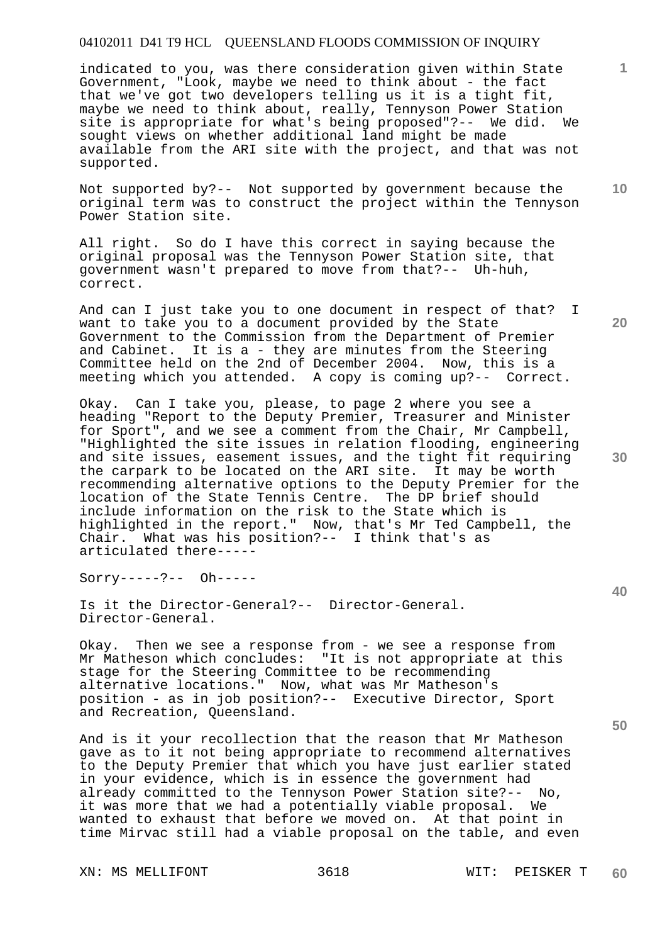indicated to you, was there consideration given within State Government, "Look, maybe we need to think about - the fact that we've got two developers telling us it is a tight fit, maybe we need to think about, really, Tennyson Power Station site is appropriate for what's being proposed"?-- We did. We sought views on whether additional land might be made available from the ARI site with the project, and that was not supported.

Not supported by?-- Not supported by government because the original term was to construct the project within the Tennyson Power Station site.

All right. So do I have this correct in saying because the original proposal was the Tennyson Power Station site, that government wasn't prepared to move from that?-- Uh-huh, correct.

And can I just take you to one document in respect of that? I want to take you to a document provided by the State Government to the Commission from the Department of Premier and Cabinet. It is a - they are minutes from the Steering Committee held on the 2nd of December 2004. Now, this is a meeting which you attended. A copy is coming up?-- Correct.

Okay. Can I take you, please, to page 2 where you see a heading "Report to the Deputy Premier, Treasurer and Minister for Sport", and we see a comment from the Chair, Mr Campbell, "Highlighted the site issues in relation flooding, engineering and site issues, easement issues, and the tight fit requiring the carpark to be located on the ARI site. It may be worth recommending alternative options to the Deputy Premier for the location of the State Tennis Centre. The DP brief should include information on the risk to the State which is highlighted in the report." Now, that's Mr Ted Campbell, the Chair. What was his position?-- I think that's as articulated there-----

Sorry-----?-- Oh-----

Is it the Director-General?-- Director-General. Director-General.

Okay. Then we see a response from - we see a response from Mr Matheson which concludes: "It is not appropriate at this stage for the Steering Committee to be recommending alternative locations." Now, what was Mr Matheson's position - as in job position?-- Executive Director, Sport and Recreation, Queensland.

And is it your recollection that the reason that Mr Matheson gave as to it not being appropriate to recommend alternatives to the Deputy Premier that which you have just earlier stated in your evidence, which is in essence the government had already committed to the Tennyson Power Station site?-- No, it was more that we had a potentially viable proposal. We wanted to exhaust that before we moved on. At that point in time Mirvac still had a viable proposal on the table, and even

XN: MS MELLIFONT 3618 WIT: PEISKER T

**20** 

**10** 

**1**

**30** 

**40**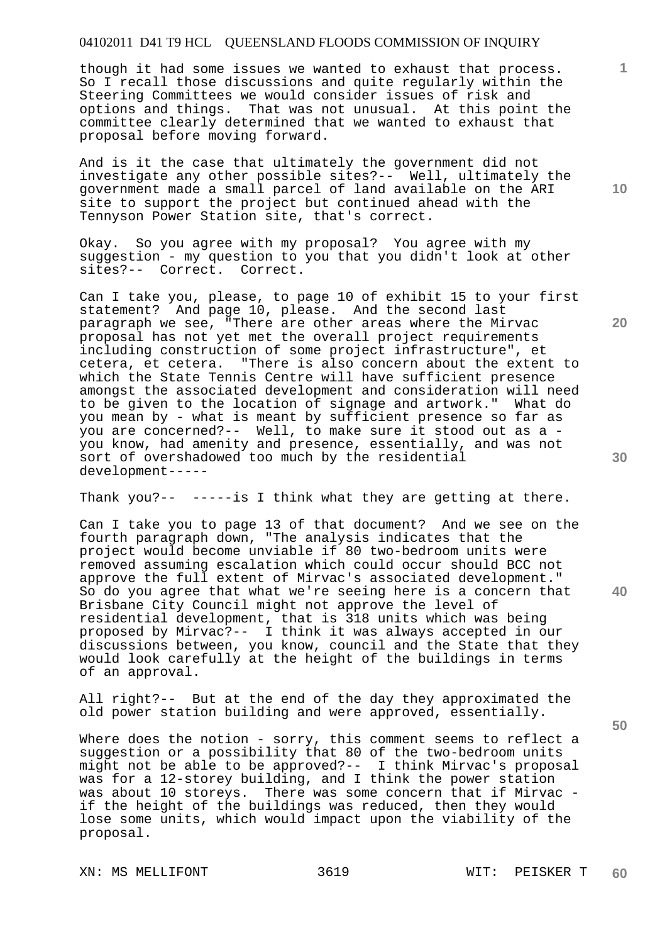though it had some issues we wanted to exhaust that process. So I recall those discussions and quite regularly within the Steering Committees we would consider issues of risk and options and things. That was not unusual. At this point the committee clearly determined that we wanted to exhaust that proposal before moving forward.

And is it the case that ultimately the government did not investigate any other possible sites?-- Well, ultimately the government made a small parcel of land available on the ARI site to support the project but continued ahead with the Tennyson Power Station site, that's correct.

Okay. So you agree with my proposal? You agree with my suggestion - my question to you that you didn't look at other sites?-- Correct. Correct.

Can I take you, please, to page 10 of exhibit 15 to your first statement? And page 10, please. And the second last paragraph we see, "There are other areas where the Mirvac proposal has not yet met the overall project requirements including construction of some project infrastructure", et cetera, et cetera. "There is also concern about the extent to which the State Tennis Centre will have sufficient presence amongst the associated development and consideration will need to be given to the location of signage and artwork." What do you mean by - what is meant by sufficient presence so far as you are concerned?-- Well, to make sure it stood out as a you know, had amenity and presence, essentially, and was not sort of overshadowed too much by the residential development-----

Thank you?-- -----is I think what they are getting at there.

Can I take you to page 13 of that document? And we see on the fourth paragraph down, "The analysis indicates that the project would become unviable if 80 two-bedroom units were removed assuming escalation which could occur should BCC not approve the full extent of Mirvac's associated development." So do you agree that what we're seeing here is a concern that Brisbane City Council might not approve the level of residential development, that is 318 units which was being proposed by Mirvac?-- I think it was always accepted in our discussions between, you know, council and the State that they would look carefully at the height of the buildings in terms of an approval.

All right?-- But at the end of the day they approximated the old power station building and were approved, essentially.

Where does the notion - sorry, this comment seems to reflect a suggestion or a possibility that 80 of the two-bedroom units might not be able to be approved?-- I think Mirvac's proposal was for a 12-storey building, and I think the power station was about 10 storeys. There was some concern that if Mirvac if the height of the buildings was reduced, then they would lose some units, which would impact upon the viability of the proposal.

**10** 

**1**

**20** 

**30** 

**50**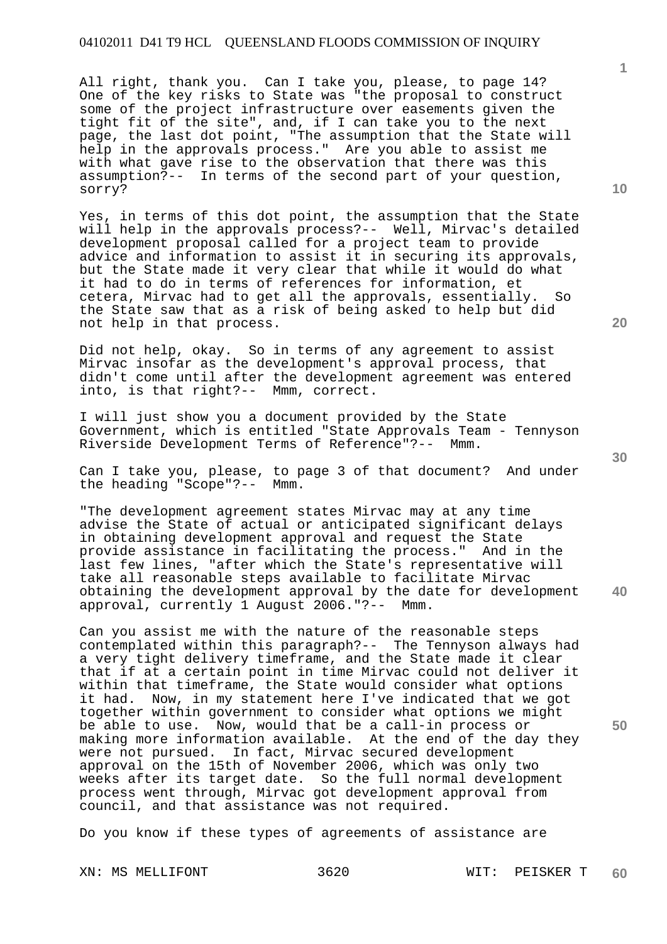All right, thank you. Can I take you, please, to page 14? One of the key risks to State was "the proposal to construct some of the project infrastructure over easements given the tight fit of the site", and, if I can take you to the next page, the last dot point, "The assumption that the State will help in the approvals process." Are you able to assist me with what gave rise to the observation that there was this assumption?-- In terms of the second part of your question, sorry?

Yes, in terms of this dot point, the assumption that the State will help in the approvals process?-- Well, Mirvac's detailed development proposal called for a project team to provide advice and information to assist it in securing its approvals, but the State made it very clear that while it would do what it had to do in terms of references for information, et cetera, Mirvac had to get all the approvals, essentially. So the State saw that as a risk of being asked to help but did not help in that process.

Did not help, okay. So in terms of any agreement to assist Mirvac insofar as the development's approval process, that didn't come until after the development agreement was entered into, is that right?-- Mmm, correct.

I will just show you a document provided by the State Government, which is entitled "State Approvals Team - Tennyson Riverside Development Terms of Reference"?-- Mmm.

Can I take you, please, to page 3 of that document? And under the heading "Scope"?-- Mmm.

"The development agreement states Mirvac may at any time advise the State of actual or anticipated significant delays in obtaining development approval and request the State provide assistance in facilitating the process." And in the last few lines, "after which the State's representative will take all reasonable steps available to facilitate Mirvac obtaining the development approval by the date for development approval, currently 1 August 2006."?-- Mmm.

Can you assist me with the nature of the reasonable steps contemplated within this paragraph?-- The Tennyson always had a very tight delivery timeframe, and the State made it clear that if at a certain point in time Mirvac could not deliver it within that timeframe, the State would consider what options it had. Now, in my statement here I've indicated that we got together within government to consider what options we might be able to use. Now, would that be a call-in process or making more information available. At the end of the day they were not pursued. In fact, Mirvac secured development approval on the 15th of November 2006, which was only two weeks after its target date. So the full normal development process went through, Mirvac got development approval from council, and that assistance was not required.

Do you know if these types of agreements of assistance are

XN: MS MELLIFONT 3620 WIT: PEISKER T

**1**

**30** 

**40** 

**50**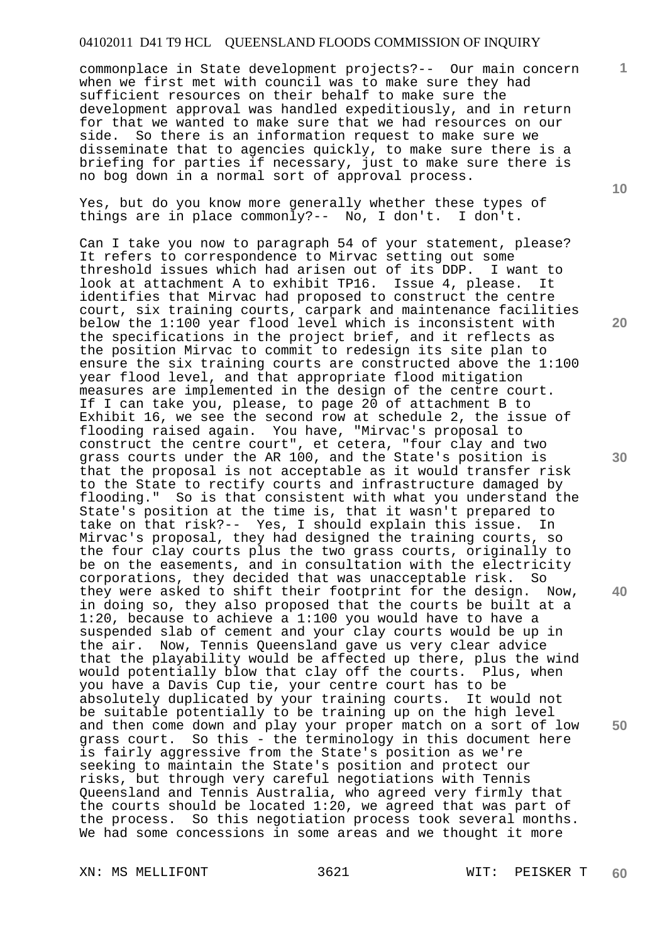## 04102011 D41 T9 HCL QUEENSLAND FLOODS COMMISSION OF INQUIRY

commonplace in State development projects?-- Our main concern when we first met with council was to make sure they had sufficient resources on their behalf to make sure the development approval was handled expeditiously, and in return for that we wanted to make sure that we had resources on our side. So there is an information request to make sure we disseminate that to agencies quickly, to make sure there is a briefing for parties if necessary, just to make sure there is no bog down in a normal sort of approval process.

Yes, but do you know more generally whether these types of things are in place commonly?-- No, I don't. I don't.

Can I take you now to paragraph 54 of your statement, please? It refers to correspondence to Mirvac setting out some threshold issues which had arisen out of its DDP. I want to look at attachment A to exhibit TP16. Issue 4, please. It identifies that Mirvac had proposed to construct the centre court, six training courts, carpark and maintenance facilities below the 1:100 year flood level which is inconsistent with the specifications in the project brief, and it reflects as the position Mirvac to commit to redesign its site plan to ensure the six training courts are constructed above the 1:100 year flood level, and that appropriate flood mitigation measures are implemented in the design of the centre court. If I can take you, please, to page 20 of attachment B to Exhibit 16, we see the second row at schedule 2, the issue of flooding raised again. You have, "Mirvac's proposal to construct the centre court", et cetera, "four clay and two grass courts under the AR 100, and the State's position is that the proposal is not acceptable as it would transfer risk to the State to rectify courts and infrastructure damaged by flooding." So is that consistent with what you understand the State's position at the time is, that it wasn't prepared to take on that risk?-- Yes, I should explain this issue. In Mirvac's proposal, they had designed the training courts, so the four clay courts plus the two grass courts, originally to be on the easements, and in consultation with the electricity corporations, they decided that was unacceptable risk. So they were asked to shift their footprint for the design. in doing so, they also proposed that the courts be built at a 1:20, because to achieve a 1:100 you would have to have a suspended slab of cement and your clay courts would be up in the air. Now, Tennis Queensland gave us very clear advice that the playability would be affected up there, plus the wind would potentially blow that clay off the courts. Plus, when you have a Davis Cup tie, your centre court has to be absolutely duplicated by your training courts. It would not be suitable potentially to be training up on the high level and then come down and play your proper match on a sort of low grass court. So this - the terminology in this document here is fairly aggressive from the State's position as we're seeking to maintain the State's position and protect our risks, but through very careful negotiations with Tennis Queensland and Tennis Australia, who agreed very firmly that the courts should be located 1:20, we agreed that was part of the process. So this negotiation process took several months. We had some concessions in some areas and we thought it more

XN: MS MELLIFONT 3621 WIT: PEISKER T

**10** 

**1**

**20** 

**30** 

**40**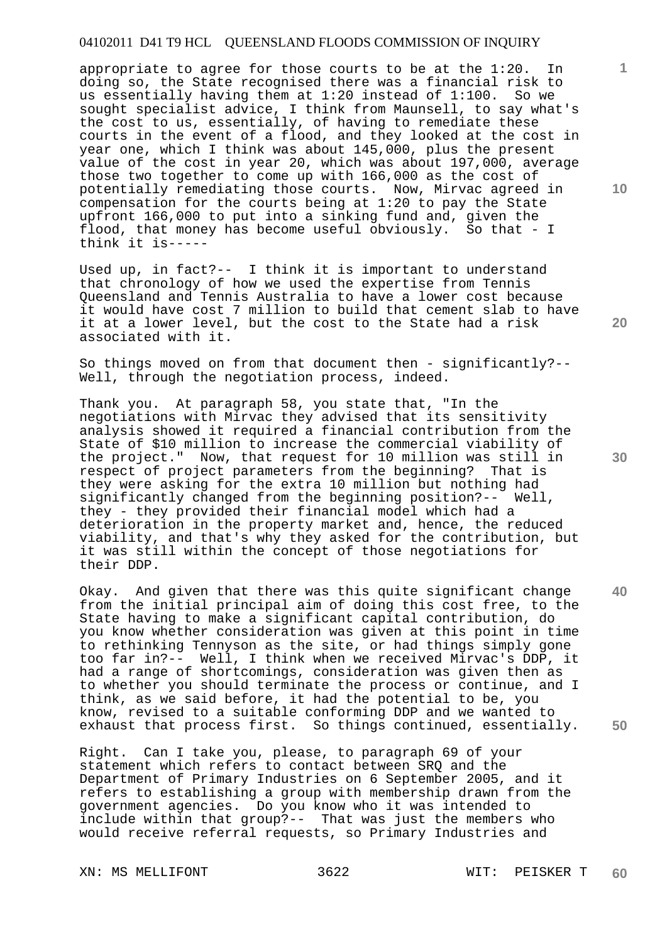# 04102011 D41 T9 HCL QUEENSLAND FLOODS COMMISSION OF INQUIRY

appropriate to agree for those courts to be at the 1:20. In doing so, the State recognised there was a financial risk to us essentially having them at 1:20 instead of 1:100. So we sought specialist advice, I think from Maunsell, to say what's the cost to us, essentially, of having to remediate these courts in the event of a flood, and they looked at the cost in year one, which I think was about 145,000, plus the present value of the cost in year 20, which was about 197,000, average those two together to come up with 166,000 as the cost of potentially remediating those courts. Now, Mirvac agreed in compensation for the courts being at 1:20 to pay the State upfront 166,000 to put into a sinking fund and, given the flood, that money has become useful obviously. So that - I think it is-----

Used up, in fact?-- I think it is important to understand that chronology of how we used the expertise from Tennis Queensland and Tennis Australia to have a lower cost because it would have cost 7 million to build that cement slab to have it at a lower level, but the cost to the State had a risk associated with it.

So things moved on from that document then - significantly?-- Well, through the negotiation process, indeed.

Thank you. At paragraph 58, you state that, "In the negotiations with Mirvac they advised that its sensitivity analysis showed it required a financial contribution from the State of \$10 million to increase the commercial viability of the project." Now, that request for 10 million was still in respect of project parameters from the beginning? That is they were asking for the extra 10 million but nothing had significantly changed from the beginning position?-- Well, they - they provided their financial model which had a deterioration in the property market and, hence, the reduced viability, and that's why they asked for the contribution, but it was still within the concept of those negotiations for their DDP.

Okay. And given that there was this quite significant change from the initial principal aim of doing this cost free, to the State having to make a significant capital contribution, do you know whether consideration was given at this point in time to rethinking Tennyson as the site, or had things simply gone too far in?-- Well, I think when we received Mirvac's DDP, it had a range of shortcomings, consideration was given then as to whether you should terminate the process or continue, and I think, as we said before, it had the potential to be, you know, revised to a suitable conforming DDP and we wanted to exhaust that process first. So things continued, essentially.

Right. Can I take you, please, to paragraph 69 of your statement which refers to contact between SRQ and the Department of Primary Industries on 6 September 2005, and it refers to establishing a group with membership drawn from the government agencies. Do you know who it was intended to include within that group?-- That was just the members who would receive referral requests, so Primary Industries and

XN: MS MELLIFONT 3622 WIT: PEISKER T

**30** 

**20** 

**50** 

**10**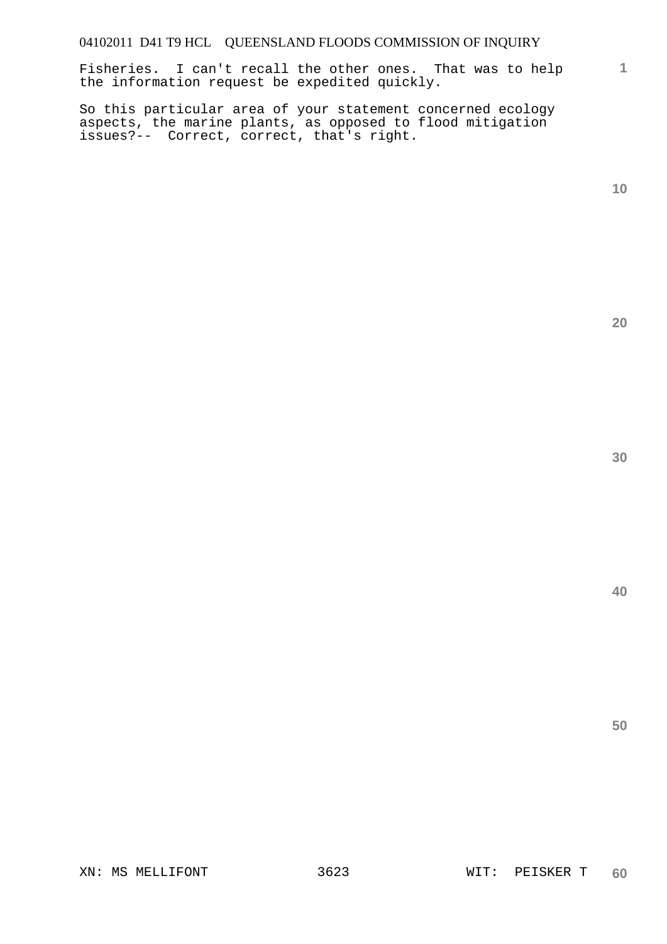Fisheries. I can't recall the other ones. That was to help the information request be expedited quickly.

So this particular area of your statement concerned ecology aspects, the marine plants, as opposed to flood mitigation issues?-- Correct, correct, that's right.

**1**

**20**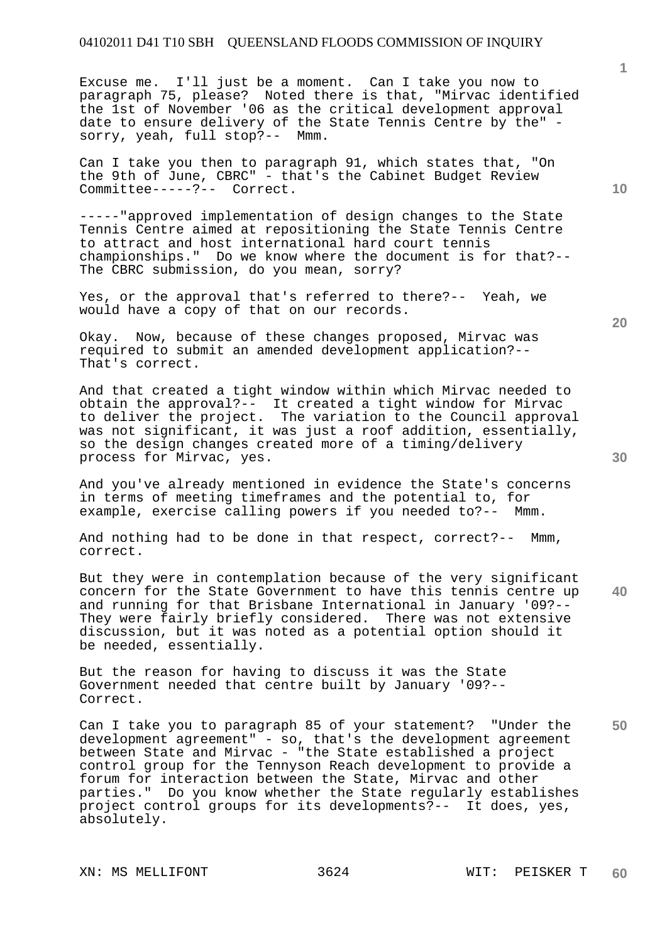Excuse me. I'll just be a moment. Can I take you now to paragraph 75, please? Noted there is that, "Mirvac identified the 1st of November '06 as the critical development approval date to ensure delivery of the State Tennis Centre by the" sorry, yeah, full stop?-- Mmm.

Can I take you then to paragraph 91, which states that, "On the 9th of June, CBRC" - that's the Cabinet Budget Review Committee-----?-- Correct.

-----"approved implementation of design changes to the State Tennis Centre aimed at repositioning the State Tennis Centre to attract and host international hard court tennis championships." Do we know where the document is for that?-- The CBRC submission, do you mean, sorry?

Yes, or the approval that's referred to there?-- Yeah, we would have a copy of that on our records.

Okay. Now, because of these changes proposed, Mirvac was required to submit an amended development application?-- That's correct.

And that created a tight window within which Mirvac needed to obtain the approval?-- It created a tight window for Mirvac to deliver the project. The variation to the Council approval was not significant, it was just a roof addition, essentially, so the design changes created more of a timing/delivery process for Mirvac, yes.

And you've already mentioned in evidence the State's concerns in terms of meeting timeframes and the potential to, for example, exercise calling powers if you needed to?-- Mmm.

And nothing had to be done in that respect, correct?-- Mmm, correct.

But they were in contemplation because of the very significant concern for the State Government to have this tennis centre up and running for that Brisbane International in January '09?-- They were fairly briefly considered. There was not extensive discussion, but it was noted as a potential option should it be needed, essentially.

But the reason for having to discuss it was the State Government needed that centre built by January '09?-- Correct.

**50**  Can I take you to paragraph 85 of your statement? "Under the development agreement" - so, that's the development agreement between State and Mirvac - "the State established a project control group for the Tennyson Reach development to provide a forum for interaction between the State, Mirvac and other parties." Do you know whether the State regularly establishes project control groups for its developments?-- It does, yes, absolutely.

**1**

**20** 

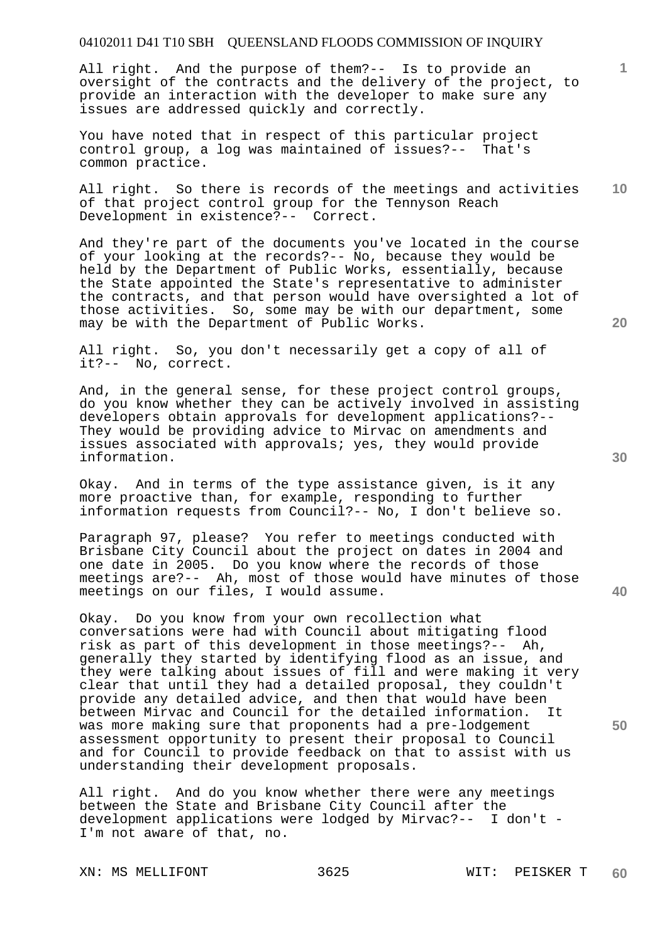#### 04102011 D41 T10 SBH QUEENSLAND FLOODS COMMISSION OF INQUIRY

All right. And the purpose of them?-- Is to provide an oversight of the contracts and the delivery of the project, to provide an interaction with the developer to make sure any issues are addressed quickly and correctly.

You have noted that in respect of this particular project control group, a log was maintained of issues?-- That's common practice.

**10**  All right. So there is records of the meetings and activities of that project control group for the Tennyson Reach Development in existence?-- Correct.

And they're part of the documents you've located in the course of your looking at the records?-- No, because they would be held by the Department of Public Works, essentially, because the State appointed the State's representative to administer the contracts, and that person would have oversighted a lot of those activities. So, some may be with our department, some may be with the Department of Public Works.

All right. So, you don't necessarily get a copy of all of it?-- No, correct.

And, in the general sense, for these project control groups, do you know whether they can be actively involved in assisting developers obtain approvals for development applications?-- They would be providing advice to Mirvac on amendments and issues associated with approvals; yes, they would provide information.

Okay. And in terms of the type assistance given, is it any more proactive than, for example, responding to further information requests from Council?-- No, I don't believe so.

Paragraph 97, please? You refer to meetings conducted with Brisbane City Council about the project on dates in 2004 and one date in 2005. Do you know where the records of those meetings are?-- Ah, most of those would have minutes of those meetings on our files, I would assume.

Okay. Do you know from your own recollection what conversations were had with Council about mitigating flood risk as part of this development in those meetings?-- Ah, generally they started by identifying flood as an issue, and they were talking about issues of fill and were making it very clear that until they had a detailed proposal, they couldn't provide any detailed advice, and then that would have been between Mirvac and Council for the detailed information. It was more making sure that proponents had a pre-lodgement assessment opportunity to present their proposal to Council and for Council to provide feedback on that to assist with us understanding their development proposals.

All right. And do you know whether there were any meetings between the State and Brisbane City Council after the development applications were lodged by Mirvac?-- I don't - I'm not aware of that, no.

XN: MS MELLIFONT 3625 WIT: PEISKER T

**20** 

**1**

**40**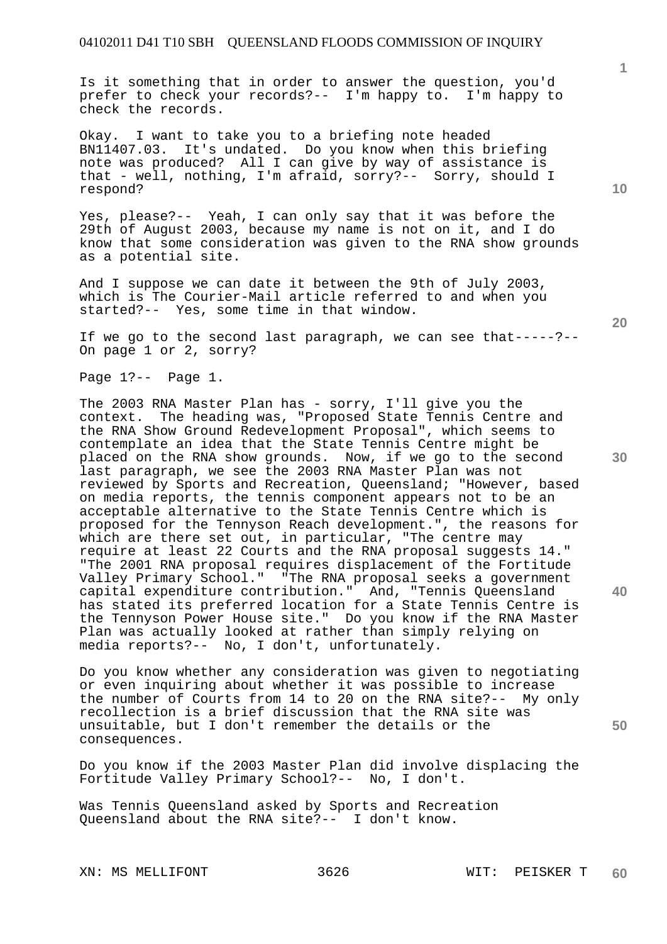Is it something that in order to answer the question, you'd prefer to check your records?-- I'm happy to. I'm happy to check the records.

Okay. I want to take you to a briefing note headed BN11407.03. It's undated. Do you know when this briefing note was produced? All I can give by way of assistance is that - well, nothing, I'm afraid, sorry?-- Sorry, should I respond?

Yes, please?-- Yeah, I can only say that it was before the 29th of August 2003, because my name is not on it, and I do know that some consideration was given to the RNA show grounds as a potential site.

And I suppose we can date it between the 9th of July 2003, which is The Courier-Mail article referred to and when you started?-- Yes, some time in that window.

If we go to the second last paragraph, we can see that-----?-- On page 1 or 2, sorry?

Page 1?-- Page 1.

The 2003 RNA Master Plan has - sorry, I'll give you the context. The heading was, "Proposed State Tennis Centre and the RNA Show Ground Redevelopment Proposal", which seems to contemplate an idea that the State Tennis Centre might be placed on the RNA show grounds. Now, if we go to the second last paragraph, we see the 2003 RNA Master Plan was not reviewed by Sports and Recreation, Queensland; "However, based on media reports, the tennis component appears not to be an acceptable alternative to the State Tennis Centre which is proposed for the Tennyson Reach development.", the reasons for which are there set out, in particular, "The centre may require at least 22 Courts and the RNA proposal suggests 14." "The 2001 RNA proposal requires displacement of the Fortitude Valley Primary School." "The RNA proposal seeks a government capital expenditure contribution." And, "Tennis Queensland has stated its preferred location for a State Tennis Centre is the Tennyson Power House site." Do you know if the RNA Master Plan was actually looked at rather than simply relying on media reports?-- No, I don't, unfortunately.

Do you know whether any consideration was given to negotiating or even inquiring about whether it was possible to increase the number of Courts from 14 to 20 on the RNA site?-- My only recollection is a brief discussion that the RNA site was unsuitable, but I don't remember the details or the consequences.

Do you know if the 2003 Master Plan did involve displacing the Fortitude Valley Primary School?-- No, I don't.

Was Tennis Queensland asked by Sports and Recreation Queensland about the RNA site?-- I don't know.

XN: MS MELLIFONT 3626 WIT: PEISKER T

**1**

**20** 

**30** 

**40**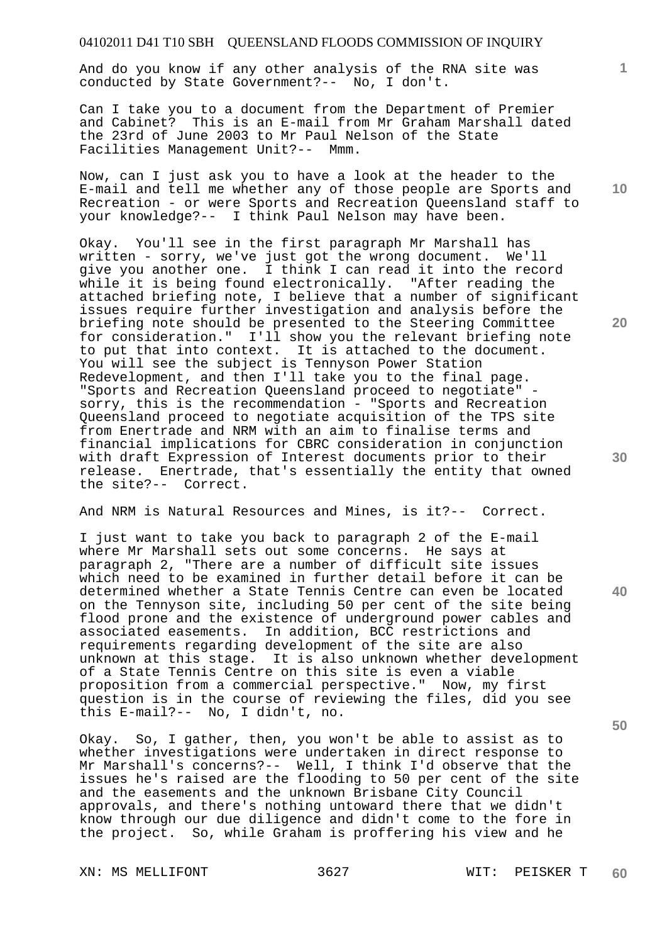# 04102011 D41 T10 SBH QUEENSLAND FLOODS COMMISSION OF INQUIRY

And do you know if any other analysis of the RNA site was conducted by State Government?-- No, I don't.

Can I take you to a document from the Department of Premier and Cabinet? This is an E-mail from Mr Graham Marshall dated the 23rd of June 2003 to Mr Paul Nelson of the State Facilities Management Unit?-- Mmm.

Now, can I just ask you to have a look at the header to the E-mail and tell me whether any of those people are Sports and Recreation - or were Sports and Recreation Queensland staff to your knowledge?-- I think Paul Nelson may have been.

Okay. You'll see in the first paragraph Mr Marshall has written - sorry, we've just got the wrong document. We'll give you another one. I think I can read it into the record while it is being found electronically. "After reading the attached briefing note, I believe that a number of significant issues require further investigation and analysis before the briefing note should be presented to the Steering Committee for consideration." I'll show you the relevant briefing note to put that into context. It is attached to the document. You will see the subject is Tennyson Power Station Redevelopment, and then I'll take you to the final page. "Sports and Recreation Queensland proceed to negotiate" sorry, this is the recommendation - "Sports and Recreation Queensland proceed to negotiate acquisition of the TPS site from Enertrade and NRM with an aim to finalise terms and financial implications for CBRC consideration in conjunction with draft Expression of Interest documents prior to their release. Enertrade, that's essentially the entity that owned the site?-- Correct.

And NRM is Natural Resources and Mines, is it?-- Correct.

I just want to take you back to paragraph 2 of the E-mail where Mr Marshall sets out some concerns. He says at paragraph 2, "There are a number of difficult site issues which need to be examined in further detail before it can be determined whether a State Tennis Centre can even be located on the Tennyson site, including 50 per cent of the site being flood prone and the existence of underground power cables and associated easements. In addition, BCC restrictions and requirements regarding development of the site are also unknown at this stage. It is also unknown whether development of a State Tennis Centre on this site is even a viable proposition from a commercial perspective." Now, my first question is in the course of reviewing the files, did you see this E-mail?-- No, I didn't, no.

Okay. So, I gather, then, you won't be able to assist as to whether investigations were undertaken in direct response to Mr Marshall's concerns?-- Well, I think I'd observe that the issues he's raised are the flooding to 50 per cent of the site and the easements and the unknown Brisbane City Council approvals, and there's nothing untoward there that we didn't know through our due diligence and didn't come to the fore in the project. So, while Graham is proffering his view and he

XN: MS MELLIFONT 3627 WIT: PEISKER T

**10** 

**1**

**20** 

**40** 

**50**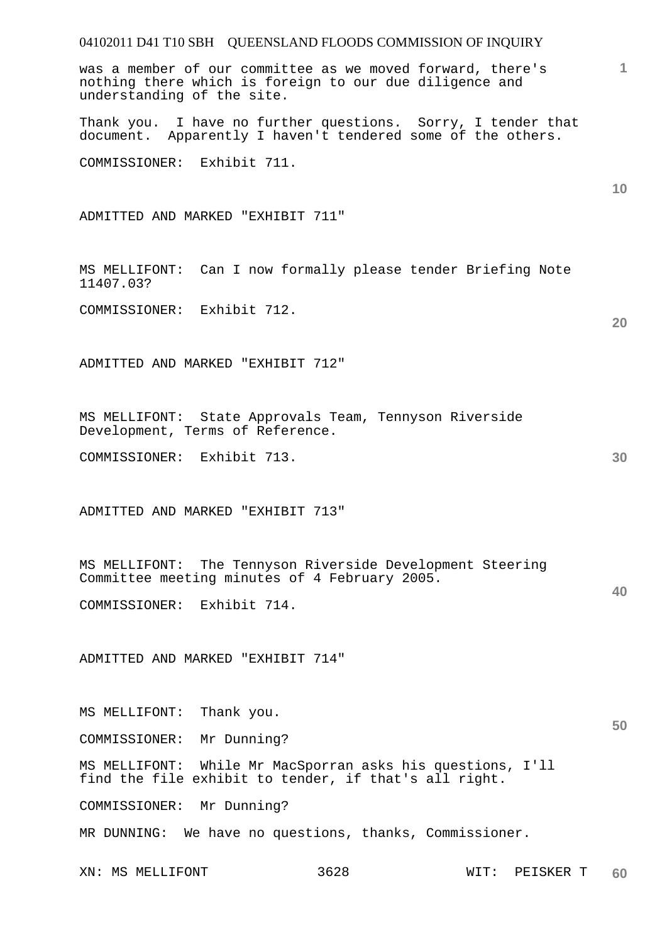# 04102011 D41 T10 SBH QUEENSLAND FLOODS COMMISSION OF INQUIRY XN: MS MELLIFONT 3628 WIT: PEISKER T **1 10 20 30 40 50 60**  was a member of our committee as we moved forward, there's nothing there which is foreign to our due diligence and understanding of the site. Thank you. I have no further questions. Sorry, I tender that document. Apparently I haven't tendered some of the others. COMMISSIONER: Exhibit 711. ADMITTED AND MARKED "EXHIBIT 711" MS MELLIFONT: Can I now formally please tender Briefing Note 11407.03? COMMISSIONER: Exhibit 712. ADMITTED AND MARKED "EXHIBIT 712" MS MELLIFONT: State Approvals Team, Tennyson Riverside Development, Terms of Reference. COMMISSIONER: Exhibit 713. ADMITTED AND MARKED "EXHIBIT 713" MS MELLIFONT: The Tennyson Riverside Development Steering Committee meeting minutes of 4 February 2005. COMMISSIONER: Exhibit 714. ADMITTED AND MARKED "EXHIBIT 714" MS MELLIFONT: Thank you. COMMISSIONER: Mr Dunning? MS MELLIFONT: While Mr MacSporran asks his questions, I'll find the file exhibit to tender, if that's all right. COMMISSIONER: Mr Dunning? MR DUNNING: We have no questions, thanks, Commissioner.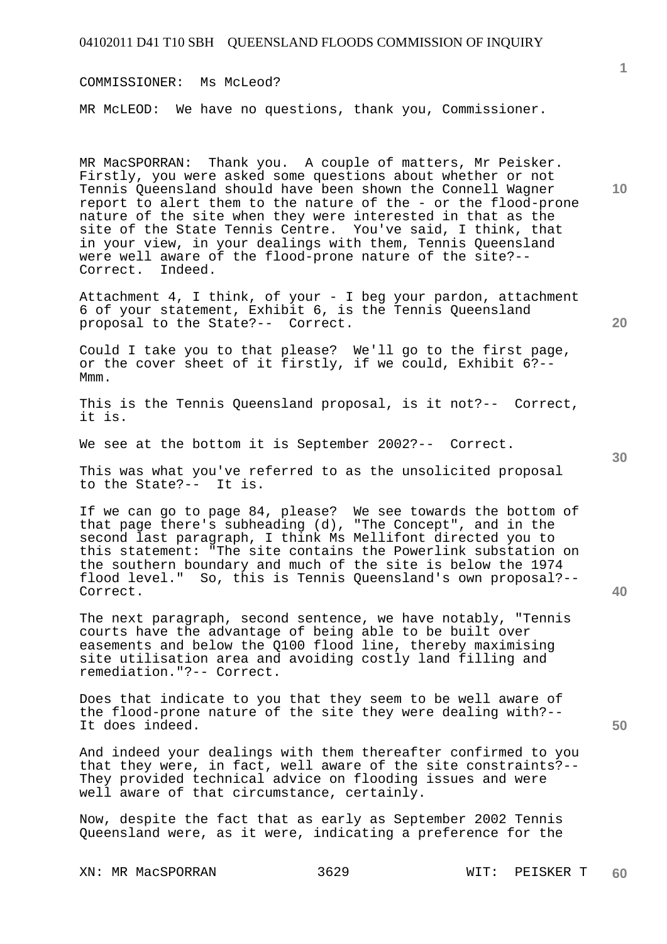| 04102011 D41 T10 SBH QUEENSLAND FLOODS COMMISSION OF INQUIRY                                                                                                                                                                                                                                                                                                                                                                                                                                                                            |              |
|-----------------------------------------------------------------------------------------------------------------------------------------------------------------------------------------------------------------------------------------------------------------------------------------------------------------------------------------------------------------------------------------------------------------------------------------------------------------------------------------------------------------------------------------|--------------|
| COMMISSIONER: Ms McLeod?                                                                                                                                                                                                                                                                                                                                                                                                                                                                                                                | $\mathbf{1}$ |
| MR McLEOD: We have no questions, thank you, Commissioner.                                                                                                                                                                                                                                                                                                                                                                                                                                                                               |              |
| MR MacSPORRAN: Thank you. A couple of matters, Mr Peisker.<br>Firstly, you were asked some questions about whether or not<br>Tennis Queensland should have been shown the Connell Wagner<br>report to alert them to the nature of the - or the flood-prone<br>nature of the site when they were interested in that as the<br>site of the State Tennis Centre. You've said, I think, that<br>in your view, in your dealings with them, Tennis Queensland<br>were well aware of the flood-prone nature of the site?--<br>Correct. Indeed. | 10           |
| Attachment 4, I think, of your - I beg your pardon, attachment<br>6 of your statement, Exhibit 6, is the Tennis Queensland<br>proposal to the State?-- Correct.                                                                                                                                                                                                                                                                                                                                                                         | 20           |
| Could I take you to that please? We'll go to the first page,<br>or the cover sheet of it firstly, if we could, Exhibit 6?--<br>Mmm.                                                                                                                                                                                                                                                                                                                                                                                                     |              |
| This is the Tennis Queensland proposal, is it not?-- Correct,<br>it is.                                                                                                                                                                                                                                                                                                                                                                                                                                                                 |              |
| We see at the bottom it is September 2002?-- Correct.                                                                                                                                                                                                                                                                                                                                                                                                                                                                                   | 30           |
| This was what you've referred to as the unsolicited proposal<br>to the State?-- It is.                                                                                                                                                                                                                                                                                                                                                                                                                                                  |              |
| If we can go to page 84, please? We see towards the bottom of<br>that page there's subheading (d), "The Concept", and in the<br>second last paragraph, I think Ms Mellifont directed you to<br>this statement: "The site contains the Powerlink substation on<br>the southern boundary and much of the site is below the 1974<br>flood level." So, this is Tennis Queensland's own proposal?--<br>Correct.                                                                                                                              | 40           |
| The next paragraph, second sentence, we have notably, "Tennis<br>courts have the advantage of being able to be built over<br>easements and below the Q100 flood line, thereby maximising<br>site utilisation area and avoiding costly land filling and<br>remediation. "?-- Correct.                                                                                                                                                                                                                                                    |              |
| Does that indicate to you that they seem to be well aware of<br>the flood-prone nature of the site they were dealing with?--<br>It does indeed.                                                                                                                                                                                                                                                                                                                                                                                         | 50           |
| And indeed your dealings with them thereafter confirmed to you<br>that they were, in fact, well aware of the site constraints?--<br>They provided technical advice on flooding issues and were<br>well aware of that circumstance, certainly.                                                                                                                                                                                                                                                                                           |              |
| Now, despite the fact that as early as September 2002 Tennis<br>Queensland were, as it were, indicating a preference for the                                                                                                                                                                                                                                                                                                                                                                                                            |              |
|                                                                                                                                                                                                                                                                                                                                                                                                                                                                                                                                         |              |

XN: MR MacSPORRAN 3629 WIT: PEISKER T **60**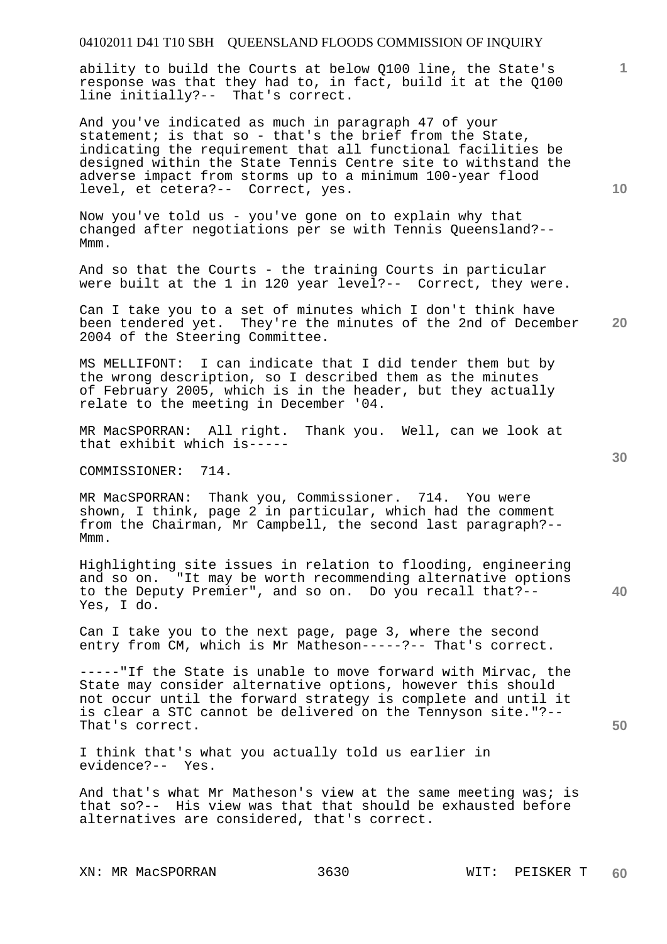#### 04102011 D41 T10 SBH QUEENSLAND FLOODS COMMISSION OF INQUIRY

ability to build the Courts at below Q100 line, the State's response was that they had to, in fact, build it at the Q100 line initially?-- That's correct.

And you've indicated as much in paragraph 47 of your statement; is that so - that's the brief from the State, indicating the requirement that all functional facilities be designed within the State Tennis Centre site to withstand the adverse impact from storms up to a minimum 100-year flood level, et cetera?-- Correct, yes.

Now you've told us - you've gone on to explain why that changed after negotiations per se with Tennis Queensland?-- Mmm.

And so that the Courts - the training Courts in particular were built at the 1 in 120 year level?-- Correct, they were.

**20**  Can I take you to a set of minutes which I don't think have been tendered yet. They're the minutes of the 2nd of December 2004 of the Steering Committee.

MS MELLIFONT: I can indicate that I did tender them but by the wrong description, so I described them as the minutes of February 2005, which is in the header, but they actually relate to the meeting in December '04.

MR MacSPORRAN: All right. Thank you. Well, can we look at that exhibit which is-----

COMMISSIONER: 714.

MR MacSPORRAN: Thank you, Commissioner. 714. You were shown, I think, page  $2^{\degree}$  in particular, which had the comment from the Chairman, Mr Campbell, the second last paragraph?-- Mmm.

Highlighting site issues in relation to flooding, engineering and so on. "It may be worth recommending alternative options to the Deputy Premier", and so on. Do you recall that?-- Yes, I do.

Can I take you to the next page, page 3, where the second entry from CM, which is Mr Matheson-----?-- That's correct.

-----"If the State is unable to move forward with Mirvac, the State may consider alternative options, however this should not occur until the forward strategy is complete and until it is clear a STC cannot be delivered on the Tennyson site."?-- That's correct.

I think that's what you actually told us earlier in evidence?-- Yes.

And that's what Mr Matheson's view at the same meeting was; is that so?-- His view was that that should be exhausted before alternatives are considered, that's correct.

XN: MR MacSPORRAN 3630 WIT: PEISKER T

**30** 

**40** 

**50** 

**10**